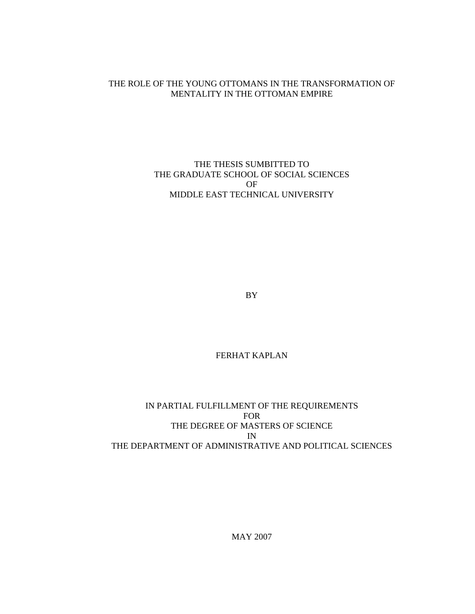### THE ROLE OF THE YOUNG OTTOMANS IN THE TRANSFORMATION OF MENTALITY IN THE OTTOMAN EMPIRE

### THE THESIS SUMBITTED TO THE GRADUATE SCHOOL OF SOCIAL SCIENCES OF MIDDLE EAST TECHNICAL UNIVERSITY

BY

# FERHAT KAPLAN

## IN PARTIAL FULFILLMENT OF THE REQUIREMENTS FOR THE DEGREE OF MASTERS OF SCIENCE IN THE DEPARTMENT OF ADMINISTRATIVE AND POLITICAL SCIENCES

MAY 2007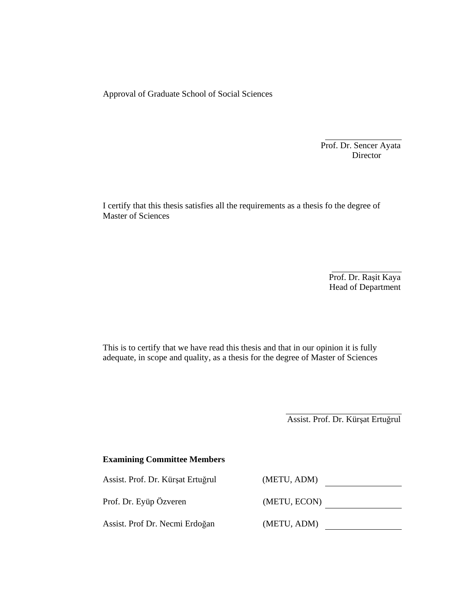Approval of Graduate School of Social Sciences

Prof. Dr. Sencer Ayata<br>Director Director

I certify that this thesis satisfies all the requirements as a thesis fo the degree of Master of Sciences

> Prof. Dr. Raşit Kaya Head of Department

This is to certify that we have read this thesis and that in our opinion it is fully adequate, in scope and quality, as a thesis for the degree of Master of Sciences

Assist. Prof. Dr. Kürşat Ertuğrul

| <b>Examining Committee Members</b> |              |
|------------------------------------|--------------|
| Assist. Prof. Dr. Kürşat Ertuğrul  | (METU, ADM)  |
| Prof. Dr. Eyüp Özveren             | (METU, ECON) |
| Assist. Prof Dr. Necmi Erdoğan     | (METU, ADM)  |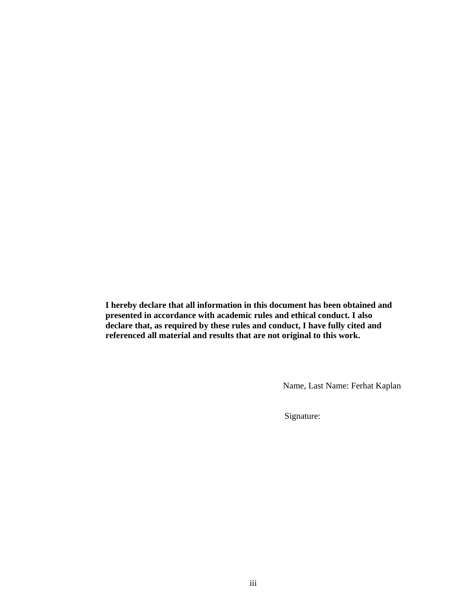**I hereby declare that all information in this document has been obtained and presented in accordance with academic rules and ethical conduct. I also declare that, as required by these rules and conduct, I have fully cited and referenced all material and results that are not original to this work.** 

Name, Last Name: Ferhat Kaplan

Signature: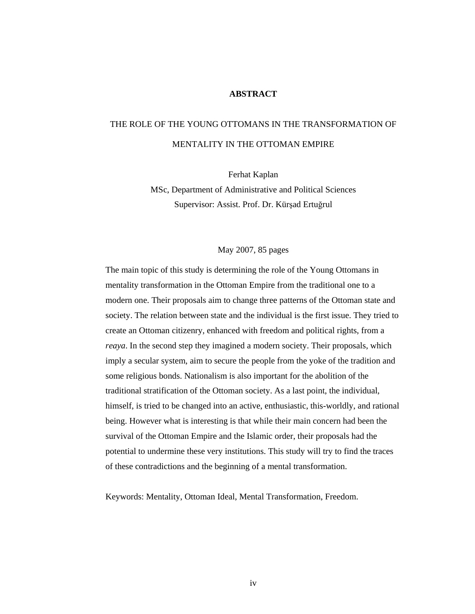### **ABSTRACT**

# THE ROLE OF THE YOUNG OTTOMANS IN THE TRANSFORMATION OF MENTALITY IN THE OTTOMAN EMPIRE

Ferhat Kaplan

MSc, Department of Administrative and Political Sciences Supervisor: Assist. Prof. Dr. Kürşad Ertuğrul

### May 2007, 85 pages

The main topic of this study is determining the role of the Young Ottomans in mentality transformation in the Ottoman Empire from the traditional one to a modern one. Their proposals aim to change three patterns of the Ottoman state and society. The relation between state and the individual is the first issue. They tried to create an Ottoman citizenry, enhanced with freedom and political rights, from a *reaya*. In the second step they imagined a modern society. Their proposals, which imply a secular system, aim to secure the people from the yoke of the tradition and some religious bonds. Nationalism is also important for the abolition of the traditional stratification of the Ottoman society. As a last point, the individual, himself, is tried to be changed into an active, enthusiastic, this-worldly, and rational being. However what is interesting is that while their main concern had been the survival of the Ottoman Empire and the Islamic order, their proposals had the potential to undermine these very institutions. This study will try to find the traces of these contradictions and the beginning of a mental transformation.

Keywords: Mentality, Ottoman Ideal, Mental Transformation, Freedom.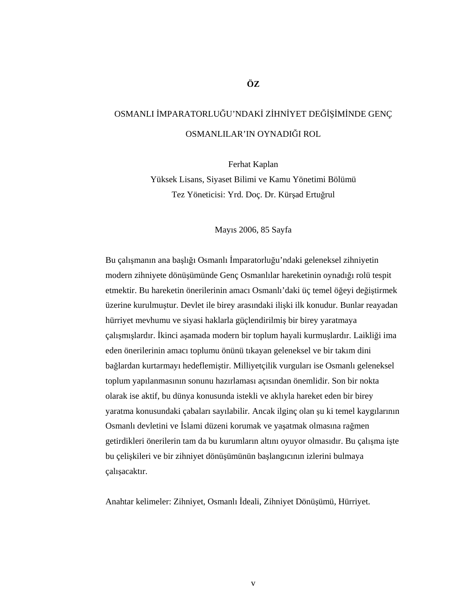# OSMANLI İMPARATORLUĞU'NDAKİ ZİHNİYET DEĞİŞİMİNDE GENÇ OSMANLILAR'IN OYNADIĞI ROL

Ferhat Kaplan Yüksek Lisans, Siyaset Bilimi ve Kamu Yönetimi Bölümü Tez Yöneticisi: Yrd. Doç. Dr. Kürşad Ertuğrul

Mayıs 2006, 85 Sayfa

Bu çalışmanın ana başlığı Osmanlı İmparatorluğu'ndaki geleneksel zihniyetin modern zihniyete dönüşümünde Genç Osmanlılar hareketinin oynadığı rolü tespit etmektir. Bu hareketin önerilerinin amacı Osmanlı'daki üç temel öğeyi değiştirmek üzerine kurulmuştur. Devlet ile birey arasındaki ilişki ilk konudur. Bunlar reayadan hürriyet mevhumu ve siyasi haklarla güçlendirilmiş bir birey yaratmaya çalışmışlardır. İkinci aşamada modern bir toplum hayali kurmuşlardır. Laikliği ima eden önerilerinin amacı toplumu önünü tıkayan geleneksel ve bir takım dini bağlardan kurtarmayı hedeflemiştir. Milliyetçilik vurguları ise Osmanlı geleneksel toplum yapılanmasının sonunu hazırlaması açısından önemlidir. Son bir nokta olarak ise aktif, bu dünya konusunda istekli ve aklıyla hareket eden bir birey yaratma konusundaki çabaları sayılabilir. Ancak ilginç olan şu ki temel kaygılarının Osmanlı devletini ve İslami düzeni korumak ve yaşatmak olmasına rağmen getirdikleri önerilerin tam da bu kurumların altını oyuyor olmasıdır. Bu çalışma işte bu çelişkileri ve bir zihniyet dönüşümünün başlangıcının izlerini bulmaya çalışacaktır.

Anahtar kelimeler: Zihniyet, Osmanlı İdeali, Zihniyet Dönüşümü, Hürriyet.

### **ÖZ**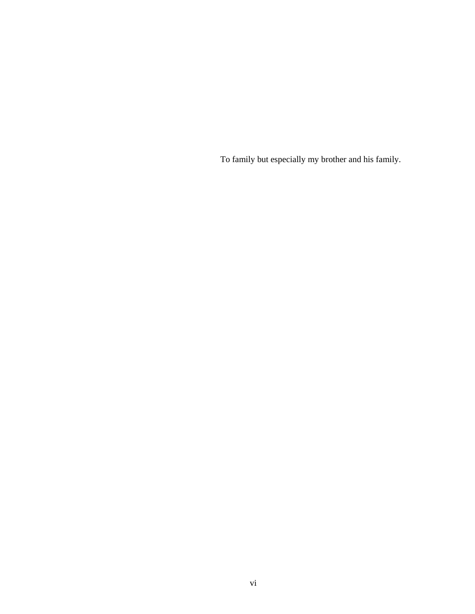To family but especially my brother and his family.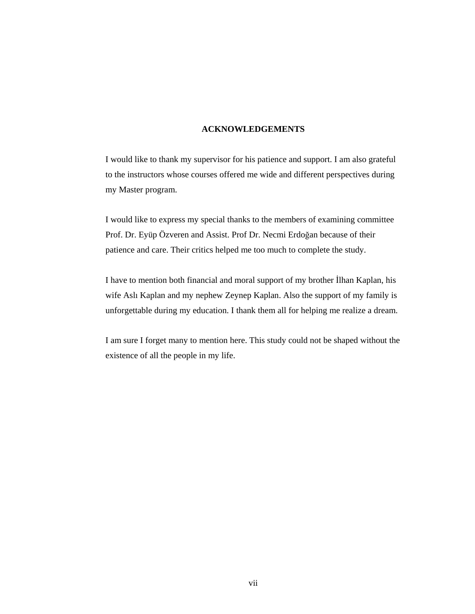### **ACKNOWLEDGEMENTS**

I would like to thank my supervisor for his patience and support. I am also grateful to the instructors whose courses offered me wide and different perspectives during my Master program.

I would like to express my special thanks to the members of examining committee Prof. Dr. Eyüp Özveren and Assist. Prof Dr. Necmi Erdoğan because of their patience and care. Their critics helped me too much to complete the study.

I have to mention both financial and moral support of my brother İlhan Kaplan, his wife Aslı Kaplan and my nephew Zeynep Kaplan. Also the support of my family is unforgettable during my education. I thank them all for helping me realize a dream.

I am sure I forget many to mention here. This study could not be shaped without the existence of all the people in my life.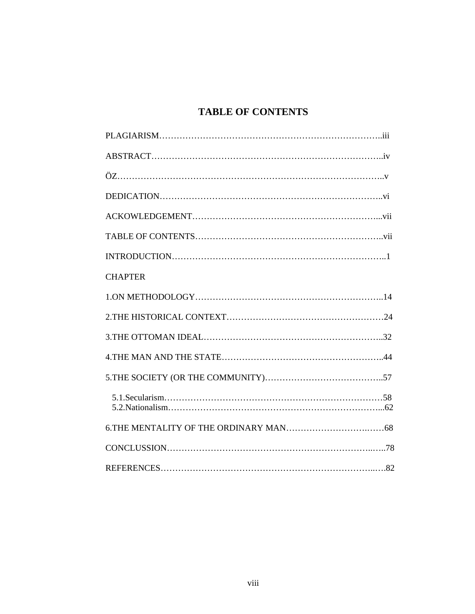# **TABLE OF CONTENTS**

| <b>CHAPTER</b> |
|----------------|
|                |
|                |
|                |
|                |
|                |
|                |
|                |
|                |
|                |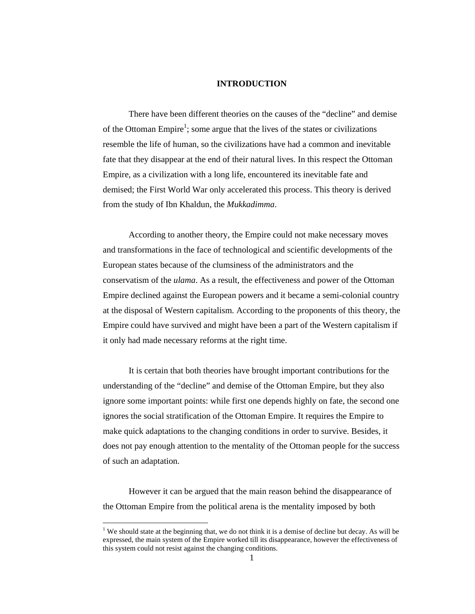### **INTRODUCTION**

 There have been different theories on the causes of the "decline" and demise of the Ottoman Empire<sup>1</sup>; some argue that the lives of the states or civilizations resemble the life of human, so the civilizations have had a common and inevitable fate that they disappear at the end of their natural lives. In this respect the Ottoman Empire, as a civilization with a long life, encountered its inevitable fate and demised; the First World War only accelerated this process. This theory is derived from the study of Ibn Khaldun, the *Mukkadimma*.

 According to another theory, the Empire could not make necessary moves and transformations in the face of technological and scientific developments of the European states because of the clumsiness of the administrators and the conservatism of the *ulama*. As a result, the effectiveness and power of the Ottoman Empire declined against the European powers and it became a semi-colonial country at the disposal of Western capitalism. According to the proponents of this theory, the Empire could have survived and might have been a part of the Western capitalism if it only had made necessary reforms at the right time.

 It is certain that both theories have brought important contributions for the understanding of the "decline" and demise of the Ottoman Empire, but they also ignore some important points: while first one depends highly on fate, the second one ignores the social stratification of the Ottoman Empire. It requires the Empire to make quick adaptations to the changing conditions in order to survive. Besides, it does not pay enough attention to the mentality of the Ottoman people for the success of such an adaptation.

 However it can be argued that the main reason behind the disappearance of the Ottoman Empire from the political arena is the mentality imposed by both

<sup>&</sup>lt;sup>1</sup> We should state at the beginning that, we do not think it is a demise of decline but decay. As will be expressed, the main system of the Empire worked till its disappearance, however the effectiveness of this system could not resist against the changing conditions.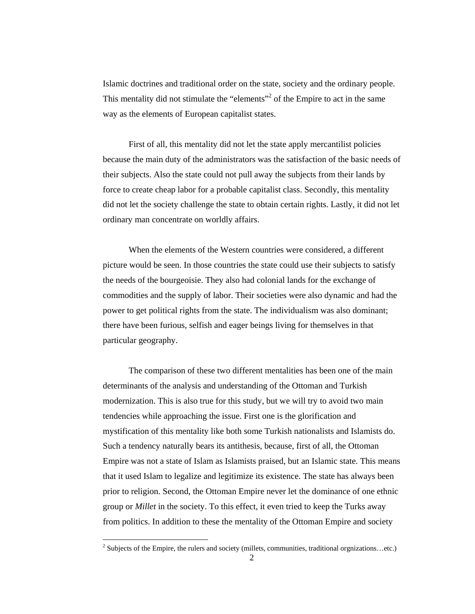Islamic doctrines and traditional order on the state, society and the ordinary people. This mentality did not stimulate the "elements"<sup>2</sup> of the Empire to act in the same way as the elements of European capitalist states.

 First of all, this mentality did not let the state apply mercantilist policies because the main duty of the administrators was the satisfaction of the basic needs of their subjects. Also the state could not pull away the subjects from their lands by force to create cheap labor for a probable capitalist class. Secondly, this mentality did not let the society challenge the state to obtain certain rights. Lastly, it did not let ordinary man concentrate on worldly affairs.

 When the elements of the Western countries were considered, a different picture would be seen. In those countries the state could use their subjects to satisfy the needs of the bourgeoisie. They also had colonial lands for the exchange of commodities and the supply of labor. Their societies were also dynamic and had the power to get political rights from the state. The individualism was also dominant; there have been furious, selfish and eager beings living for themselves in that particular geography.

 The comparison of these two different mentalities has been one of the main determinants of the analysis and understanding of the Ottoman and Turkish modernization. This is also true for this study, but we will try to avoid two main tendencies while approaching the issue. First one is the glorification and mystification of this mentality like both some Turkish nationalists and Islamists do. Such a tendency naturally bears its antithesis, because, first of all, the Ottoman Empire was not a state of Islam as Islamists praised, but an Islamic state. This means that it used Islam to legalize and legitimize its existence. The state has always been prior to religion. Second, the Ottoman Empire never let the dominance of one ethnic group or *Millet* in the society. To this effect, it even tried to keep the Turks away from politics. In addition to these the mentality of the Ottoman Empire and society

 $\overline{a}$ 

 $2$  Subjects of the Empire, the rulers and society (millets, communities, traditional orgnizations...etc.)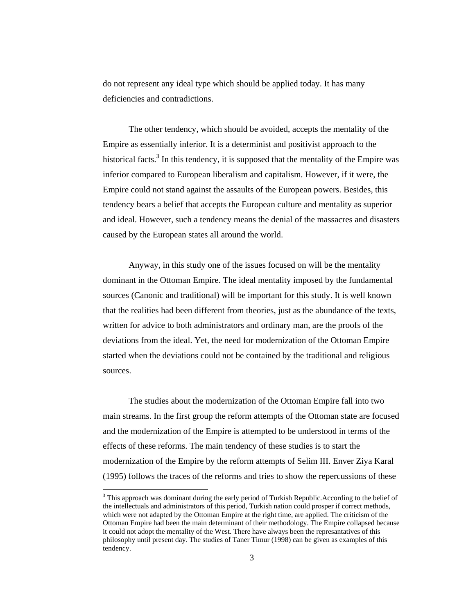do not represent any ideal type which should be applied today. It has many deficiencies and contradictions.

 The other tendency, which should be avoided, accepts the mentality of the Empire as essentially inferior. It is a determinist and positivist approach to the historical facts.<sup>3</sup> In this tendency, it is supposed that the mentality of the Empire was inferior compared to European liberalism and capitalism. However, if it were, the Empire could not stand against the assaults of the European powers. Besides, this tendency bears a belief that accepts the European culture and mentality as superior and ideal. However, such a tendency means the denial of the massacres and disasters caused by the European states all around the world.

 Anyway, in this study one of the issues focused on will be the mentality dominant in the Ottoman Empire. The ideal mentality imposed by the fundamental sources (Canonic and traditional) will be important for this study. It is well known that the realities had been different from theories, just as the abundance of the texts, written for advice to both administrators and ordinary man, are the proofs of the deviations from the ideal. Yet, the need for modernization of the Ottoman Empire started when the deviations could not be contained by the traditional and religious sources.

 The studies about the modernization of the Ottoman Empire fall into two main streams. In the first group the reform attempts of the Ottoman state are focused and the modernization of the Empire is attempted to be understood in terms of the effects of these reforms. The main tendency of these studies is to start the modernization of the Empire by the reform attempts of Selim III. Enver Ziya Karal (1995) follows the traces of the reforms and tries to show the repercussions of these

 $\overline{a}$ 

 $3$  This approach was dominant during the early period of Turkish Republic. According to the belief of the intellectuals and administrators of this period, Turkish nation could prosper if correct methods, which were not adapted by the Ottoman Empire at the right time, are applied. The criticism of the Ottoman Empire had been the main determinant of their methodology. The Empire collapsed because it could not adopt the mentality of the West. There have always been the represantatives of this philosophy until present day. The studies of Taner Timur (1998) can be given as examples of this tendency.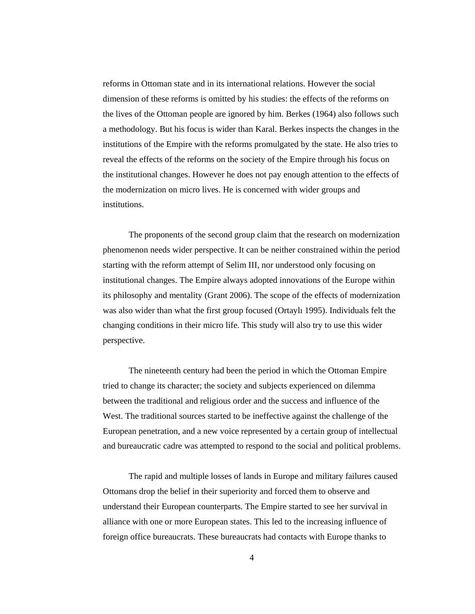reforms in Ottoman state and in its international relations. However the social dimension of these reforms is omitted by his studies: the effects of the reforms on the lives of the Ottoman people are ignored by him. Berkes (1964) also follows such a methodology. But his focus is wider than Karal. Berkes inspects the changes in the institutions of the Empire with the reforms promulgated by the state. He also tries to reveal the effects of the reforms on the society of the Empire through his focus on the institutional changes. However he does not pay enough attention to the effects of the modernization on micro lives. He is concerned with wider groups and institutions.

 The proponents of the second group claim that the research on modernization phenomenon needs wider perspective. It can be neither constrained within the period starting with the reform attempt of Selim III, nor understood only focusing on institutional changes. The Empire always adopted innovations of the Europe within its philosophy and mentality (Grant 2006). The scope of the effects of modernization was also wider than what the first group focused (Ortaylı 1995). Individuals felt the changing conditions in their micro life. This study will also try to use this wider perspective.

 The nineteenth century had been the period in which the Ottoman Empire tried to change its character; the society and subjects experienced on dilemma between the traditional and religious order and the success and influence of the West. The traditional sources started to be ineffective against the challenge of the European penetration, and a new voice represented by a certain group of intellectual and bureaucratic cadre was attempted to respond to the social and political problems.

 The rapid and multiple losses of lands in Europe and military failures caused Ottomans drop the belief in their superiority and forced them to observe and understand their European counterparts. The Empire started to see her survival in alliance with one or more European states. This led to the increasing influence of foreign office bureaucrats. These bureaucrats had contacts with Europe thanks to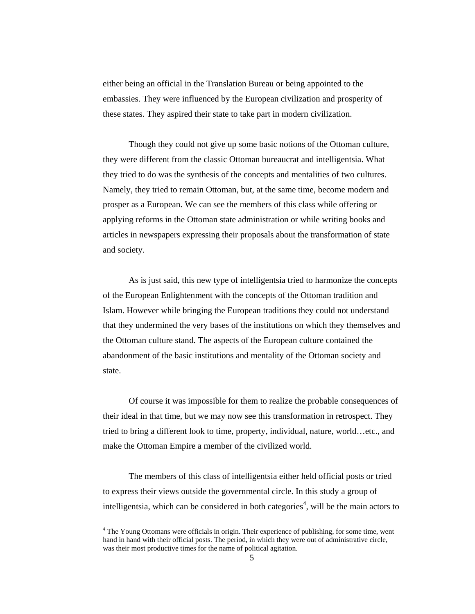either being an official in the Translation Bureau or being appointed to the embassies. They were influenced by the European civilization and prosperity of these states. They aspired their state to take part in modern civilization.

 Though they could not give up some basic notions of the Ottoman culture, they were different from the classic Ottoman bureaucrat and intelligentsia. What they tried to do was the synthesis of the concepts and mentalities of two cultures. Namely, they tried to remain Ottoman, but, at the same time, become modern and prosper as a European. We can see the members of this class while offering or applying reforms in the Ottoman state administration or while writing books and articles in newspapers expressing their proposals about the transformation of state and society.

 As is just said, this new type of intelligentsia tried to harmonize the concepts of the European Enlightenment with the concepts of the Ottoman tradition and Islam. However while bringing the European traditions they could not understand that they undermined the very bases of the institutions on which they themselves and the Ottoman culture stand. The aspects of the European culture contained the abandonment of the basic institutions and mentality of the Ottoman society and state.

Of course it was impossible for them to realize the probable consequences of their ideal in that time, but we may now see this transformation in retrospect. They tried to bring a different look to time, property, individual, nature, world…etc., and make the Ottoman Empire a member of the civilized world.

The members of this class of intelligentsia either held official posts or tried to express their views outside the governmental circle. In this study a group of intelligentsia, which can be considered in both categories<sup>4</sup>, will be the main actors to

l

<sup>&</sup>lt;sup>4</sup> The Young Ottomans were officials in origin. Their experience of publishing, for some time, went hand in hand with their official posts. The period, in which they were out of administrative circle, was their most productive times for the name of political agitation.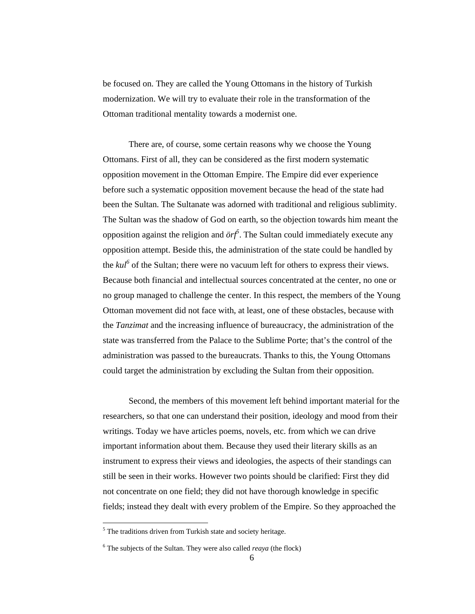be focused on. They are called the Young Ottomans in the history of Turkish modernization. We will try to evaluate their role in the transformation of the Ottoman traditional mentality towards a modernist one.

There are, of course, some certain reasons why we choose the Young Ottomans. First of all, they can be considered as the first modern systematic opposition movement in the Ottoman Empire. The Empire did ever experience before such a systematic opposition movement because the head of the state had been the Sultan. The Sultanate was adorned with traditional and religious sublimity. The Sultan was the shadow of God on earth, so the objection towards him meant the opposition against the religion and  $\partial r f^{\delta}$ . The Sultan could immediately execute any opposition attempt. Beside this, the administration of the state could be handled by the  $kul^6$  of the Sultan; there were no vacuum left for others to express their views. Because both financial and intellectual sources concentrated at the center, no one or no group managed to challenge the center. In this respect, the members of the Young Ottoman movement did not face with, at least, one of these obstacles, because with the *Tanzimat* and the increasing influence of bureaucracy, the administration of the state was transferred from the Palace to the Sublime Porte; that's the control of the administration was passed to the bureaucrats. Thanks to this, the Young Ottomans could target the administration by excluding the Sultan from their opposition.

Second, the members of this movement left behind important material for the researchers, so that one can understand their position, ideology and mood from their writings. Today we have articles poems, novels, etc. from which we can drive important information about them. Because they used their literary skills as an instrument to express their views and ideologies, the aspects of their standings can still be seen in their works. However two points should be clarified: First they did not concentrate on one field; they did not have thorough knowledge in specific fields; instead they dealt with every problem of the Empire. So they approached the

l

<sup>&</sup>lt;sup>5</sup> The traditions driven from Turkish state and society heritage.

 6 The subjects of the Sultan. They were also called *reaya* (the flock)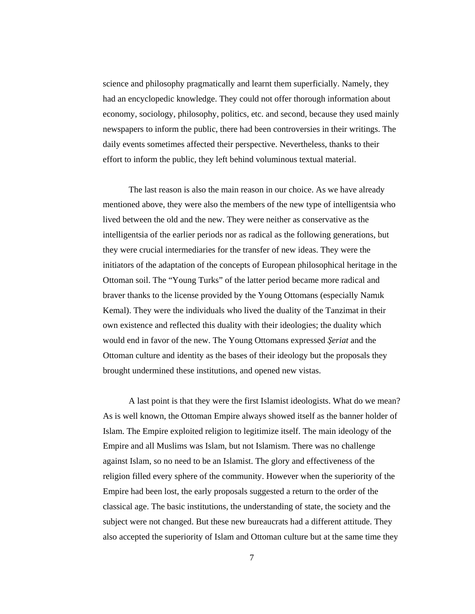science and philosophy pragmatically and learnt them superficially. Namely, they had an encyclopedic knowledge. They could not offer thorough information about economy, sociology, philosophy, politics, etc. and second, because they used mainly newspapers to inform the public, there had been controversies in their writings. The daily events sometimes affected their perspective. Nevertheless, thanks to their effort to inform the public, they left behind voluminous textual material.

The last reason is also the main reason in our choice. As we have already mentioned above, they were also the members of the new type of intelligentsia who lived between the old and the new. They were neither as conservative as the intelligentsia of the earlier periods nor as radical as the following generations, but they were crucial intermediaries for the transfer of new ideas. They were the initiators of the adaptation of the concepts of European philosophical heritage in the Ottoman soil. The "Young Turks" of the latter period became more radical and braver thanks to the license provided by the Young Ottomans (especially Namık Kemal). They were the individuals who lived the duality of the Tanzimat in their own existence and reflected this duality with their ideologies; the duality which would end in favor of the new. The Young Ottomans expressed Ş*eriat* and the Ottoman culture and identity as the bases of their ideology but the proposals they brought undermined these institutions, and opened new vistas.

A last point is that they were the first Islamist ideologists. What do we mean? As is well known, the Ottoman Empire always showed itself as the banner holder of Islam. The Empire exploited religion to legitimize itself. The main ideology of the Empire and all Muslims was Islam, but not Islamism. There was no challenge against Islam, so no need to be an Islamist. The glory and effectiveness of the religion filled every sphere of the community. However when the superiority of the Empire had been lost, the early proposals suggested a return to the order of the classical age. The basic institutions, the understanding of state, the society and the subject were not changed. But these new bureaucrats had a different attitude. They also accepted the superiority of Islam and Ottoman culture but at the same time they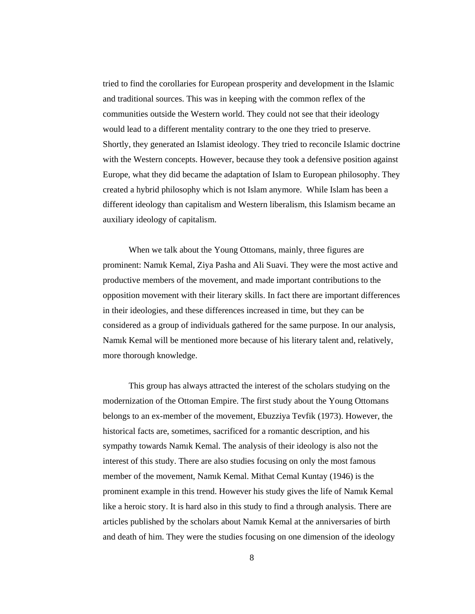tried to find the corollaries for European prosperity and development in the Islamic and traditional sources. This was in keeping with the common reflex of the communities outside the Western world. They could not see that their ideology would lead to a different mentality contrary to the one they tried to preserve. Shortly, they generated an Islamist ideology. They tried to reconcile Islamic doctrine with the Western concepts. However, because they took a defensive position against Europe, what they did became the adaptation of Islam to European philosophy. They created a hybrid philosophy which is not Islam anymore. While Islam has been a different ideology than capitalism and Western liberalism, this Islamism became an auxiliary ideology of capitalism.

When we talk about the Young Ottomans, mainly, three figures are prominent: Namık Kemal, Ziya Pasha and Ali Suavi. They were the most active and productive members of the movement, and made important contributions to the opposition movement with their literary skills. In fact there are important differences in their ideologies, and these differences increased in time, but they can be considered as a group of individuals gathered for the same purpose. In our analysis, Namık Kemal will be mentioned more because of his literary talent and, relatively, more thorough knowledge.

This group has always attracted the interest of the scholars studying on the modernization of the Ottoman Empire. The first study about the Young Ottomans belongs to an ex-member of the movement, Ebuzziya Tevfik (1973). However, the historical facts are, sometimes, sacrificed for a romantic description, and his sympathy towards Namık Kemal. The analysis of their ideology is also not the interest of this study. There are also studies focusing on only the most famous member of the movement, Namık Kemal. Mithat Cemal Kuntay (1946) is the prominent example in this trend. However his study gives the life of Namık Kemal like a heroic story. It is hard also in this study to find a through analysis. There are articles published by the scholars about Namık Kemal at the anniversaries of birth and death of him. They were the studies focusing on one dimension of the ideology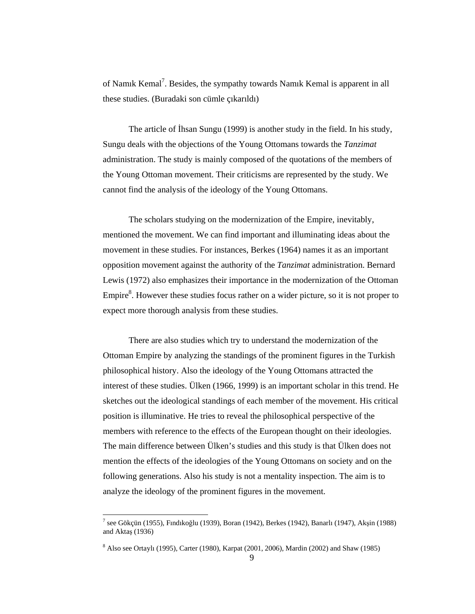of Namık Kemal<sup>7</sup>. Besides, the sympathy towards Namık Kemal is apparent in all these studies. (Buradaki son cümle çıkarıldı)

The article of İhsan Sungu (1999) is another study in the field. In his study, Sungu deals with the objections of the Young Ottomans towards the *Tanzimat*  administration. The study is mainly composed of the quotations of the members of the Young Ottoman movement. Their criticisms are represented by the study. We cannot find the analysis of the ideology of the Young Ottomans.

The scholars studying on the modernization of the Empire, inevitably, mentioned the movement. We can find important and illuminating ideas about the movement in these studies. For instances, Berkes (1964) names it as an important opposition movement against the authority of the *Tanzimat* administration. Bernard Lewis (1972) also emphasizes their importance in the modernization of the Ottoman Empire $8$ . However these studies focus rather on a wider picture, so it is not proper to expect more thorough analysis from these studies.

There are also studies which try to understand the modernization of the Ottoman Empire by analyzing the standings of the prominent figures in the Turkish philosophical history. Also the ideology of the Young Ottomans attracted the interest of these studies. Ülken (1966, 1999) is an important scholar in this trend. He sketches out the ideological standings of each member of the movement. His critical position is illuminative. He tries to reveal the philosophical perspective of the members with reference to the effects of the European thought on their ideologies. The main difference between Ülken's studies and this study is that Ülken does not mention the effects of the ideologies of the Young Ottomans on society and on the following generations. Also his study is not a mentality inspection. The aim is to analyze the ideology of the prominent figures in the movement.

 $\ddot{\phantom{a}}$ 

<sup>&</sup>lt;sup>7</sup> see Gökçün (1955), Fındıkoğlu (1939), Boran (1942), Berkes (1942), Banarlı (1947), Akşin (1988) and Aktaş (1936)

<sup>&</sup>lt;sup>8</sup> Also see Ortaylı (1995), Carter (1980), Karpat (2001, 2006), Mardin (2002) and Shaw (1985)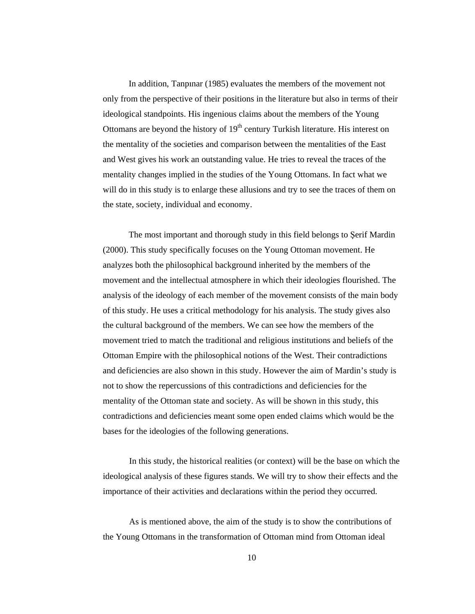In addition, Tanpınar (1985) evaluates the members of the movement not only from the perspective of their positions in the literature but also in terms of their ideological standpoints. His ingenious claims about the members of the Young Ottomans are beyond the history of  $19<sup>th</sup>$  century Turkish literature. His interest on the mentality of the societies and comparison between the mentalities of the East and West gives his work an outstanding value. He tries to reveal the traces of the mentality changes implied in the studies of the Young Ottomans. In fact what we will do in this study is to enlarge these allusions and try to see the traces of them on the state, society, individual and economy.

The most important and thorough study in this field belongs to Şerif Mardin (2000). This study specifically focuses on the Young Ottoman movement. He analyzes both the philosophical background inherited by the members of the movement and the intellectual atmosphere in which their ideologies flourished. The analysis of the ideology of each member of the movement consists of the main body of this study. He uses a critical methodology for his analysis. The study gives also the cultural background of the members. We can see how the members of the movement tried to match the traditional and religious institutions and beliefs of the Ottoman Empire with the philosophical notions of the West. Their contradictions and deficiencies are also shown in this study. However the aim of Mardin's study is not to show the repercussions of this contradictions and deficiencies for the mentality of the Ottoman state and society. As will be shown in this study, this contradictions and deficiencies meant some open ended claims which would be the bases for the ideologies of the following generations.

In this study, the historical realities (or context) will be the base on which the ideological analysis of these figures stands. We will try to show their effects and the importance of their activities and declarations within the period they occurred.

As is mentioned above, the aim of the study is to show the contributions of the Young Ottomans in the transformation of Ottoman mind from Ottoman ideal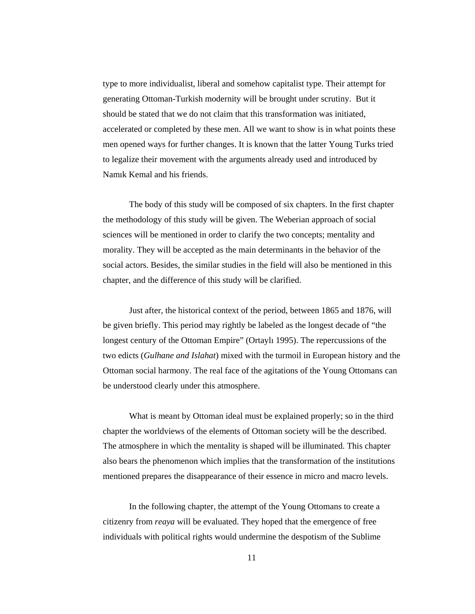type to more individualist, liberal and somehow capitalist type. Their attempt for generating Ottoman-Turkish modernity will be brought under scrutiny. But it should be stated that we do not claim that this transformation was initiated, accelerated or completed by these men. All we want to show is in what points these men opened ways for further changes. It is known that the latter Young Turks tried to legalize their movement with the arguments already used and introduced by Namık Kemal and his friends.

The body of this study will be composed of six chapters. In the first chapter the methodology of this study will be given. The Weberian approach of social sciences will be mentioned in order to clarify the two concepts; mentality and morality. They will be accepted as the main determinants in the behavior of the social actors. Besides, the similar studies in the field will also be mentioned in this chapter, and the difference of this study will be clarified.

Just after, the historical context of the period, between 1865 and 1876, will be given briefly. This period may rightly be labeled as the longest decade of "the longest century of the Ottoman Empire" (Ortaylı 1995). The repercussions of the two edicts (*Gulhane and Islahat*) mixed with the turmoil in European history and the Ottoman social harmony. The real face of the agitations of the Young Ottomans can be understood clearly under this atmosphere.

What is meant by Ottoman ideal must be explained properly; so in the third chapter the worldviews of the elements of Ottoman society will be the described. The atmosphere in which the mentality is shaped will be illuminated. This chapter also bears the phenomenon which implies that the transformation of the institutions mentioned prepares the disappearance of their essence in micro and macro levels.

In the following chapter, the attempt of the Young Ottomans to create a citizenry from *reaya* will be evaluated. They hoped that the emergence of free individuals with political rights would undermine the despotism of the Sublime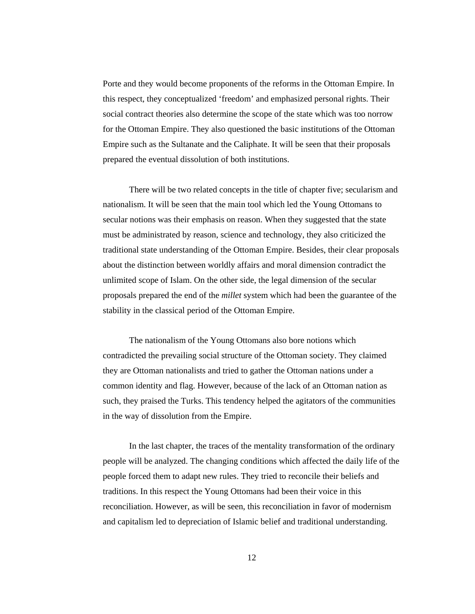Porte and they would become proponents of the reforms in the Ottoman Empire. In this respect, they conceptualized 'freedom' and emphasized personal rights. Their social contract theories also determine the scope of the state which was too norrow for the Ottoman Empire. They also questioned the basic institutions of the Ottoman Empire such as the Sultanate and the Caliphate. It will be seen that their proposals prepared the eventual dissolution of both institutions.

There will be two related concepts in the title of chapter five; secularism and nationalism. It will be seen that the main tool which led the Young Ottomans to secular notions was their emphasis on reason. When they suggested that the state must be administrated by reason, science and technology, they also criticized the traditional state understanding of the Ottoman Empire. Besides, their clear proposals about the distinction between worldly affairs and moral dimension contradict the unlimited scope of Islam. On the other side, the legal dimension of the secular proposals prepared the end of the *millet* system which had been the guarantee of the stability in the classical period of the Ottoman Empire.

The nationalism of the Young Ottomans also bore notions which contradicted the prevailing social structure of the Ottoman society. They claimed they are Ottoman nationalists and tried to gather the Ottoman nations under a common identity and flag. However, because of the lack of an Ottoman nation as such, they praised the Turks. This tendency helped the agitators of the communities in the way of dissolution from the Empire.

In the last chapter, the traces of the mentality transformation of the ordinary people will be analyzed. The changing conditions which affected the daily life of the people forced them to adapt new rules. They tried to reconcile their beliefs and traditions. In this respect the Young Ottomans had been their voice in this reconciliation. However, as will be seen, this reconciliation in favor of modernism and capitalism led to depreciation of Islamic belief and traditional understanding.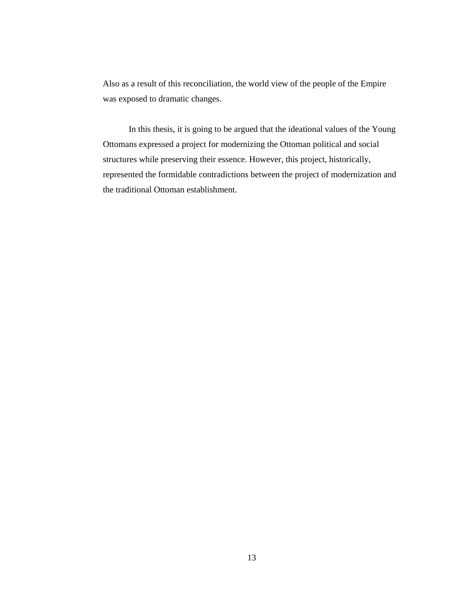Also as a result of this reconciliation, the world view of the people of the Empire was exposed to dramatic changes.

In this thesis, it is going to be argued that the ideational values of the Young Ottomans expressed a project for modernizing the Ottoman political and social structures while preserving their essence. However, this project, historically, represented the formidable contradictions between the project of modernization and the traditional Ottoman establishment.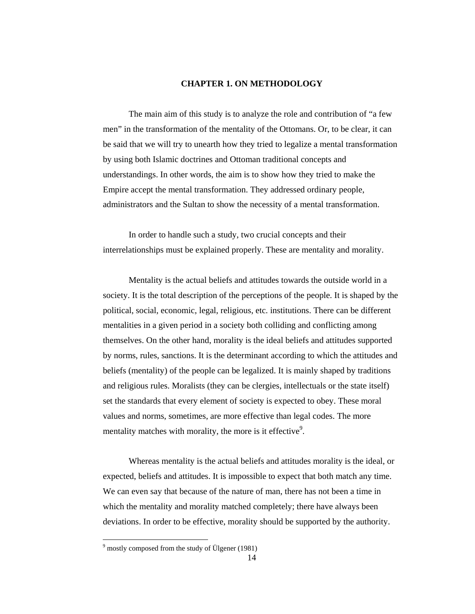### **CHAPTER 1. ON METHODOLOGY**

 The main aim of this study is to analyze the role and contribution of "a few men" in the transformation of the mentality of the Ottomans. Or, to be clear, it can be said that we will try to unearth how they tried to legalize a mental transformation by using both Islamic doctrines and Ottoman traditional concepts and understandings. In other words, the aim is to show how they tried to make the Empire accept the mental transformation. They addressed ordinary people, administrators and the Sultan to show the necessity of a mental transformation.

In order to handle such a study, two crucial concepts and their interrelationships must be explained properly. These are mentality and morality.

Mentality is the actual beliefs and attitudes towards the outside world in a society. It is the total description of the perceptions of the people. It is shaped by the political, social, economic, legal, religious, etc. institutions. There can be different mentalities in a given period in a society both colliding and conflicting among themselves. On the other hand, morality is the ideal beliefs and attitudes supported by norms, rules, sanctions. It is the determinant according to which the attitudes and beliefs (mentality) of the people can be legalized. It is mainly shaped by traditions and religious rules. Moralists (they can be clergies, intellectuals or the state itself) set the standards that every element of society is expected to obey. These moral values and norms, sometimes, are more effective than legal codes. The more mentality matches with morality, the more is it effective<sup>9</sup>.

Whereas mentality is the actual beliefs and attitudes morality is the ideal, or expected, beliefs and attitudes. It is impossible to expect that both match any time. We can even say that because of the nature of man, there has not been a time in which the mentality and morality matched completely; there have always been deviations. In order to be effective, morality should be supported by the authority.

 $\overline{a}$ 

<sup>&</sup>lt;sup>9</sup> mostly composed from the study of Ülgener (1981)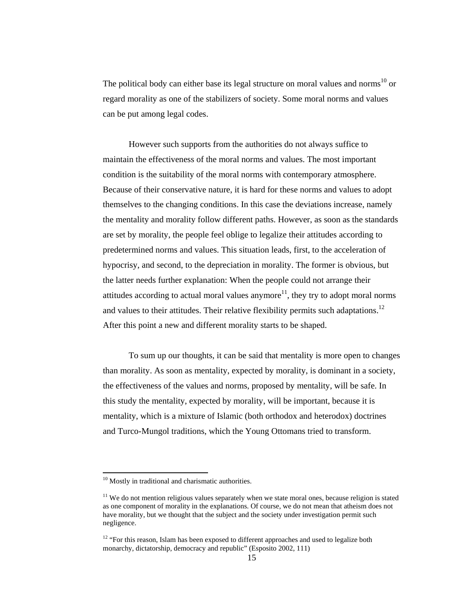The political body can either base its legal structure on moral values and norms<sup>10</sup> or regard morality as one of the stabilizers of society. Some moral norms and values can be put among legal codes.

However such supports from the authorities do not always suffice to maintain the effectiveness of the moral norms and values. The most important condition is the suitability of the moral norms with contemporary atmosphere. Because of their conservative nature, it is hard for these norms and values to adopt themselves to the changing conditions. In this case the deviations increase, namely the mentality and morality follow different paths. However, as soon as the standards are set by morality, the people feel oblige to legalize their attitudes according to predetermined norms and values. This situation leads, first, to the acceleration of hypocrisy, and second, to the depreciation in morality. The former is obvious, but the latter needs further explanation: When the people could not arrange their attitudes according to actual moral values anymore<sup>11</sup>, they try to adopt moral norms and values to their attitudes. Their relative flexibility permits such adaptations.<sup>12</sup> After this point a new and different morality starts to be shaped.

To sum up our thoughts, it can be said that mentality is more open to changes than morality. As soon as mentality, expected by morality, is dominant in a society, the effectiveness of the values and norms, proposed by mentality, will be safe. In this study the mentality, expected by morality, will be important, because it is mentality, which is a mixture of Islamic (both orthodox and heterodox) doctrines and Turco-Mungol traditions, which the Young Ottomans tried to transform.

 $\overline{a}$ 

<sup>&</sup>lt;sup>10</sup> Mostly in traditional and charismatic authorities.

 $11$  We do not mention religious values separately when we state moral ones, because religion is stated as one component of morality in the explanations. Of course, we do not mean that atheism does not have morality, but we thought that the subject and the society under investigation permit such negligence.

<sup>&</sup>lt;sup>12</sup> "For this reason, Islam has been exposed to different approaches and used to legalize both monarchy, dictatorship, democracy and republic" (Esposito 2002, 111)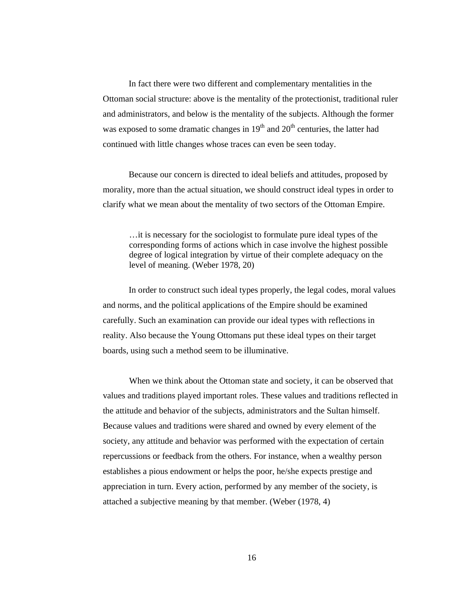In fact there were two different and complementary mentalities in the Ottoman social structure: above is the mentality of the protectionist, traditional ruler and administrators, and below is the mentality of the subjects. Although the former was exposed to some dramatic changes in  $19<sup>th</sup>$  and  $20<sup>th</sup>$  centuries, the latter had continued with little changes whose traces can even be seen today.

Because our concern is directed to ideal beliefs and attitudes, proposed by morality, more than the actual situation, we should construct ideal types in order to clarify what we mean about the mentality of two sectors of the Ottoman Empire.

…it is necessary for the sociologist to formulate pure ideal types of the corresponding forms of actions which in case involve the highest possible degree of logical integration by virtue of their complete adequacy on the level of meaning. (Weber 1978, 20)

 In order to construct such ideal types properly, the legal codes, moral values and norms, and the political applications of the Empire should be examined carefully. Such an examination can provide our ideal types with reflections in reality. Also because the Young Ottomans put these ideal types on their target boards, using such a method seem to be illuminative.

When we think about the Ottoman state and society, it can be observed that values and traditions played important roles. These values and traditions reflected in the attitude and behavior of the subjects, administrators and the Sultan himself. Because values and traditions were shared and owned by every element of the society, any attitude and behavior was performed with the expectation of certain repercussions or feedback from the others. For instance, when a wealthy person establishes a pious endowment or helps the poor, he/she expects prestige and appreciation in turn. Every action, performed by any member of the society, is attached a subjective meaning by that member. (Weber (1978, 4)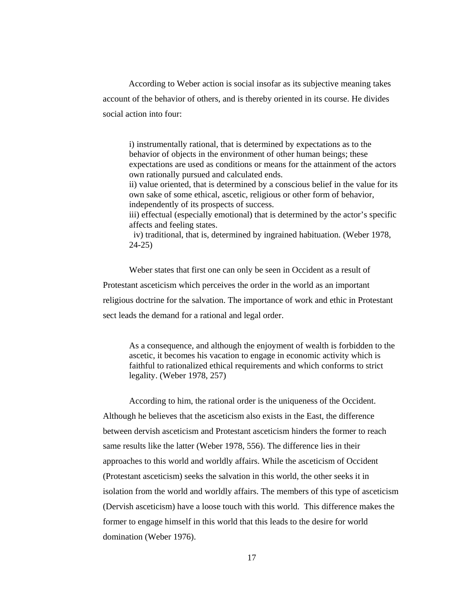According to Weber action is social insofar as its subjective meaning takes account of the behavior of others, and is thereby oriented in its course. He divides social action into four:

i) instrumentally rational, that is determined by expectations as to the behavior of objects in the environment of other human beings; these expectations are used as conditions or means for the attainment of the actors own rationally pursued and calculated ends.

ii) value oriented, that is determined by a conscious belief in the value for its own sake of some ethical, ascetic, religious or other form of behavior, independently of its prospects of success.

iii) effectual (especially emotional) that is determined by the actor's specific affects and feeling states.

 iv) traditional, that is, determined by ingrained habituation. (Weber 1978, 24-25)

Weber states that first one can only be seen in Occident as a result of Protestant asceticism which perceives the order in the world as an important religious doctrine for the salvation. The importance of work and ethic in Protestant sect leads the demand for a rational and legal order.

As a consequence, and although the enjoyment of wealth is forbidden to the ascetic, it becomes his vacation to engage in economic activity which is faithful to rationalized ethical requirements and which conforms to strict legality. (Weber 1978, 257)

According to him, the rational order is the uniqueness of the Occident. Although he believes that the asceticism also exists in the East, the difference between dervish asceticism and Protestant asceticism hinders the former to reach same results like the latter (Weber 1978, 556). The difference lies in their approaches to this world and worldly affairs. While the asceticism of Occident (Protestant asceticism) seeks the salvation in this world, the other seeks it in isolation from the world and worldly affairs. The members of this type of asceticism (Dervish asceticism) have a loose touch with this world. This difference makes the former to engage himself in this world that this leads to the desire for world domination (Weber 1976).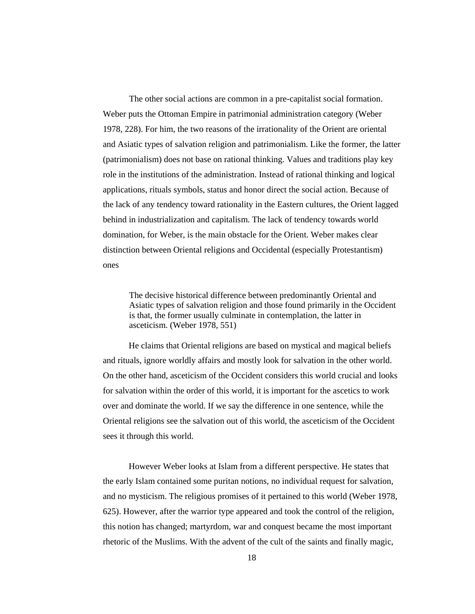The other social actions are common in a pre-capitalist social formation. Weber puts the Ottoman Empire in patrimonial administration category (Weber 1978, 228). For him, the two reasons of the irrationality of the Orient are oriental and Asiatic types of salvation religion and patrimonialism. Like the former, the latter (patrimonialism) does not base on rational thinking. Values and traditions play key role in the institutions of the administration. Instead of rational thinking and logical applications, rituals symbols, status and honor direct the social action. Because of the lack of any tendency toward rationality in the Eastern cultures, the Orient lagged behind in industrialization and capitalism. The lack of tendency towards world domination, for Weber, is the main obstacle for the Orient. Weber makes clear distinction between Oriental religions and Occidental (especially Protestantism) ones

The decisive historical difference between predominantly Oriental and Asiatic types of salvation religion and those found primarily in the Occident is that, the former usually culminate in contemplation, the latter in asceticism. (Weber 1978, 551)

 He claims that Oriental religions are based on mystical and magical beliefs and rituals, ignore worldly affairs and mostly look for salvation in the other world. On the other hand, asceticism of the Occident considers this world crucial and looks for salvation within the order of this world, it is important for the ascetics to work over and dominate the world. If we say the difference in one sentence, while the Oriental religions see the salvation out of this world, the asceticism of the Occident sees it through this world.

 However Weber looks at Islam from a different perspective. He states that the early Islam contained some puritan notions, no individual request for salvation, and no mysticism. The religious promises of it pertained to this world (Weber 1978, 625). However, after the warrior type appeared and took the control of the religion, this notion has changed; martyrdom, war and conquest became the most important rhetoric of the Muslims. With the advent of the cult of the saints and finally magic,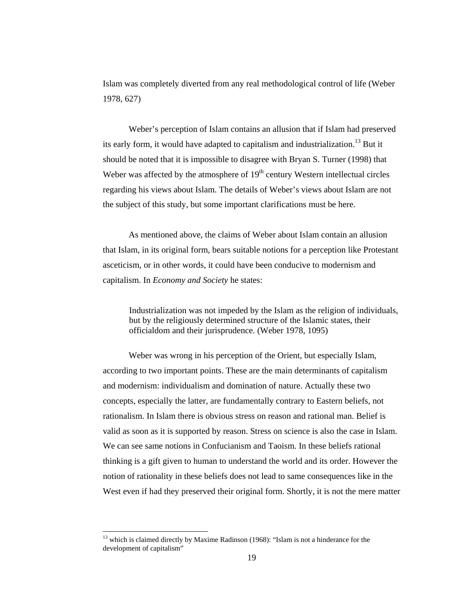Islam was completely diverted from any real methodological control of life (Weber 1978, 627)

Weber's perception of Islam contains an allusion that if Islam had preserved its early form, it would have adapted to capitalism and industrialization.<sup>13</sup> But it should be noted that it is impossible to disagree with Bryan S. Turner (1998) that Weber was affected by the atmosphere of  $19<sup>th</sup>$  century Western intellectual circles regarding his views about Islam. The details of Weber's views about Islam are not the subject of this study, but some important clarifications must be here.

As mentioned above, the claims of Weber about Islam contain an allusion that Islam, in its original form, bears suitable notions for a perception like Protestant asceticism, or in other words, it could have been conducive to modernism and capitalism. In *Economy and Society* he states:

Industrialization was not impeded by the Islam as the religion of individuals, but by the religiously determined structure of the Islamic states, their officialdom and their jurisprudence. (Weber 1978, 1095)

Weber was wrong in his perception of the Orient, but especially Islam, according to two important points. These are the main determinants of capitalism and modernism: individualism and domination of nature. Actually these two concepts, especially the latter, are fundamentally contrary to Eastern beliefs, not rationalism. In Islam there is obvious stress on reason and rational man. Belief is valid as soon as it is supported by reason. Stress on science is also the case in Islam. We can see same notions in Confucianism and Taoism. In these beliefs rational thinking is a gift given to human to understand the world and its order. However the notion of rationality in these beliefs does not lead to same consequences like in the West even if had they preserved their original form. Shortly, it is not the mere matter

 $\overline{a}$ 

<sup>&</sup>lt;sup>13</sup> which is claimed directly by Maxime Radinson (1968): "Islam is not a hinderance for the development of capitalism"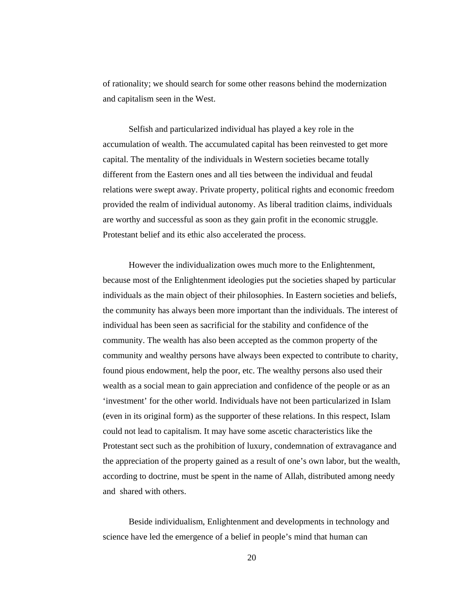of rationality; we should search for some other reasons behind the modernization and capitalism seen in the West.

Selfish and particularized individual has played a key role in the accumulation of wealth. The accumulated capital has been reinvested to get more capital. The mentality of the individuals in Western societies became totally different from the Eastern ones and all ties between the individual and feudal relations were swept away. Private property, political rights and economic freedom provided the realm of individual autonomy. As liberal tradition claims, individuals are worthy and successful as soon as they gain profit in the economic struggle. Protestant belief and its ethic also accelerated the process.

However the individualization owes much more to the Enlightenment, because most of the Enlightenment ideologies put the societies shaped by particular individuals as the main object of their philosophies. In Eastern societies and beliefs, the community has always been more important than the individuals. The interest of individual has been seen as sacrificial for the stability and confidence of the community. The wealth has also been accepted as the common property of the community and wealthy persons have always been expected to contribute to charity, found pious endowment, help the poor, etc. The wealthy persons also used their wealth as a social mean to gain appreciation and confidence of the people or as an 'investment' for the other world. Individuals have not been particularized in Islam (even in its original form) as the supporter of these relations. In this respect, Islam could not lead to capitalism. It may have some ascetic characteristics like the Protestant sect such as the prohibition of luxury, condemnation of extravagance and the appreciation of the property gained as a result of one's own labor, but the wealth, according to doctrine, must be spent in the name of Allah, distributed among needy and shared with others.

Beside individualism, Enlightenment and developments in technology and science have led the emergence of a belief in people's mind that human can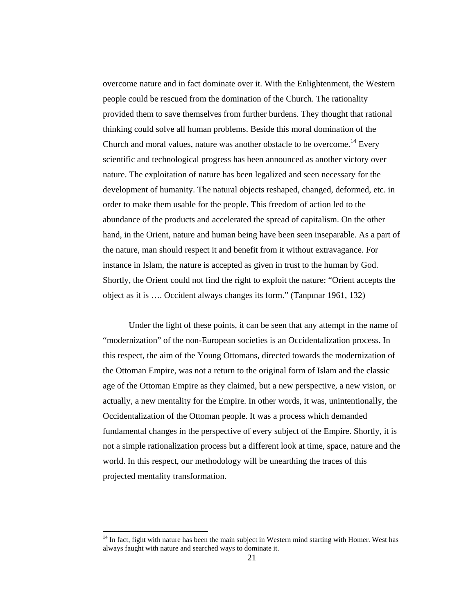overcome nature and in fact dominate over it. With the Enlightenment, the Western people could be rescued from the domination of the Church. The rationality provided them to save themselves from further burdens. They thought that rational thinking could solve all human problems. Beside this moral domination of the Church and moral values, nature was another obstacle to be overcome.<sup>14</sup> Every scientific and technological progress has been announced as another victory over nature. The exploitation of nature has been legalized and seen necessary for the development of humanity. The natural objects reshaped, changed, deformed, etc. in order to make them usable for the people. This freedom of action led to the abundance of the products and accelerated the spread of capitalism. On the other hand, in the Orient, nature and human being have been seen inseparable. As a part of the nature, man should respect it and benefit from it without extravagance. For instance in Islam, the nature is accepted as given in trust to the human by God. Shortly, the Orient could not find the right to exploit the nature: "Orient accepts the object as it is …. Occident always changes its form." (Tanpınar 1961, 132)

Under the light of these points, it can be seen that any attempt in the name of "modernization" of the non-European societies is an Occidentalization process. In this respect, the aim of the Young Ottomans, directed towards the modernization of the Ottoman Empire, was not a return to the original form of Islam and the classic age of the Ottoman Empire as they claimed, but a new perspective, a new vision, or actually, a new mentality for the Empire. In other words, it was, unintentionally, the Occidentalization of the Ottoman people. It was a process which demanded fundamental changes in the perspective of every subject of the Empire. Shortly, it is not a simple rationalization process but a different look at time, space, nature and the world. In this respect, our methodology will be unearthing the traces of this projected mentality transformation.

 $\overline{a}$ 

<sup>&</sup>lt;sup>14</sup> In fact, fight with nature has been the main subject in Western mind starting with Homer. West has always faught with nature and searched ways to dominate it.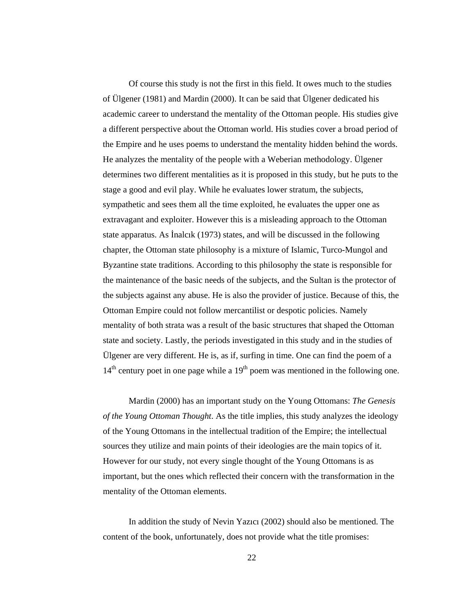Of course this study is not the first in this field. It owes much to the studies of Ülgener (1981) and Mardin (2000). It can be said that Ülgener dedicated his academic career to understand the mentality of the Ottoman people. His studies give a different perspective about the Ottoman world. His studies cover a broad period of the Empire and he uses poems to understand the mentality hidden behind the words. He analyzes the mentality of the people with a Weberian methodology. Ülgener determines two different mentalities as it is proposed in this study, but he puts to the stage a good and evil play. While he evaluates lower stratum, the subjects, sympathetic and sees them all the time exploited, he evaluates the upper one as extravagant and exploiter. However this is a misleading approach to the Ottoman state apparatus. As İnalcık (1973) states, and will be discussed in the following chapter, the Ottoman state philosophy is a mixture of Islamic, Turco-Mungol and Byzantine state traditions. According to this philosophy the state is responsible for the maintenance of the basic needs of the subjects, and the Sultan is the protector of the subjects against any abuse. He is also the provider of justice. Because of this, the Ottoman Empire could not follow mercantilist or despotic policies. Namely mentality of both strata was a result of the basic structures that shaped the Ottoman state and society. Lastly, the periods investigated in this study and in the studies of Ülgener are very different. He is, as if, surfing in time. One can find the poem of a  $14<sup>th</sup>$  century poet in one page while a  $19<sup>th</sup>$  poem was mentioned in the following one.

Mardin (2000) has an important study on the Young Ottomans: *The Genesis of the Young Ottoman Thought*. As the title implies, this study analyzes the ideology of the Young Ottomans in the intellectual tradition of the Empire; the intellectual sources they utilize and main points of their ideologies are the main topics of it. However for our study, not every single thought of the Young Ottomans is as important, but the ones which reflected their concern with the transformation in the mentality of the Ottoman elements.

In addition the study of Nevin Yazıcı (2002) should also be mentioned. The content of the book, unfortunately, does not provide what the title promises: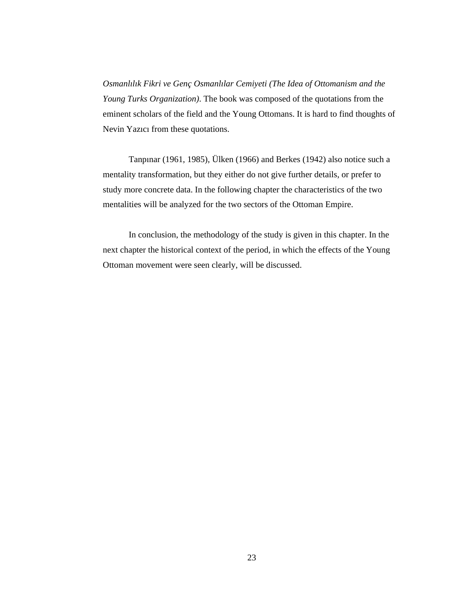*Osmanlılık Fikri ve Genç Osmanlılar Cemiyeti (The Idea of Ottomanism and the Young Turks Organization)*. The book was composed of the quotations from the eminent scholars of the field and the Young Ottomans. It is hard to find thoughts of Nevin Yazıcı from these quotations.

Tanpınar (1961, 1985), Ülken (1966) and Berkes (1942) also notice such a mentality transformation, but they either do not give further details, or prefer to study more concrete data. In the following chapter the characteristics of the two mentalities will be analyzed for the two sectors of the Ottoman Empire.

In conclusion, the methodology of the study is given in this chapter. In the next chapter the historical context of the period, in which the effects of the Young Ottoman movement were seen clearly, will be discussed.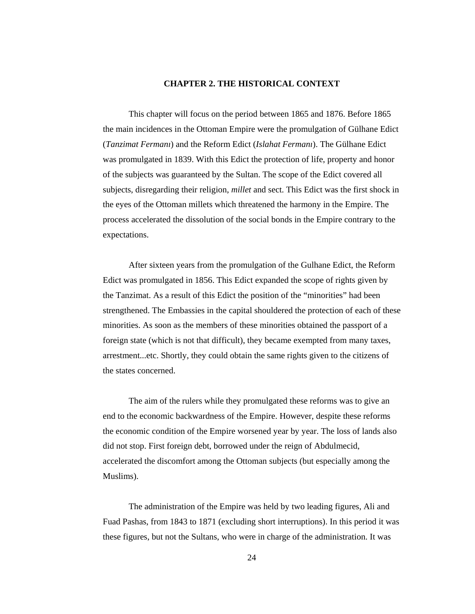### **CHAPTER 2. THE HISTORICAL CONTEXT**

This chapter will focus on the period between 1865 and 1876. Before 1865 the main incidences in the Ottoman Empire were the promulgation of Gülhane Edict (*Tanzimat Fermanı*) and the Reform Edict (*Islahat Fermanı*). The Gülhane Edict was promulgated in 1839. With this Edict the protection of life, property and honor of the subjects was guaranteed by the Sultan. The scope of the Edict covered all subjects, disregarding their religion, *millet* and sect. This Edict was the first shock in the eyes of the Ottoman millets which threatened the harmony in the Empire. The process accelerated the dissolution of the social bonds in the Empire contrary to the expectations.

After sixteen years from the promulgation of the Gulhane Edict, the Reform Edict was promulgated in 1856. This Edict expanded the scope of rights given by the Tanzimat. As a result of this Edict the position of the "minorities" had been strengthened. The Embassies in the capital shouldered the protection of each of these minorities. As soon as the members of these minorities obtained the passport of a foreign state (which is not that difficult), they became exempted from many taxes, arrestment...etc. Shortly, they could obtain the same rights given to the citizens of the states concerned.

The aim of the rulers while they promulgated these reforms was to give an end to the economic backwardness of the Empire. However, despite these reforms the economic condition of the Empire worsened year by year. The loss of lands also did not stop. First foreign debt, borrowed under the reign of Abdulmecid, accelerated the discomfort among the Ottoman subjects (but especially among the Muslims).

The administration of the Empire was held by two leading figures, Ali and Fuad Pashas, from 1843 to 1871 (excluding short interruptions). In this period it was these figures, but not the Sultans, who were in charge of the administration. It was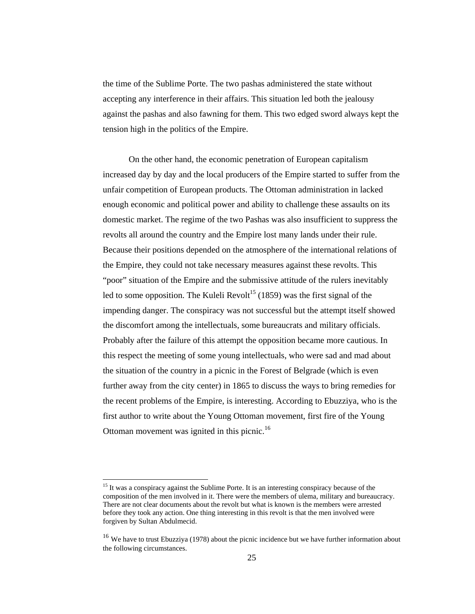the time of the Sublime Porte. The two pashas administered the state without accepting any interference in their affairs. This situation led both the jealousy against the pashas and also fawning for them. This two edged sword always kept the tension high in the politics of the Empire.

On the other hand, the economic penetration of European capitalism increased day by day and the local producers of the Empire started to suffer from the unfair competition of European products. The Ottoman administration in lacked enough economic and political power and ability to challenge these assaults on its domestic market. The regime of the two Pashas was also insufficient to suppress the revolts all around the country and the Empire lost many lands under their rule. Because their positions depended on the atmosphere of the international relations of the Empire, they could not take necessary measures against these revolts. This "poor" situation of the Empire and the submissive attitude of the rulers inevitably led to some opposition. The Kuleli Revolt<sup>15</sup> (1859) was the first signal of the impending danger. The conspiracy was not successful but the attempt itself showed the discomfort among the intellectuals, some bureaucrats and military officials. Probably after the failure of this attempt the opposition became more cautious. In this respect the meeting of some young intellectuals, who were sad and mad about the situation of the country in a picnic in the Forest of Belgrade (which is even further away from the city center) in 1865 to discuss the ways to bring remedies for the recent problems of the Empire, is interesting. According to Ebuzziya, who is the first author to write about the Young Ottoman movement, first fire of the Young Ottoman movement was ignited in this picnic.<sup>16</sup>

 $\ddot{\phantom{a}}$ 

<sup>&</sup>lt;sup>15</sup> It was a conspiracy against the Sublime Porte. It is an interesting conspiracy because of the composition of the men involved in it. There were the members of ulema, military and bureaucracy. There are not clear documents about the revolt but what is known is the members were arrested before they took any action. One thing interesting in this revolt is that the men involved were forgiven by Sultan Abdulmecid.

<sup>&</sup>lt;sup>16</sup> We have to trust Ebuzziya (1978) about the picnic incidence but we have further information about the following circumstances.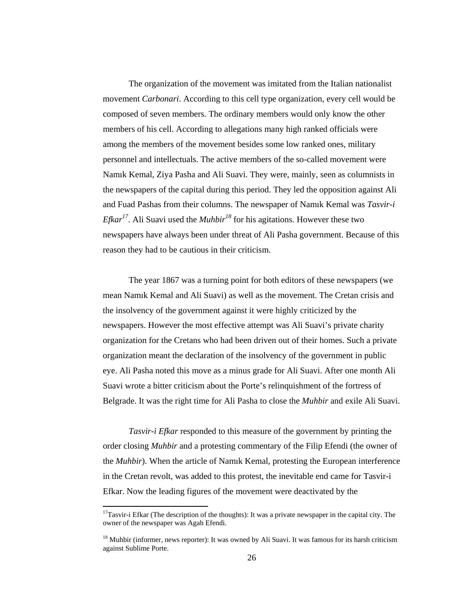The organization of the movement was imitated from the Italian nationalist movement *Carbonari*. According to this cell type organization, every cell would be composed of seven members. The ordinary members would only know the other members of his cell. According to allegations many high ranked officials were among the members of the movement besides some low ranked ones, military personnel and intellectuals. The active members of the so-called movement were Namık Kemal, Ziya Pasha and Ali Suavi. They were, mainly, seen as columnists in the newspapers of the capital during this period. They led the opposition against Ali and Fuad Pashas from their columns. The newspaper of Namık Kemal was *Tasvir-i Efkar<sup>17</sup>*. Ali Suavi used the *Muhbir<sup>18</sup>* for his agitations. However these two newspapers have always been under threat of Ali Pasha government. Because of this reason they had to be cautious in their criticism.

The year 1867 was a turning point for both editors of these newspapers (we mean Namık Kemal and Ali Suavi) as well as the movement. The Cretan crisis and the insolvency of the government against it were highly criticized by the newspapers. However the most effective attempt was Ali Suavi's private charity organization for the Cretans who had been driven out of their homes. Such a private organization meant the declaration of the insolvency of the government in public eye. Ali Pasha noted this move as a minus grade for Ali Suavi. After one month Ali Suavi wrote a bitter criticism about the Porte's relinquishment of the fortress of Belgrade. It was the right time for Ali Pasha to close the *Muhbir* and exile Ali Suavi.

*Tasvir-i Efkar* responded to this measure of the government by printing the order closing *Muhbir* and a protesting commentary of the Filip Efendi (the owner of the *Muhbir*). When the article of Namık Kemal, protesting the European interference in the Cretan revolt, was added to this protest, the inevitable end came for Tasvir-i Efkar. Now the leading figures of the movement were deactivated by the

 $\overline{a}$ 

 $17$ Tasvir-i Efkar (The description of the thoughts): It was a private newspaper in the capital city. The owner of the newspaper was Agah Efendi.

<sup>&</sup>lt;sup>18</sup> Muhbir (informer, news reporter): It was owned by Ali Suavi. It was famous for its harsh criticism against Sublime Porte.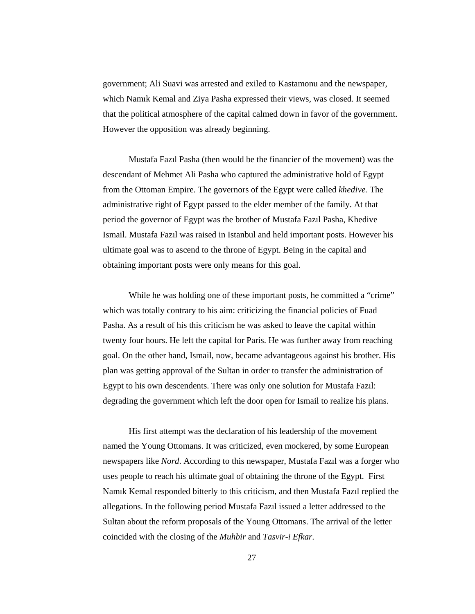government; Ali Suavi was arrested and exiled to Kastamonu and the newspaper, which Namık Kemal and Ziya Pasha expressed their views, was closed. It seemed that the political atmosphere of the capital calmed down in favor of the government. However the opposition was already beginning.

Mustafa Fazıl Pasha (then would be the financier of the movement) was the descendant of Mehmet Ali Pasha who captured the administrative hold of Egypt from the Ottoman Empire. The governors of the Egypt were called *khedive.* The administrative right of Egypt passed to the elder member of the family. At that period the governor of Egypt was the brother of Mustafa Fazıl Pasha, Khedive Ismail. Mustafa Fazıl was raised in Istanbul and held important posts. However his ultimate goal was to ascend to the throne of Egypt. Being in the capital and obtaining important posts were only means for this goal.

While he was holding one of these important posts, he committed a "crime" which was totally contrary to his aim: criticizing the financial policies of Fuad Pasha. As a result of his this criticism he was asked to leave the capital within twenty four hours. He left the capital for Paris. He was further away from reaching goal. On the other hand, Ismail, now, became advantageous against his brother. His plan was getting approval of the Sultan in order to transfer the administration of Egypt to his own descendents. There was only one solution for Mustafa Fazıl: degrading the government which left the door open for Ismail to realize his plans.

His first attempt was the declaration of his leadership of the movement named the Young Ottomans. It was criticized, even mockered, by some European newspapers like *Nord*. According to this newspaper, Mustafa Fazıl was a forger who uses people to reach his ultimate goal of obtaining the throne of the Egypt. First Namık Kemal responded bitterly to this criticism, and then Mustafa Fazıl replied the allegations. In the following period Mustafa Fazıl issued a letter addressed to the Sultan about the reform proposals of the Young Ottomans. The arrival of the letter coincided with the closing of the *Muhbir* and *Tasvir-i Efkar*.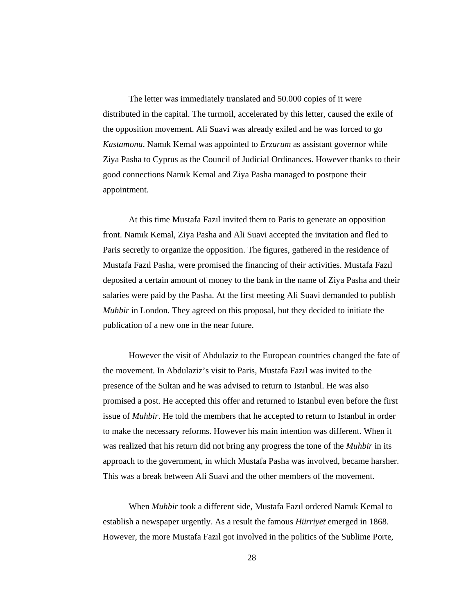The letter was immediately translated and 50.000 copies of it were distributed in the capital. The turmoil, accelerated by this letter, caused the exile of the opposition movement. Ali Suavi was already exiled and he was forced to go *Kastamonu*. Namık Kemal was appointed to *Erzurum* as assistant governor while Ziya Pasha to Cyprus as the Council of Judicial Ordinances. However thanks to their good connections Namık Kemal and Ziya Pasha managed to postpone their appointment.

At this time Mustafa Fazıl invited them to Paris to generate an opposition front. Namık Kemal, Ziya Pasha and Ali Suavi accepted the invitation and fled to Paris secretly to organize the opposition. The figures, gathered in the residence of Mustafa Fazıl Pasha, were promised the financing of their activities. Mustafa Fazıl deposited a certain amount of money to the bank in the name of Ziya Pasha and their salaries were paid by the Pasha. At the first meeting Ali Suavi demanded to publish *Muhbir* in London. They agreed on this proposal, but they decided to initiate the publication of a new one in the near future.

However the visit of Abdulaziz to the European countries changed the fate of the movement. In Abdulaziz's visit to Paris, Mustafa Fazıl was invited to the presence of the Sultan and he was advised to return to Istanbul. He was also promised a post. He accepted this offer and returned to Istanbul even before the first issue of *Muhbir*. He told the members that he accepted to return to Istanbul in order to make the necessary reforms. However his main intention was different. When it was realized that his return did not bring any progress the tone of the *Muhbir* in its approach to the government, in which Mustafa Pasha was involved, became harsher. This was a break between Ali Suavi and the other members of the movement.

When *Muhbir* took a different side, Mustafa Fazıl ordered Namık Kemal to establish a newspaper urgently. As a result the famous *Hürriyet* emerged in 1868. However, the more Mustafa Fazıl got involved in the politics of the Sublime Porte,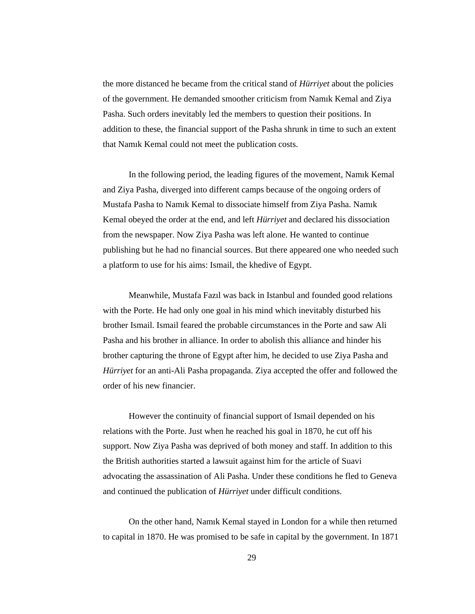the more distanced he became from the critical stand of *Hürriyet* about the policies of the government. He demanded smoother criticism from Namık Kemal and Ziya Pasha. Such orders inevitably led the members to question their positions. In addition to these, the financial support of the Pasha shrunk in time to such an extent that Namık Kemal could not meet the publication costs.

In the following period, the leading figures of the movement, Namık Kemal and Ziya Pasha, diverged into different camps because of the ongoing orders of Mustafa Pasha to Namık Kemal to dissociate himself from Ziya Pasha. Namık Kemal obeyed the order at the end, and left *Hürriyet* and declared his dissociation from the newspaper. Now Ziya Pasha was left alone. He wanted to continue publishing but he had no financial sources. But there appeared one who needed such a platform to use for his aims: Ismail, the khedive of Egypt.

Meanwhile, Mustafa Fazıl was back in Istanbul and founded good relations with the Porte. He had only one goal in his mind which inevitably disturbed his brother Ismail. Ismail feared the probable circumstances in the Porte and saw Ali Pasha and his brother in alliance. In order to abolish this alliance and hinder his brother capturing the throne of Egypt after him, he decided to use Ziya Pasha and *Hürriyet* for an anti-Ali Pasha propaganda. Ziya accepted the offer and followed the order of his new financier.

However the continuity of financial support of Ismail depended on his relations with the Porte. Just when he reached his goal in 1870, he cut off his support. Now Ziya Pasha was deprived of both money and staff. In addition to this the British authorities started a lawsuit against him for the article of Suavi advocating the assassination of Ali Pasha. Under these conditions he fled to Geneva and continued the publication of *Hürriyet* under difficult conditions.

On the other hand, Namık Kemal stayed in London for a while then returned to capital in 1870. He was promised to be safe in capital by the government. In 1871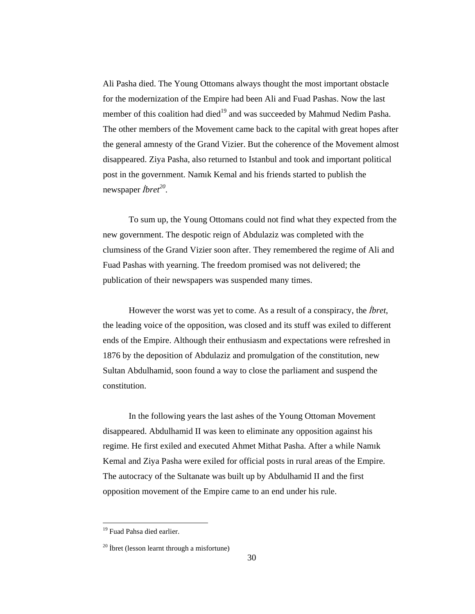Ali Pasha died. The Young Ottomans always thought the most important obstacle for the modernization of the Empire had been Ali and Fuad Pashas. Now the last member of this coalition had died<sup>19</sup> and was succeeded by Mahmud Nedim Pasha. The other members of the Movement came back to the capital with great hopes after the general amnesty of the Grand Vizier. But the coherence of the Movement almost disappeared. Ziya Pasha, also returned to Istanbul and took and important political post in the government. Namık Kemal and his friends started to publish the newspaper İ*bret<sup>20</sup>* .

To sum up, the Young Ottomans could not find what they expected from the new government. The despotic reign of Abdulaziz was completed with the clumsiness of the Grand Vizier soon after. They remembered the regime of Ali and Fuad Pashas with yearning. The freedom promised was not delivered; the publication of their newspapers was suspended many times.

However the worst was yet to come. As a result of a conspiracy, the İ*bret*, the leading voice of the opposition, was closed and its stuff was exiled to different ends of the Empire. Although their enthusiasm and expectations were refreshed in 1876 by the deposition of Abdulaziz and promulgation of the constitution, new Sultan Abdulhamid, soon found a way to close the parliament and suspend the constitution.

In the following years the last ashes of the Young Ottoman Movement disappeared. Abdulhamid II was keen to eliminate any opposition against his regime. He first exiled and executed Ahmet Mithat Pasha. After a while Namık Kemal and Ziya Pasha were exiled for official posts in rural areas of the Empire. The autocracy of the Sultanate was built up by Abdulhamid II and the first opposition movement of the Empire came to an end under his rule.

<sup>&</sup>lt;sup>19</sup> Fuad Pahsa died earlier.

<sup>20</sup> İbret (lesson learnt through a misfortune)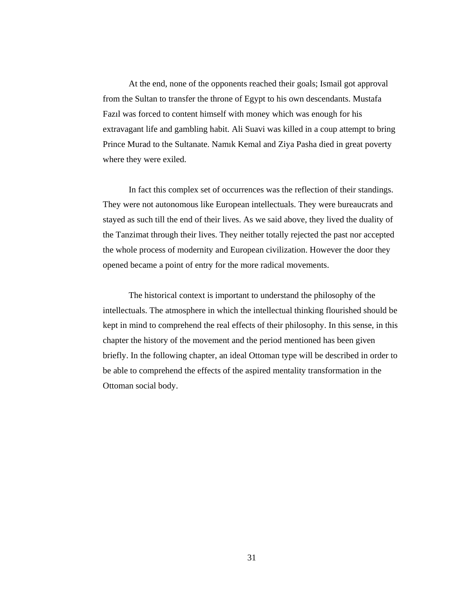At the end, none of the opponents reached their goals; Ismail got approval from the Sultan to transfer the throne of Egypt to his own descendants. Mustafa Fazıl was forced to content himself with money which was enough for his extravagant life and gambling habit. Ali Suavi was killed in a coup attempt to bring Prince Murad to the Sultanate. Namık Kemal and Ziya Pasha died in great poverty where they were exiled.

In fact this complex set of occurrences was the reflection of their standings. They were not autonomous like European intellectuals. They were bureaucrats and stayed as such till the end of their lives. As we said above, they lived the duality of the Tanzimat through their lives. They neither totally rejected the past nor accepted the whole process of modernity and European civilization. However the door they opened became a point of entry for the more radical movements.

The historical context is important to understand the philosophy of the intellectuals. The atmosphere in which the intellectual thinking flourished should be kept in mind to comprehend the real effects of their philosophy. In this sense, in this chapter the history of the movement and the period mentioned has been given briefly. In the following chapter, an ideal Ottoman type will be described in order to be able to comprehend the effects of the aspired mentality transformation in the Ottoman social body.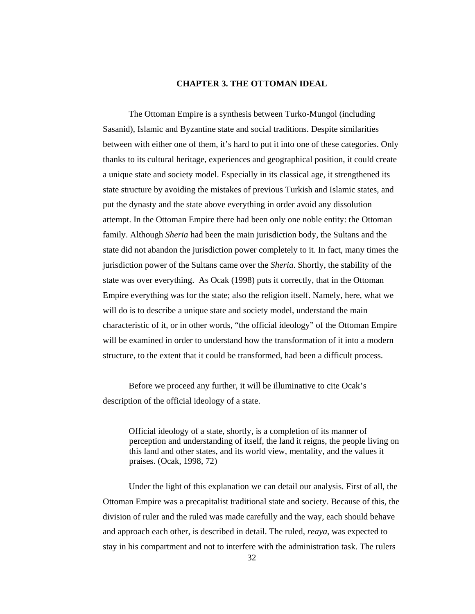## **CHAPTER 3. THE OTTOMAN IDEAL**

The Ottoman Empire is a synthesis between Turko-Mungol (including Sasanid), Islamic and Byzantine state and social traditions. Despite similarities between with either one of them, it's hard to put it into one of these categories. Only thanks to its cultural heritage, experiences and geographical position, it could create a unique state and society model. Especially in its classical age, it strengthened its state structure by avoiding the mistakes of previous Turkish and Islamic states, and put the dynasty and the state above everything in order avoid any dissolution attempt. In the Ottoman Empire there had been only one noble entity: the Ottoman family. Although *Sheria* had been the main jurisdiction body, the Sultans and the state did not abandon the jurisdiction power completely to it. In fact, many times the jurisdiction power of the Sultans came over the *Sheria*. Shortly, the stability of the state was over everything. As Ocak (1998) puts it correctly, that in the Ottoman Empire everything was for the state; also the religion itself. Namely, here, what we will do is to describe a unique state and society model, understand the main characteristic of it, or in other words, "the official ideology" of the Ottoman Empire will be examined in order to understand how the transformation of it into a modern structure, to the extent that it could be transformed, had been a difficult process.

Before we proceed any further, it will be illuminative to cite Ocak's description of the official ideology of a state.

Official ideology of a state, shortly, is a completion of its manner of perception and understanding of itself, the land it reigns, the people living on this land and other states, and its world view, mentality, and the values it praises. (Ocak, 1998, 72)

Under the light of this explanation we can detail our analysis. First of all, the Ottoman Empire was a precapitalist traditional state and society. Because of this, the division of ruler and the ruled was made carefully and the way, each should behave and approach each other, is described in detail. The ruled, *reaya*, was expected to stay in his compartment and not to interfere with the administration task. The rulers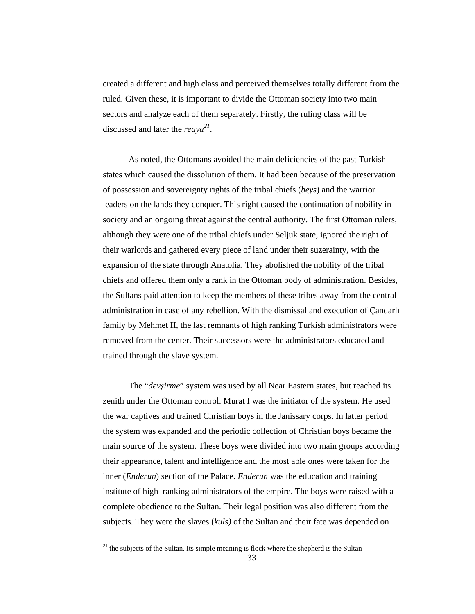created a different and high class and perceived themselves totally different from the ruled. Given these, it is important to divide the Ottoman society into two main sectors and analyze each of them separately. Firstly, the ruling class will be discussed and later the *reaya 21* .

As noted, the Ottomans avoided the main deficiencies of the past Turkish states which caused the dissolution of them. It had been because of the preservation of possession and sovereignty rights of the tribal chiefs (*beys*) and the warrior leaders on the lands they conquer. This right caused the continuation of nobility in society and an ongoing threat against the central authority. The first Ottoman rulers, although they were one of the tribal chiefs under Seljuk state, ignored the right of their warlords and gathered every piece of land under their suzerainty, with the expansion of the state through Anatolia. They abolished the nobility of the tribal chiefs and offered them only a rank in the Ottoman body of administration. Besides, the Sultans paid attention to keep the members of these tribes away from the central administration in case of any rebellion. With the dismissal and execution of Çandarlı family by Mehmet II, the last remnants of high ranking Turkish administrators were removed from the center. Their successors were the administrators educated and trained through the slave system.

 The "*dev*ş*irme*" system was used by all Near Eastern states, but reached its zenith under the Ottoman control. Murat I was the initiator of the system. He used the war captives and trained Christian boys in the Janissary corps. In latter period the system was expanded and the periodic collection of Christian boys became the main source of the system. These boys were divided into two main groups according their appearance, talent and intelligence and the most able ones were taken for the inner (*Enderun*) section of the Palace. *Enderun* was the education and training institute of high–ranking administrators of the empire. The boys were raised with a complete obedience to the Sultan. Their legal position was also different from the subjects. They were the slaves (*kuls)* of the Sultan and their fate was depended on

 $21$ <sup>21</sup> the subjects of the Sultan. Its simple meaning is flock where the shepherd is the Sultan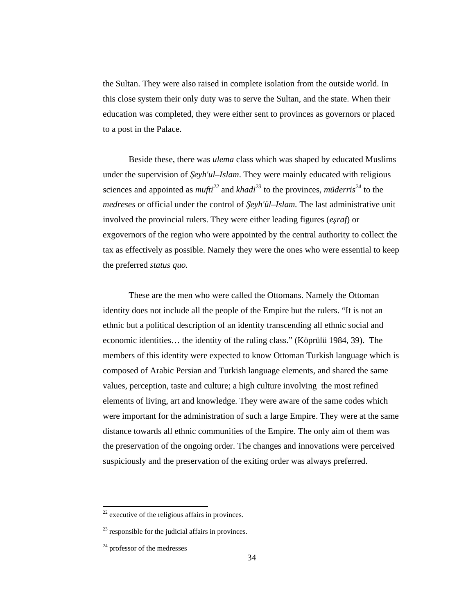the Sultan. They were also raised in complete isolation from the outside world. In this close system their only duty was to serve the Sultan, and the state. When their education was completed, they were either sent to provinces as governors or placed to a post in the Palace.

Beside these, there was *ulema* class which was shaped by educated Muslims under the supervision of Ş*eyh'ul–Islam*. They were mainly educated with religious sciences and appointed as  $mufti^{22}$  and  $khadi^{23}$  to the provinces,  $mideri s^{24}$  to the *medreses* or official under the control of Ş*eyh'ül–Islam.* The last administrative unit involved the provincial rulers. They were either leading figures (*e*ş*raf*) or exgovernors of the region who were appointed by the central authority to collect the tax as effectively as possible. Namely they were the ones who were essential to keep the preferred *status quo.*

These are the men who were called the Ottomans. Namely the Ottoman identity does not include all the people of the Empire but the rulers. "It is not an ethnic but a political description of an identity transcending all ethnic social and economic identities… the identity of the ruling class." (Köprülü 1984, 39). The members of this identity were expected to know Ottoman Turkish language which is composed of Arabic Persian and Turkish language elements, and shared the same values, perception, taste and culture; a high culture involving the most refined elements of living, art and knowledge. They were aware of the same codes which were important for the administration of such a large Empire. They were at the same distance towards all ethnic communities of the Empire. The only aim of them was the preservation of the ongoing order. The changes and innovations were perceived suspiciously and the preservation of the exiting order was always preferred.

 $22$  executive of the religious affairs in provinces.

 $23$  responsible for the judicial affairs in provinces.

 $24$  professor of the medresses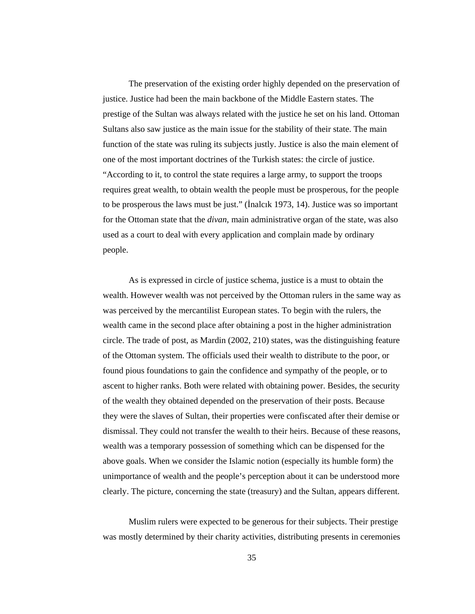The preservation of the existing order highly depended on the preservation of justice. Justice had been the main backbone of the Middle Eastern states. The prestige of the Sultan was always related with the justice he set on his land. Ottoman Sultans also saw justice as the main issue for the stability of their state. The main function of the state was ruling its subjects justly. Justice is also the main element of one of the most important doctrines of the Turkish states: the circle of justice. "According to it, to control the state requires a large army, to support the troops requires great wealth, to obtain wealth the people must be prosperous, for the people to be prosperous the laws must be just." (İnalcık 1973, 14). Justice was so important for the Ottoman state that the *divan*, main administrative organ of the state, was also used as a court to deal with every application and complain made by ordinary people.

As is expressed in circle of justice schema, justice is a must to obtain the wealth. However wealth was not perceived by the Ottoman rulers in the same way as was perceived by the mercantilist European states. To begin with the rulers, the wealth came in the second place after obtaining a post in the higher administration circle. The trade of post, as Mardin (2002, 210) states, was the distinguishing feature of the Ottoman system. The officials used their wealth to distribute to the poor, or found pious foundations to gain the confidence and sympathy of the people, or to ascent to higher ranks. Both were related with obtaining power. Besides, the security of the wealth they obtained depended on the preservation of their posts. Because they were the slaves of Sultan, their properties were confiscated after their demise or dismissal. They could not transfer the wealth to their heirs. Because of these reasons, wealth was a temporary possession of something which can be dispensed for the above goals. When we consider the Islamic notion (especially its humble form) the unimportance of wealth and the people's perception about it can be understood more clearly. The picture, concerning the state (treasury) and the Sultan, appears different.

Muslim rulers were expected to be generous for their subjects. Their prestige was mostly determined by their charity activities, distributing presents in ceremonies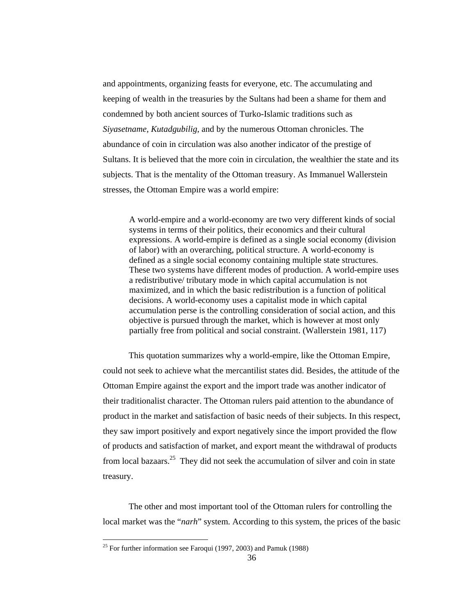and appointments, organizing feasts for everyone, etc. The accumulating and keeping of wealth in the treasuries by the Sultans had been a shame for them and condemned by both ancient sources of Turko-Islamic traditions such as *Siyasetname, Kutadgubilig*, and by the numerous Ottoman chronicles. The abundance of coin in circulation was also another indicator of the prestige of Sultans. It is believed that the more coin in circulation, the wealthier the state and its subjects. That is the mentality of the Ottoman treasury. As Immanuel Wallerstein stresses, the Ottoman Empire was a world empire:

A world-empire and a world-economy are two very different kinds of social systems in terms of their politics, their economics and their cultural expressions. A world-empire is defined as a single social economy (division of labor) with an overarching, political structure. A world-economy is defined as a single social economy containing multiple state structures. These two systems have different modes of production. A world-empire uses a redistributive/ tributary mode in which capital accumulation is not maximized, and in which the basic redistribution is a function of political decisions. A world-economy uses a capitalist mode in which capital accumulation perse is the controlling consideration of social action, and this objective is pursued through the market, which is however at most only partially free from political and social constraint. (Wallerstein 1981, 117)

This quotation summarizes why a world-empire, like the Ottoman Empire, could not seek to achieve what the mercantilist states did. Besides, the attitude of the Ottoman Empire against the export and the import trade was another indicator of their traditionalist character. The Ottoman rulers paid attention to the abundance of product in the market and satisfaction of basic needs of their subjects. In this respect, they saw import positively and export negatively since the import provided the flow of products and satisfaction of market, and export meant the withdrawal of products from local bazaars.<sup>25</sup> They did not seek the accumulation of silver and coin in state treasury.

The other and most important tool of the Ottoman rulers for controlling the local market was the "*narh*" system. According to this system, the prices of the basic

<sup>&</sup>lt;sup>25</sup> For further information see Faroqui (1997, 2003) and Pamuk (1988)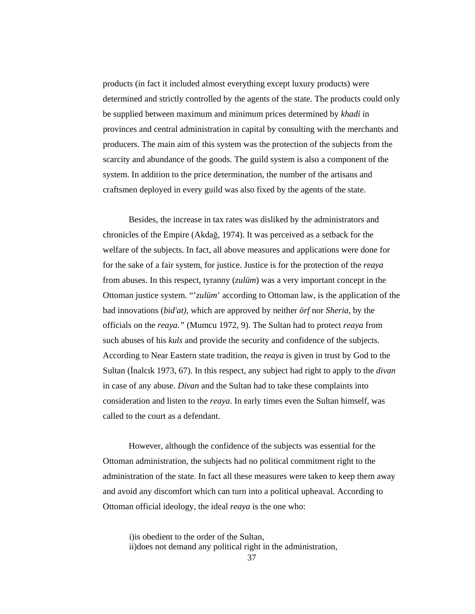products (in fact it included almost everything except luxury products) were determined and strictly controlled by the agents of the state. The products could only be supplied between maximum and minimum prices determined by *khadi* in provinces and central administration in capital by consulting with the merchants and producers. The main aim of this system was the protection of the subjects from the scarcity and abundance of the goods. The guild system is also a component of the system. In addition to the price determination, the number of the artisans and craftsmen deployed in every guild was also fixed by the agents of the state.

Besides, the increase in tax rates was disliked by the administrators and chronicles of the Empire (Akdağ, 1974). It was perceived as a setback for the welfare of the subjects. In fact, all above measures and applications were done for for the sake of a fair system, for justice. Justice is for the protection of the *reaya* from abuses. In this respect, tyranny (*zulüm*) was a very important concept in the Ottoman justice system. "'*zulüm*' according to Ottoman law, is the application of the bad innovations (*bid'at)*, which are approved by neither *örf* nor *Sheria*, by the officials on the *reaya."* (Mumcu 1972, 9). The Sultan had to protect *reaya* from such abuses of his *kuls* and provide the security and confidence of the subjects. According to Near Eastern state tradition, the *reaya* is given in trust by God to the Sultan (İnalcık 1973, 67). In this respect, any subject had right to apply to the *divan* in case of any abuse. *Divan* and the Sultan had to take these complaints into consideration and listen to the *reaya*. In early times even the Sultan himself, was called to the court as a defendant.

 However, although the confidence of the subjects was essential for the Ottoman administration, the subjects had no political commitment right to the administration of the state. In fact all these measures were taken to keep them away and avoid any discomfort which can turn into a political upheaval. According to Ottoman official ideology, the ideal *reaya* is the one who:

i)is obedient to the order of the Sultan, ii)does not demand any political right in the administration,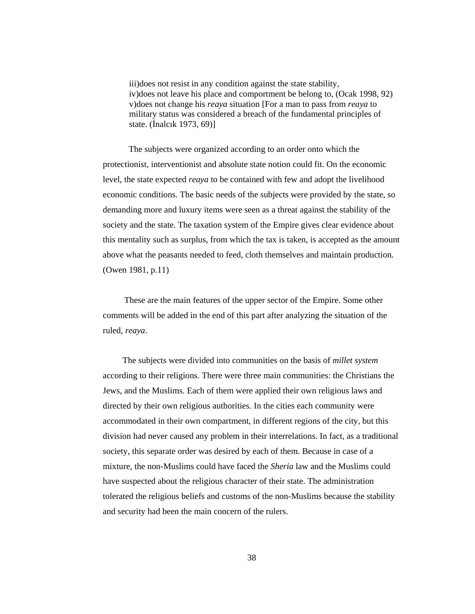iii)does not resist in any condition against the state stability, iv)does not leave his place and comportment be belong to, (Ocak 1998, 92) v)does not change his *reaya* situation [For a man to pass from *reaya* to military status was considered a breach of the fundamental principles of state. (İnalcık 1973, 69)]

The subjects were organized according to an order onto which the protectionist, interventionist and absolute state notion could fit. On the economic level, the state expected *reaya* to be contained with few and adopt the livelihood economic conditions. The basic needs of the subjects were provided by the state, so demanding more and luxury items were seen as a threat against the stability of the society and the state. The taxation system of the Empire gives clear evidence about this mentality such as surplus, from which the tax is taken, is accepted as the amount above what the peasants needed to feed, cloth themselves and maintain production. (Owen 1981, p.11)

These are the main features of the upper sector of the Empire. Some other comments will be added in the end of this part after analyzing the situation of the ruled, *reaya*.

The subjects were divided into communities on the basis of *millet system* according to their religions. There were three main communities: the Christians the Jews, and the Muslims. Each of them were applied their own religious laws and directed by their own religious authorities. In the cities each community were accommodated in their own compartment, in different regions of the city, but this division had never caused any problem in their interrelations. In fact, as a traditional society, this separate order was desired by each of them. Because in case of a mixture, the non-Muslims could have faced the *Sheria* law and the Muslims could have suspected about the religious character of their state. The administration tolerated the religious beliefs and customs of the non-Muslims because the stability and security had been the main concern of the rulers.

38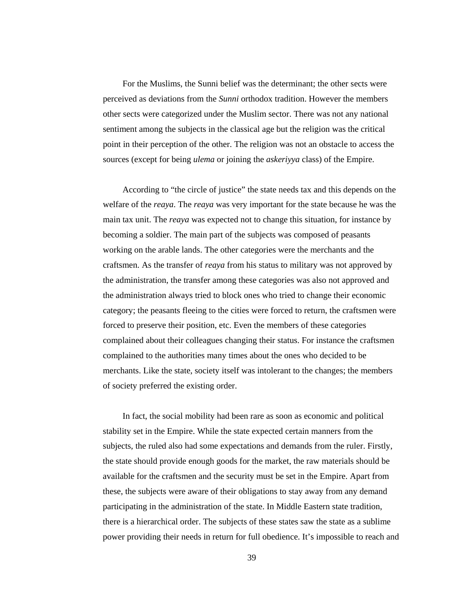For the Muslims, the Sunni belief was the determinant; the other sects were perceived as deviations from the *Sunni* orthodox tradition. However the members other sects were categorized under the Muslim sector. There was not any national sentiment among the subjects in the classical age but the religion was the critical point in their perception of the other. The religion was not an obstacle to access the sources (except for being *ulema* or joining the *askeriyya* class) of the Empire.

According to "the circle of justice" the state needs tax and this depends on the welfare of the *reaya*. The *reaya* was very important for the state because he was the main tax unit. The *reaya* was expected not to change this situation, for instance by becoming a soldier. The main part of the subjects was composed of peasants working on the arable lands. The other categories were the merchants and the craftsmen. As the transfer of *reaya* from his status to military was not approved by the administration, the transfer among these categories was also not approved and the administration always tried to block ones who tried to change their economic category; the peasants fleeing to the cities were forced to return, the craftsmen were forced to preserve their position, etc. Even the members of these categories complained about their colleagues changing their status. For instance the craftsmen complained to the authorities many times about the ones who decided to be merchants. Like the state, society itself was intolerant to the changes; the members of society preferred the existing order.

In fact, the social mobility had been rare as soon as economic and political stability set in the Empire. While the state expected certain manners from the subjects, the ruled also had some expectations and demands from the ruler. Firstly, the state should provide enough goods for the market, the raw materials should be available for the craftsmen and the security must be set in the Empire. Apart from these, the subjects were aware of their obligations to stay away from any demand participating in the administration of the state. In Middle Eastern state tradition, there is a hierarchical order. The subjects of these states saw the state as a sublime power providing their needs in return for full obedience. It's impossible to reach and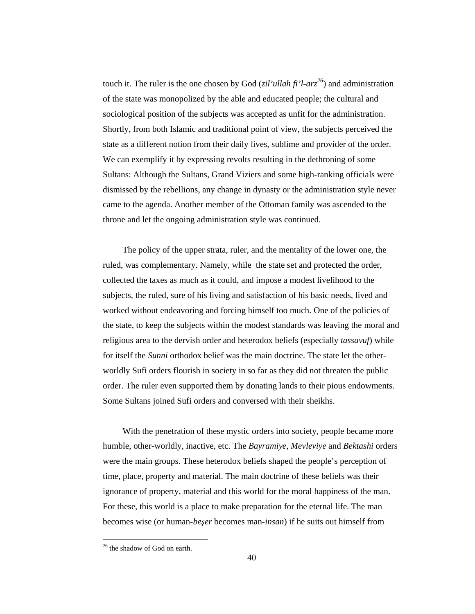touch it. The ruler is the one chosen by God (*zil'ullah fi'l-arz<sup>26</sup>*) and administration of the state was monopolized by the able and educated people; the cultural and sociological position of the subjects was accepted as unfit for the administration. Shortly, from both Islamic and traditional point of view, the subjects perceived the state as a different notion from their daily lives, sublime and provider of the order. We can exemplify it by expressing revolts resulting in the dethroning of some Sultans: Although the Sultans, Grand Viziers and some high-ranking officials were dismissed by the rebellions, any change in dynasty or the administration style never came to the agenda. Another member of the Ottoman family was ascended to the throne and let the ongoing administration style was continued.

The policy of the upper strata, ruler, and the mentality of the lower one, the ruled, was complementary. Namely, while the state set and protected the order, collected the taxes as much as it could, and impose a modest livelihood to the subjects, the ruled, sure of his living and satisfaction of his basic needs, lived and worked without endeavoring and forcing himself too much. One of the policies of the state, to keep the subjects within the modest standards was leaving the moral and religious area to the dervish order and heterodox beliefs (especially *tassavuf*) while for itself the *Sunni* orthodox belief was the main doctrine. The state let the otherworldly Sufi orders flourish in society in so far as they did not threaten the public order. The ruler even supported them by donating lands to their pious endowments. Some Sultans joined Sufi orders and conversed with their sheikhs.

With the penetration of these mystic orders into society, people became more humble, other-worldly, inactive, etc. The *Bayramiye, Mevleviye* and *Bektashi* orders were the main groups. These heterodox beliefs shaped the people's perception of time, place, property and material. The main doctrine of these beliefs was their ignorance of property, material and this world for the moral happiness of the man. For these, this world is a place to make preparation for the eternal life. The man becomes wise (or human-*be*ş*er* becomes man-*insan*) if he suits out himself from

<sup>&</sup>lt;sup>26</sup> the shadow of God on earth.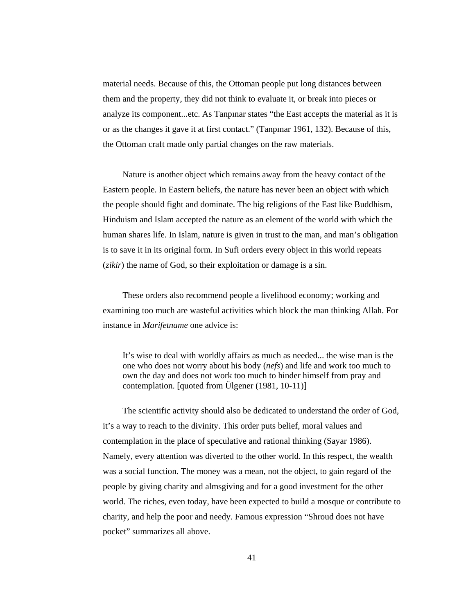material needs. Because of this, the Ottoman people put long distances between them and the property, they did not think to evaluate it, or break into pieces or analyze its component...etc. As Tanpınar states "the East accepts the material as it is or as the changes it gave it at first contact." (Tanpınar 1961, 132). Because of this, the Ottoman craft made only partial changes on the raw materials.

Nature is another object which remains away from the heavy contact of the Eastern people. In Eastern beliefs, the nature has never been an object with which the people should fight and dominate. The big religions of the East like Buddhism, Hinduism and Islam accepted the nature as an element of the world with which the human shares life. In Islam, nature is given in trust to the man, and man's obligation is to save it in its original form. In Sufi orders every object in this world repeats (*zikir*) the name of God, so their exploitation or damage is a sin.

These orders also recommend people a livelihood economy; working and examining too much are wasteful activities which block the man thinking Allah. For instance in *Marifetname* one advice is:

It's wise to deal with worldly affairs as much as needed... the wise man is the one who does not worry about his body (*nefs*) and life and work too much to own the day and does not work too much to hinder himself from pray and contemplation. [quoted from Ülgener (1981, 10-11)]

The scientific activity should also be dedicated to understand the order of God, it's a way to reach to the divinity. This order puts belief, moral values and contemplation in the place of speculative and rational thinking (Sayar 1986). Namely, every attention was diverted to the other world. In this respect, the wealth was a social function. The money was a mean, not the object, to gain regard of the people by giving charity and almsgiving and for a good investment for the other world. The riches, even today, have been expected to build a mosque or contribute to charity, and help the poor and needy. Famous expression "Shroud does not have pocket" summarizes all above.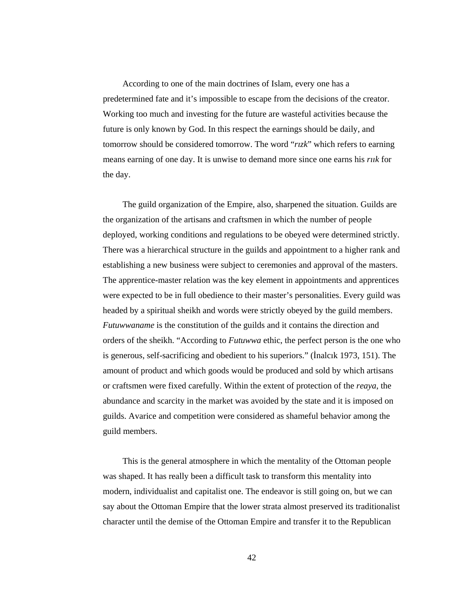According to one of the main doctrines of Islam, every one has a predetermined fate and it's impossible to escape from the decisions of the creator. Working too much and investing for the future are wasteful activities because the future is only known by God. In this respect the earnings should be daily, and tomorrow should be considered tomorrow. The word "*rızk*" which refers to earning means earning of one day. It is unwise to demand more since one earns his *rıık* for the day.

The guild organization of the Empire, also, sharpened the situation. Guilds are the organization of the artisans and craftsmen in which the number of people deployed, working conditions and regulations to be obeyed were determined strictly. There was a hierarchical structure in the guilds and appointment to a higher rank and establishing a new business were subject to ceremonies and approval of the masters. The apprentice-master relation was the key element in appointments and apprentices were expected to be in full obedience to their master's personalities. Every guild was headed by a spiritual sheikh and words were strictly obeyed by the guild members. *Futuwwaname* is the constitution of the guilds and it contains the direction and orders of the sheikh. "According to *Futuwwa* ethic, the perfect person is the one who is generous, self-sacrificing and obedient to his superiors." (İnalcık 1973, 151). The amount of product and which goods would be produced and sold by which artisans or craftsmen were fixed carefully. Within the extent of protection of the *reaya*, the abundance and scarcity in the market was avoided by the state and it is imposed on guilds. Avarice and competition were considered as shameful behavior among the guild members.

This is the general atmosphere in which the mentality of the Ottoman people was shaped. It has really been a difficult task to transform this mentality into modern, individualist and capitalist one. The endeavor is still going on, but we can say about the Ottoman Empire that the lower strata almost preserved its traditionalist character until the demise of the Ottoman Empire and transfer it to the Republican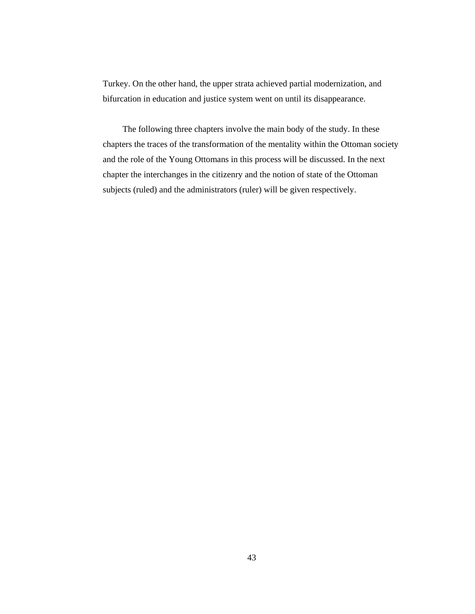Turkey. On the other hand, the upper strata achieved partial modernization, and bifurcation in education and justice system went on until its disappearance.

The following three chapters involve the main body of the study. In these chapters the traces of the transformation of the mentality within the Ottoman society and the role of the Young Ottomans in this process will be discussed. In the next chapter the interchanges in the citizenry and the notion of state of the Ottoman subjects (ruled) and the administrators (ruler) will be given respectively.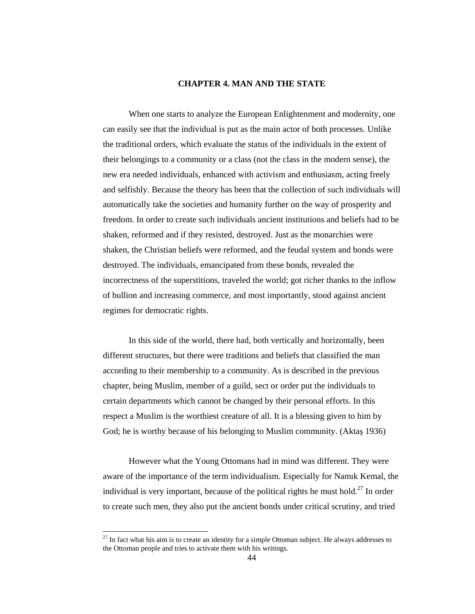## **CHAPTER 4. MAN AND THE STATE**

 When one starts to analyze the European Enlightenment and modernity, one can easily see that the individual is put as the main actor of both processes. Unlike the traditional orders, which evaluate the status of the individuals in the extent of their belongings to a community or a class (not the class in the modern sense), the new era needed individuals, enhanced with activism and enthusiasm, acting freely and selfishly. Because the theory has been that the collection of such individuals will automatically take the societies and humanity further on the way of prosperity and freedom. In order to create such individuals ancient institutions and beliefs had to be shaken, reformed and if they resisted, destroyed. Just as the monarchies were shaken, the Christian beliefs were reformed, and the feudal system and bonds were destroyed. The individuals, emancipated from these bonds, revealed the incorrectness of the superstitions, traveled the world; got richer thanks to the inflow of bullion and increasing commerce, and most importantly, stood against ancient regimes for democratic rights.

 In this side of the world, there had, both vertically and horizontally, been different structures, but there were traditions and beliefs that classified the man according to their membership to a community. As is described in the previous chapter, being Muslim, member of a guild, sect or order put the individuals to certain departments which cannot be changed by their personal efforts. In this respect a Muslim is the worthiest creature of all. It is a blessing given to him by God; he is worthy because of his belonging to Muslim community. (Aktaş 1936)

 However what the Young Ottomans had in mind was different. They were aware of the importance of the term individualism. Especially for Namık Kemal, the individual is very important, because of the political rights he must hold.<sup>27</sup> In order to create such men, they also put the ancient bonds under critical scrutiny, and tried

 $27$  In fact what his aim is to create an identity for a simple Ottoman subject. He always addresses to the Ottoman people and tries to activate them with his writings.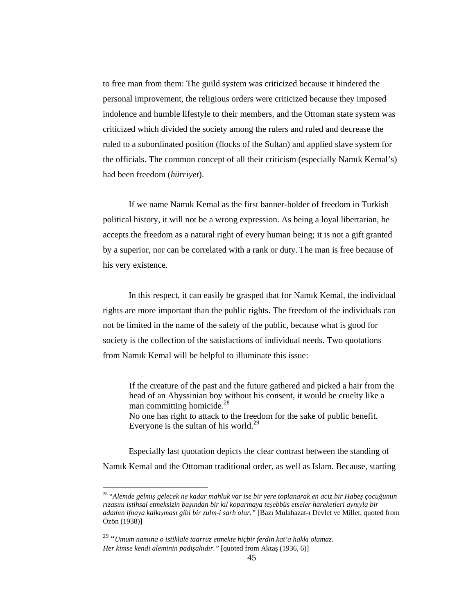to free man from them: The guild system was criticized because it hindered the personal improvement, the religious orders were criticized because they imposed indolence and humble lifestyle to their members, and the Ottoman state system was criticized which divided the society among the rulers and ruled and decrease the ruled to a subordinated position (flocks of the Sultan) and applied slave system for the officials. The common concept of all their criticism (especially Namık Kemal's) had been freedom (*hürriyet*).

 If we name Namık Kemal as the first banner-holder of freedom in Turkish political history, it will not be a wrong expression. As being a loyal libertarian, he accepts the freedom as a natural right of every human being; it is not a gift granted by a superior, nor can be correlated with a rank or duty. The man is free because of his very existence.

 In this respect, it can easily be grasped that for Namık Kemal, the individual rights are more important than the public rights. The freedom of the individuals can not be limited in the name of the safety of the public, because what is good for society is the collection of the satisfactions of individual needs. Two quotations from Namık Kemal will be helpful to illuminate this issue:

 If the creature of the past and the future gathered and picked a hair from the head of an Abyssinian boy without his consent, it would be cruelty like a man committing homicide.<sup>28</sup> No one has right to attack to the freedom for the sake of public benefit. Everyone is the sultan of his world. $^{29}$ 

 Especially last quotation depicts the clear contrast between the standing of Namık Kemal and the Ottoman traditional order, as well as Islam. Because, starting

<sup>28</sup> "*Alemde gelmi*ş *gelecek ne kadar mahluk var ise bir yere toplanarak en aciz bir Habe*ş *çocu*ğ*unun rızasını istihsal etmeksizin ba*ş*ından bir kıl koparmaya te*ş*ebbüs etseler hareketleri aynıyla bir adamın ifnaya kalkı*ş*ması gibi bir zulm-i sarh olur."* [Bazı Mulahazat-ı Devlet ve Millet, quoted from Özön (1938)]

<sup>29</sup> "*Umum namına o istiklale taarruz etmekte hiçbir ferdin kat'a hakkı olamaz. Her kimse kendi aleminin padi*ş*ahıdır."* [quoted from Aktaş (1936, 6)]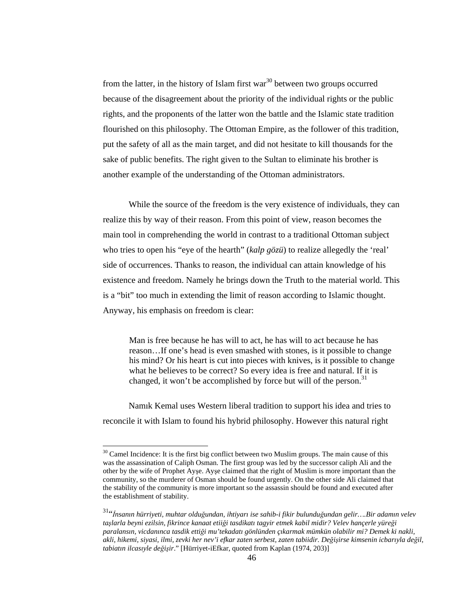from the latter, in the history of Islam first war<sup>30</sup> between two groups occurred because of the disagreement about the priority of the individual rights or the public rights, and the proponents of the latter won the battle and the Islamic state tradition flourished on this philosophy. The Ottoman Empire, as the follower of this tradition, put the safety of all as the main target, and did not hesitate to kill thousands for the sake of public benefits. The right given to the Sultan to eliminate his brother is another example of the understanding of the Ottoman administrators.

 While the source of the freedom is the very existence of individuals, they can realize this by way of their reason. From this point of view, reason becomes the main tool in comprehending the world in contrast to a traditional Ottoman subject who tries to open his "eye of the hearth" (*kalp gözü*) to realize allegedly the 'real' side of occurrences. Thanks to reason, the individual can attain knowledge of his existence and freedom. Namely he brings down the Truth to the material world. This is a "bit" too much in extending the limit of reason according to Islamic thought. Anyway, his emphasis on freedom is clear:

 Man is free because he has will to act, he has will to act because he has reason…If one's head is even smashed with stones, is it possible to change his mind? Or his heart is cut into pieces with knives, is it possible to change what he believes to be correct? So every idea is free and natural. If it is changed, it won't be accomplished by force but will of the person.<sup>31</sup>

 Namık Kemal uses Western liberal tradition to support his idea and tries to reconcile it with Islam to found his hybrid philosophy. However this natural right

 $30$  Camel Incidence: It is the first big conflict between two Muslim groups. The main cause of this was the assassination of Caliph Osman. The first group was led by the successor caliph Ali and the other by the wife of Prophet Ayşe. Ayşe claimed that the right of Muslim is more important than the community, so the murderer of Osman should be found urgently. On the other side Ali claimed that the stability of the community is more important so the assassin should be found and executed after the establishment of stability.

<sup>31</sup>"İ*nsanın hürriyeti, muhtar oldu*ğ*undan, ihtiyarı ise sahib-i fikir bulundu*ğ*undan gelir….Bir adamın velev ta*ş*larla beyni ezilsin, fikrince kanaat etii*ğ*i tasdikatı tagyir etmek kabil midir? Velev hançerle yüre*ğ*i paralansın, vicdanınca tasdik etti*ğ*i mu'tekadatı gönlünden çıkarmak mümkün olabilir mi? Demek ki nakli, akli, hikemi, siyasi, ilmi, zevki her nev'i efkar zaten serbest, zaten tabiidir. De*ğ*i*ş*irse kimsenin icbarıyla de*ğ*il, tabiatın ilcasıyle de*ğ*i*ş*ir*." [Hürriyet-iEfkar, quoted from Kaplan (1974, 203)]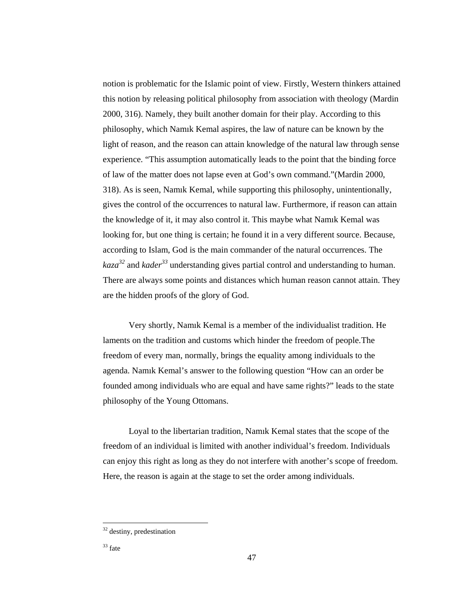notion is problematic for the Islamic point of view. Firstly, Western thinkers attained this notion by releasing political philosophy from association with theology (Mardin 2000, 316). Namely, they built another domain for their play. According to this philosophy, which Namık Kemal aspires, the law of nature can be known by the light of reason, and the reason can attain knowledge of the natural law through sense experience. "This assumption automatically leads to the point that the binding force of law of the matter does not lapse even at God's own command."(Mardin 2000, 318). As is seen, Namık Kemal, while supporting this philosophy, unintentionally, gives the control of the occurrences to natural law. Furthermore, if reason can attain the knowledge of it, it may also control it. This maybe what Namık Kemal was looking for, but one thing is certain; he found it in a very different source. Because, according to Islam, God is the main commander of the natural occurrences. The *kaza<sup>32</sup>* and *kader<sup>33</sup>* understanding gives partial control and understanding to human. There are always some points and distances which human reason cannot attain. They are the hidden proofs of the glory of God.

 Very shortly, Namık Kemal is a member of the individualist tradition. He laments on the tradition and customs which hinder the freedom of people. The freedom of every man, normally, brings the equality among individuals to the agenda. Namık Kemal's answer to the following question "How can an order be founded among individuals who are equal and have same rights?" leads to the state philosophy of the Young Ottomans.

 Loyal to the libertarian tradition, Namık Kemal states that the scope of the freedom of an individual is limited with another individual's freedom. Individuals can enjoy this right as long as they do not interfere with another's scope of freedom. Here, the reason is again at the stage to set the order among individuals.

<sup>&</sup>lt;sup>32</sup> destiny, predestination

<sup>33</sup> fate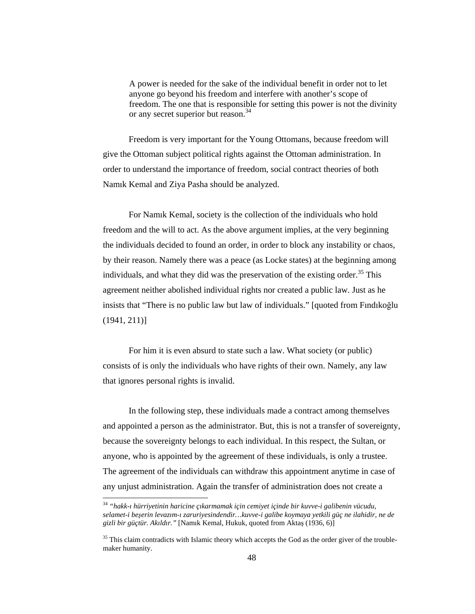A power is needed for the sake of the individual benefit in order not to let anyone go beyond his freedom and interfere with another's scope of freedom. The one that is responsible for setting this power is not the divinity or any secret superior but reason.<sup>34</sup>

 Freedom is very important for the Young Ottomans, because freedom will give the Ottoman subject political rights against the Ottoman administration. In order to understand the importance of freedom, social contract theories of both Namık Kemal and Ziya Pasha should be analyzed.

 For Namık Kemal, society is the collection of the individuals who hold freedom and the will to act. As the above argument implies, at the very beginning the individuals decided to found an order, in order to block any instability or chaos, by their reason. Namely there was a peace (as Locke states) at the beginning among individuals, and what they did was the preservation of the existing order.<sup>35</sup> This agreement neither abolished individual rights nor created a public law. Just as he insists that "There is no public law but law of individuals." [quoted from Fındıkoğlu (1941, 211)]

 For him it is even absurd to state such a law. What society (or public) consists of is only the individuals who have rights of their own. Namely, any law that ignores personal rights is invalid.

 In the following step, these individuals made a contract among themselves and appointed a person as the administrator. But, this is not a transfer of sovereignty, because the sovereignty belongs to each individual. In this respect, the Sultan, or anyone, who is appointed by the agreement of these individuals, is only a trustee. The agreement of the individuals can withdraw this appointment anytime in case of any unjust administration. Again the transfer of administration does not create a

<sup>34</sup> *"hakk-ı hürriyetinin haricine çıkarmamak için cemiyet içinde bir kuvve-i galibenin vücudu, selamet-i be*ş*erin levazım-ı zaruriyesindendir…kuvve-i galibe koymaya yetkili güç ne ilahidir, ne de gizli bir güçtür. Akıldır."* [Namık Kemal, Hukuk, quoted from Aktaş (1936, 6)]

<sup>&</sup>lt;sup>35</sup> This claim contradicts with Islamic theory which accepts the God as the order giver of the troublemaker humanity.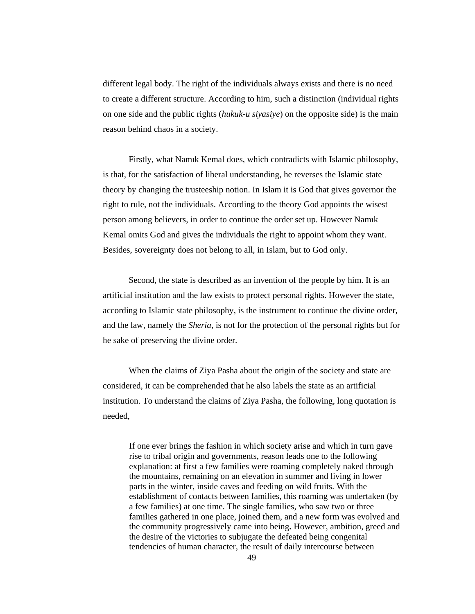different legal body. The right of the individuals always exists and there is no need to create a different structure. According to him, such a distinction (individual rights on one side and the public rights (*hukuk-u siyasiye*) on the opposite side) is the main reason behind chaos in a society.

 Firstly, what Namık Kemal does, which contradicts with Islamic philosophy, is that, for the satisfaction of liberal understanding, he reverses the Islamic state theory by changing the trusteeship notion. In Islam it is God that gives governor the right to rule, not the individuals. According to the theory God appoints the wisest person among believers, in order to continue the order set up. However Namık Kemal omits God and gives the individuals the right to appoint whom they want. Besides, sovereignty does not belong to all, in Islam, but to God only.

 Second, the state is described as an invention of the people by him. It is an artificial institution and the law exists to protect personal rights. However the state, according to Islamic state philosophy, is the instrument to continue the divine order, and the law, namely the *Sheria*, is not for the protection of the personal rights but for he sake of preserving the divine order.

When the claims of Ziya Pasha about the origin of the society and state are considered, it can be comprehended that he also labels the state as an artificial institution. To understand the claims of Ziya Pasha, the following, long quotation is needed,

 If one ever brings the fashion in which society arise and which in turn gave rise to tribal origin and governments, reason leads one to the following explanation: at first a few families were roaming completely naked through the mountains, remaining on an elevation in summer and living in lower parts in the winter, inside caves and feeding on wild fruits. With the establishment of contacts between families, this roaming was undertaken (by a few families) at one time. The single families, who saw two or three families gathered in one place, joined them, and a new form was evolved and the community progressively came into being**.** However, ambition, greed and the desire of the victories to subjugate the defeated being congenital tendencies of human character, the result of daily intercourse between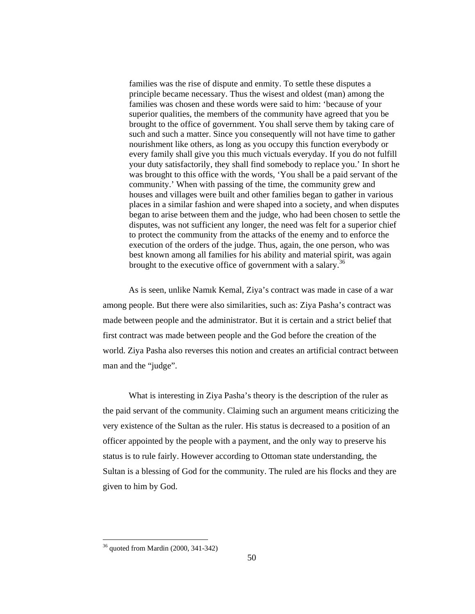families was the rise of dispute and enmity. To settle these disputes a principle became necessary. Thus the wisest and oldest (man) among the families was chosen and these words were said to him: 'because of your superior qualities, the members of the community have agreed that you be brought to the office of government. You shall serve them by taking care of such and such a matter. Since you consequently will not have time to gather nourishment like others, as long as you occupy this function everybody or every family shall give you this much victuals everyday. If you do not fulfill your duty satisfactorily, they shall find somebody to replace you.' In short he was brought to this office with the words, 'You shall be a paid servant of the community.' When with passing of the time, the community grew and houses and villages were built and other families began to gather in various places in a similar fashion and were shaped into a society, and when disputes began to arise between them and the judge, who had been chosen to settle the disputes, was not sufficient any longer, the need was felt for a superior chief to protect the community from the attacks of the enemy and to enforce the execution of the orders of the judge. Thus, again, the one person, who was best known among all families for his ability and material spirit, was again brought to the executive office of government with a salary.<sup>36</sup>

 As is seen, unlike Namık Kemal, Ziya's contract was made in case of a war among people. But there were also similarities, such as: Ziya Pasha's contract was made between people and the administrator. But it is certain and a strict belief that first contract was made between people and the God before the creation of the world. Ziya Pasha also reverses this notion and creates an artificial contract between man and the "judge".

 What is interesting in Ziya Pasha's theory is the description of the ruler as the paid servant of the community. Claiming such an argument means criticizing the very existence of the Sultan as the ruler. His status is decreased to a position of an officer appointed by the people with a payment, and the only way to preserve his status is to rule fairly. However according to Ottoman state understanding, the Sultan is a blessing of God for the community. The ruled are his flocks and they are given to him by God.

<sup>36</sup> quoted from Mardin (2000, 341-342)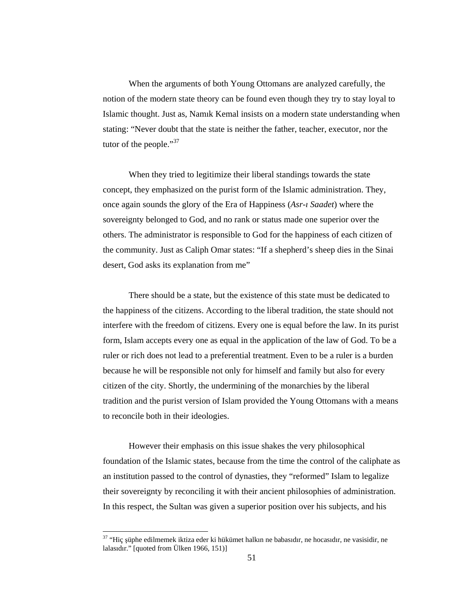When the arguments of both Young Ottomans are analyzed carefully, the notion of the modern state theory can be found even though they try to stay loyal to Islamic thought. Just as, Namık Kemal insists on a modern state understanding when stating: "Never doubt that the state is neither the father, teacher, executor, nor the tutor of the people." $37$ 

 When they tried to legitimize their liberal standings towards the state concept, they emphasized on the purist form of the Islamic administration. They, once again sounds the glory of the Era of Happiness (*Asr-ı Saadet*) where the sovereignty belonged to God, and no rank or status made one superior over the others. The administrator is responsible to God for the happiness of each citizen of the community. Just as Caliph Omar states: "If a shepherd's sheep dies in the Sinai desert, God asks its explanation from me"

 There should be a state, but the existence of this state must be dedicated to the happiness of the citizens. According to the liberal tradition, the state should not interfere with the freedom of citizens. Every one is equal before the law. In its purist form, Islam accepts every one as equal in the application of the law of God. To be a ruler or rich does not lead to a preferential treatment. Even to be a ruler is a burden because he will be responsible not only for himself and family but also for every citizen of the city. Shortly, the undermining of the monarchies by the liberal tradition and the purist version of Islam provided the Young Ottomans with a means to reconcile both in their ideologies.

 However their emphasis on this issue shakes the very philosophical foundation of the Islamic states, because from the time the control of the caliphate as an institution passed to the control of dynasties, they "reformed" Islam to legalize their sovereignty by reconciling it with their ancient philosophies of administration. In this respect, the Sultan was given a superior position over his subjects, and his

<sup>&</sup>lt;sup>37</sup> "Hiç şüphe edilmemek iktiza eder ki hükümet halkın ne babasıdır, ne hocasıdır, ne vasisidir, ne lalasıdır." [quoted from Ülken 1966, 151)]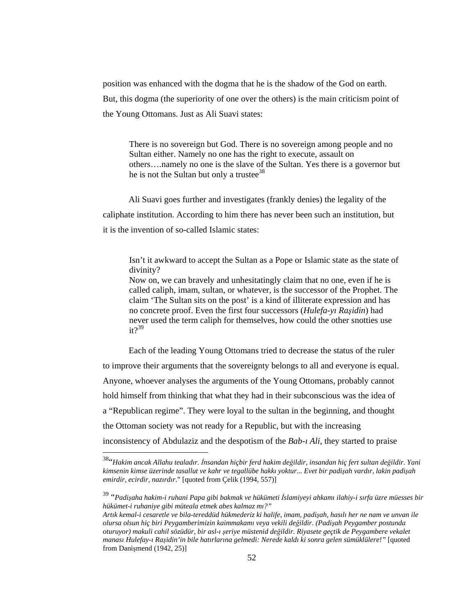position was enhanced with the dogma that he is the shadow of the God on earth. But, this dogma (the superiority of one over the others) is the main criticism point of the Young Ottomans. Just as Ali Suavi states:

There is no sovereign but God. There is no sovereign among people and no Sultan either. Namely no one has the right to execute, assault on others….namely no one is the slave of the Sultan. Yes there is a governor but he is not the Sultan but only a trustee<sup>38</sup>

 Ali Suavi goes further and investigates (frankly denies) the legality of the caliphate institution. According to him there has never been such an institution, but it is the invention of so-called Islamic states:

 Isn't it awkward to accept the Sultan as a Pope or Islamic state as the state of divinity?

 Now on, we can bravely and unhesitatingly claim that no one, even if he is called caliph, imam, sultan, or whatever, is the successor of the Prophet. The claim 'The Sultan sits on the post' is a kind of illiterate expression and has no concrete proof. Even the first four successors (*Hulefa-yı Ra*ş*idin*) had never used the term caliph for themselves, how could the other snotties use  $it?$ <sup>39</sup>

 Each of the leading Young Ottomans tried to decrease the status of the ruler to improve their arguments that the sovereignty belongs to all and everyone is equal. Anyone, whoever analyses the arguments of the Young Ottomans, probably cannot hold himself from thinking that what they had in their subconscious was the idea of a "Republican regime". They were loyal to the sultan in the beginning, and thought the Ottoman society was not ready for a Republic, but with the increasing inconsistency of Abdulaziz and the despotism of the *Bab-ı Ali*, they started to praise

<sup>38</sup>"*Hakim ancak Allahu tealadır.* İ*nsandan hiçbir ferd hakim de*ğ*ildir, insandan hiç fert sultan de*ğ*ildir. Yani kimsenin kimse üzerinde tasallut ve kahr ve tegallübe hakkı yoktur... Evet bir padi*ş*ah vardır, lakin padi*ş*ah emirdir, ecirdir, nazırdır*." [quoted from Çelik (1994, 557)]

<sup>39</sup> "*Padi*ş*aha hakim-i ruhani Papa gibi bakmak ve hükümeti* İ*slamiyeyi ahkamı ilahiy-i sırfa üzre müesses bir hükümet-i ruhaniye gibi müteala etmek abes kalmaz mı?"* 

*Artık kemal-i cesaretle ve bila-tereddüd hükmederiz ki halife, imam, padi*ş*ah, hasılı her ne nam ve unvan ile olursa olsun hiç biri Peygamberimizin kaimmakamı veya vekili de*ğ*ildir. (Padi*ş*ah Peygamber postunda oturuyor) makuli cahil sözüdür, bir asl-ı* ş*eriye müstenid de*ğ*ildir. Riyasete geçtik de Peygambere vekalet manası Hulefay-ı Ra*ş*idin'in bile hatırlarına gelmedi: Nerede kaldı ki sonra gelen sümüklülere!"* [quoted from Danişmend (1942, 25)]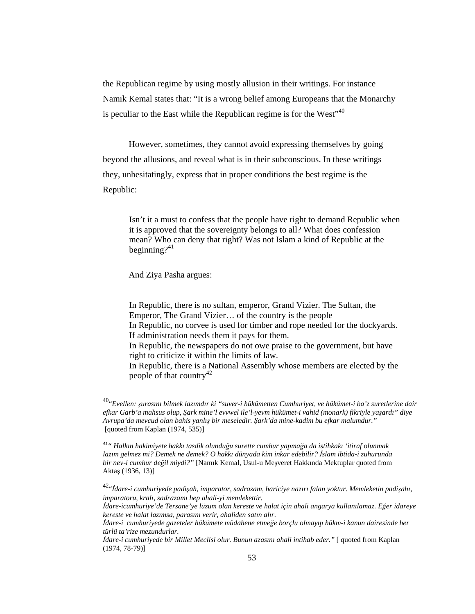the Republican regime by using mostly allusion in their writings. For instance Namık Kemal states that: "It is a wrong belief among Europeans that the Monarchy is peculiar to the East while the Republican regime is for the West $140$ 

 However, sometimes, they cannot avoid expressing themselves by going beyond the allusions, and reveal what is in their subconscious. In these writings they, unhesitatingly, express that in proper conditions the best regime is the Republic:

 Isn't it a must to confess that the people have right to demand Republic when it is approved that the sovereignty belongs to all? What does confession mean? Who can deny that right? Was not Islam a kind of Republic at the beginning? $41$ 

And Ziya Pasha argues:

 $\overline{a}$ 

 In Republic, there is no sultan, emperor, Grand Vizier. The Sultan, the Emperor, The Grand Vizier… of the country is the people In Republic, no corvee is used for timber and rope needed for the dockyards. If administration needs them it pays for them. In Republic, the newspapers do not owe praise to the government, but have right to criticize it within the limits of law. In Republic, there is a National Assembly whose members are elected by the people of that country<sup>42</sup>

<sup>40</sup>"*Evellen:* ş*urasını bilmek lazımdır ki "suver-i hükümetten Cumhuriyet, ve hükümet-i ba'z suretlerine dair efkar Garb'a mahsus olup,* Ş*ark mine'l evvwel ile'l-yevm hükümet-i vahid (monark) fikriyle ya*ş*ardı" diye Avrupa'da mevcud olan bahis yanlı*ş *bir meseledir.* Ş*ark'da mine-kadim bu efkar malumdur."* [quoted from Kaplan (1974, 535)]

*<sup>41</sup>" Halkın hakimiyete hakkı tasdik olundu*ğ*u surette cumhur yapma*ğ*a da istihkakı 'itiraf olunmak lazım gelmez mi? Demek ne demek? O hakkı dünyada kim inkar edebilir?* İ*slam ibtida-i zuhurunda bir nev-i cumhur de*ğ*il miydi?"* [Namık Kemal, Usul-u Meşveret Hakkında Mektuplar quoted from Aktaş (1936, 13)]

<sup>42</sup>"İ*dare-i cumhuriyede padi*ş*ah, imparator, sadrazam, hariciye nazırı falan yoktur. Memleketin padi*ş*ahı, imparatoru, kralı, sadrazamı hep ahali-yi memlekettir.* 

İ*dare-icumhuriye'de Tersane'ye lüzum olan kereste ve halat için ahali angarya kullanılamaz. E*ğ*er idareye kereste ve halat lazımsa, parasını verir, ahaliden satın alır.* 

İ*dare-i cumhuriyede gazeteler hükümete müdahene etme*ğ*e borçlu olmayıp hükm-i kanun dairesinde her türlü ta'rize mezundurlar.* 

İ*dare-i cumhuriyede bir Millet Meclisi olur. Bunun azasını ahali intihab eder."* [ quoted from Kaplan (1974, 78-79)]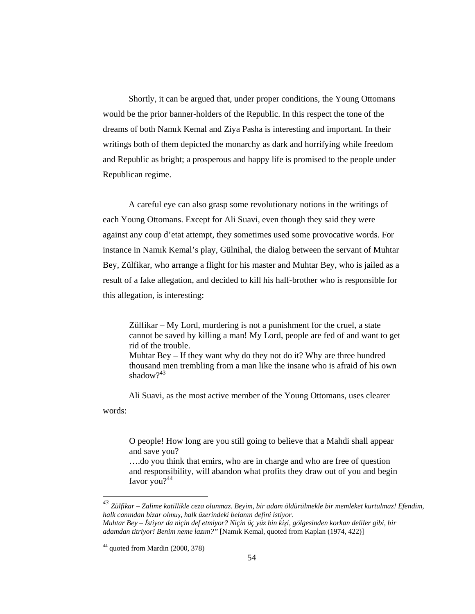Shortly, it can be argued that, under proper conditions, the Young Ottomans would be the prior banner-holders of the Republic. In this respect the tone of the dreams of both Namık Kemal and Ziya Pasha is interesting and important. In their writings both of them depicted the monarchy as dark and horrifying while freedom and Republic as bright; a prosperous and happy life is promised to the people under Republican regime.

 A careful eye can also grasp some revolutionary notions in the writings of each Young Ottomans. Except for Ali Suavi, even though they said they were against any coup d'etat attempt, they sometimes used some provocative words. For instance in Namık Kemal's play, Gülnihal, the dialog between the servant of Muhtar Bey, Zülfikar, who arrange a flight for his master and Muhtar Bey, who is jailed as a result of a fake allegation, and decided to kill his half-brother who is responsible for this allegation, is interesting:

 Zülfikar – My Lord, murdering is not a punishment for the cruel, a state cannot be saved by killing a man! My Lord, people are fed of and want to get rid of the trouble. Muhtar Bey – If they want why do they not do it? Why are three hundred thousand men trembling from a man like the insane who is afraid of his own shadow?<sup>43</sup>

 Ali Suavi, as the most active member of the Young Ottomans, uses clearer words:

 O people! How long are you still going to believe that a Mahdi shall appear and save you? ….do you think that emirs, who are in charge and who are free of question and responsibility, will abandon what profits they draw out of you and begin favor you?<sup>44</sup>

*<sup>43</sup> Zülfikar – Zalime katillikle ceza olunmaz. Beyim, bir adam öldürülmekle bir memleket kurtulmaz! Efendim, halk canından bizar olmu*ş*, halk üzerindeki belanın defini istiyor. Muhtar Bey –* İ*stiyor da niçin def etmiyor? Niçin üç yüz bin ki*ş*i, gölgesinden korkan deliler gibi, bir adamdan titriyor! Benim neme lazım?"* [Namık Kemal, quoted from Kaplan (1974, 422)]

<sup>44</sup> quoted from Mardin (2000, 378)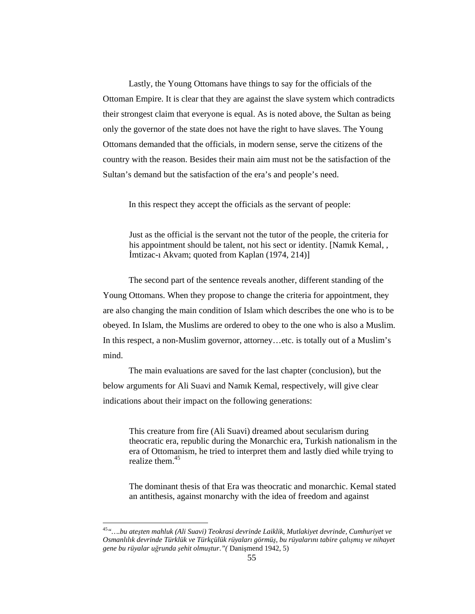Lastly, the Young Ottomans have things to say for the officials of the Ottoman Empire. It is clear that they are against the slave system which contradicts their strongest claim that everyone is equal. As is noted above, the Sultan as being only the governor of the state does not have the right to have slaves. The Young Ottomans demanded that the officials, in modern sense, serve the citizens of the country with the reason. Besides their main aim must not be the satisfaction of the Sultan's demand but the satisfaction of the era's and people's need.

In this respect they accept the officials as the servant of people:

Just as the official is the servant not the tutor of the people, the criteria for his appointment should be talent, not his sect or identity. [Namık Kemal, , İmtizac-ı Akvam; quoted from Kaplan (1974, 214)]

 The second part of the sentence reveals another, different standing of the Young Ottomans. When they propose to change the criteria for appointment, they are also changing the main condition of Islam which describes the one who is to be obeyed. In Islam, the Muslims are ordered to obey to the one who is also a Muslim. In this respect, a non-Muslim governor, attorney…etc. is totally out of a Muslim's mind.

 The main evaluations are saved for the last chapter (conclusion), but the below arguments for Ali Suavi and Namık Kemal, respectively, will give clear indications about their impact on the following generations:

This creature from fire (Ali Suavi) dreamed about secularism during theocratic era, republic during the Monarchic era, Turkish nationalism in the era of Ottomanism, he tried to interpret them and lastly died while trying to realize them.<sup>45</sup>

 The dominant thesis of that Era was theocratic and monarchic. Kemal stated an antithesis, against monarchy with the idea of freedom and against

<sup>45</sup>*"….bu ate*ş*ten mahluk (Ali Suavi) Teokrasi devrinde Laiklik, Mutlakiyet devrinde, Cumhuriyet ve Osmanlılık devrinde Türklük ve Türkçülük rüyaları görmü*ş*, bu rüyalarını tabire çalı*ş*mı*ş *ve nihayet gene bu rüyalar u*ğ*runda* ş*ehit olmu*ş*tur."(* Danişmend 1942, 5)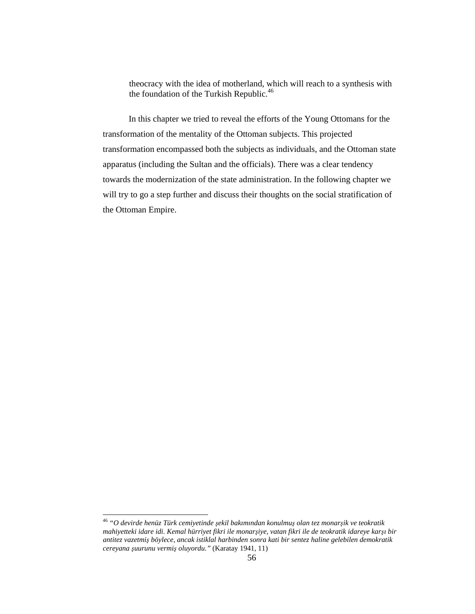theocracy with the idea of motherland, which will reach to a synthesis with the foundation of the Turkish Republic. $46$ 

 In this chapter we tried to reveal the efforts of the Young Ottomans for the transformation of the mentality of the Ottoman subjects. This projected transformation encompassed both the subjects as individuals, and the Ottoman state apparatus (including the Sultan and the officials). There was a clear tendency towards the modernization of the state administration. In the following chapter we will try to go a step further and discuss their thoughts on the social stratification of the Ottoman Empire.

 $\ddot{\phantom{a}}$ 

<sup>46</sup> *"O devirde henüz Türk cemiyetinde* ş*ekil bakımından konulmu*ş *olan tez monar*ş*ik ve teokratik mahiyetteki idare idi. Kemal hürriyet fikri ile monar*ş*iye, vatan fikri ile de teokratik idareye kar*ş*ı bir antitez vazetmi*ş *böylece, ancak istiklal harbinden sonra kati bir sentez haline gelebilen demokratik cereyana* ş*uurunu vermi*ş *oluyordu."* (Karatay 1941, 11)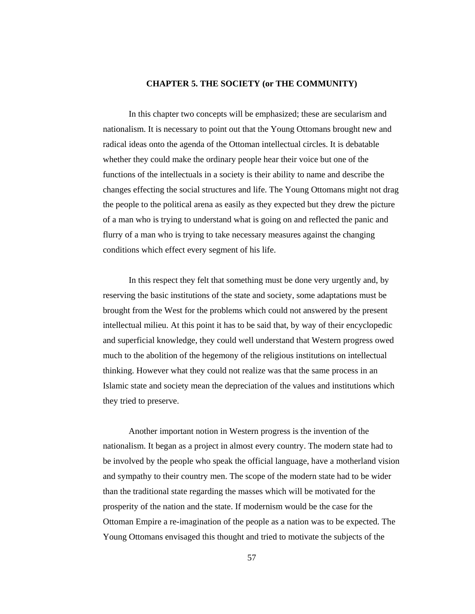#### **CHAPTER 5. THE SOCIETY (or THE COMMUNITY)**

In this chapter two concepts will be emphasized; these are secularism and nationalism. It is necessary to point out that the Young Ottomans brought new and radical ideas onto the agenda of the Ottoman intellectual circles. It is debatable whether they could make the ordinary people hear their voice but one of the functions of the intellectuals in a society is their ability to name and describe the changes effecting the social structures and life. The Young Ottomans might not drag the people to the political arena as easily as they expected but they drew the picture of a man who is trying to understand what is going on and reflected the panic and flurry of a man who is trying to take necessary measures against the changing conditions which effect every segment of his life.

 In this respect they felt that something must be done very urgently and, by reserving the basic institutions of the state and society, some adaptations must be brought from the West for the problems which could not answered by the present intellectual milieu. At this point it has to be said that, by way of their encyclopedic and superficial knowledge, they could well understand that Western progress owed much to the abolition of the hegemony of the religious institutions on intellectual thinking. However what they could not realize was that the same process in an Islamic state and society mean the depreciation of the values and institutions which they tried to preserve.

 Another important notion in Western progress is the invention of the nationalism. It began as a project in almost every country. The modern state had to be involved by the people who speak the official language, have a motherland vision and sympathy to their country men. The scope of the modern state had to be wider than the traditional state regarding the masses which will be motivated for the prosperity of the nation and the state. If modernism would be the case for the Ottoman Empire a re-imagination of the people as a nation was to be expected. The Young Ottomans envisaged this thought and tried to motivate the subjects of the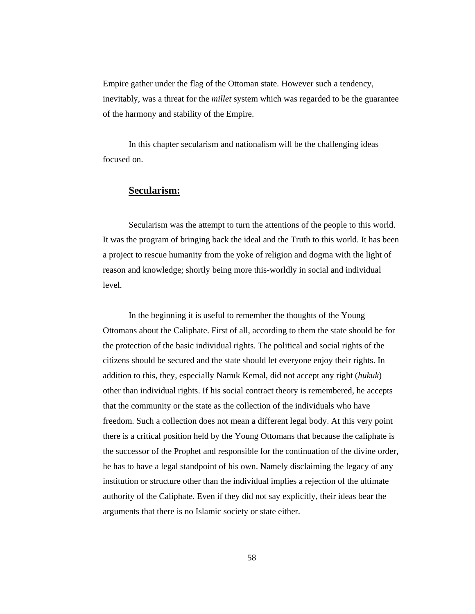Empire gather under the flag of the Ottoman state. However such a tendency, inevitably, was a threat for the *millet* system which was regarded to be the guarantee of the harmony and stability of the Empire.

 In this chapter secularism and nationalism will be the challenging ideas focused on.

# **Secularism:**

Secularism was the attempt to turn the attentions of the people to this world. It was the program of bringing back the ideal and the Truth to this world. It has been a project to rescue humanity from the yoke of religion and dogma with the light of reason and knowledge; shortly being more this-worldly in social and individual level.

 In the beginning it is useful to remember the thoughts of the Young Ottomans about the Caliphate. First of all, according to them the state should be for the protection of the basic individual rights. The political and social rights of the citizens should be secured and the state should let everyone enjoy their rights. In addition to this, they, especially Namık Kemal, did not accept any right (*hukuk*) other than individual rights. If his social contract theory is remembered, he accepts that the community or the state as the collection of the individuals who have freedom. Such a collection does not mean a different legal body. At this very point there is a critical position held by the Young Ottomans that because the caliphate is the successor of the Prophet and responsible for the continuation of the divine order, he has to have a legal standpoint of his own. Namely disclaiming the legacy of any institution or structure other than the individual implies a rejection of the ultimate authority of the Caliphate. Even if they did not say explicitly, their ideas bear the arguments that there is no Islamic society or state either.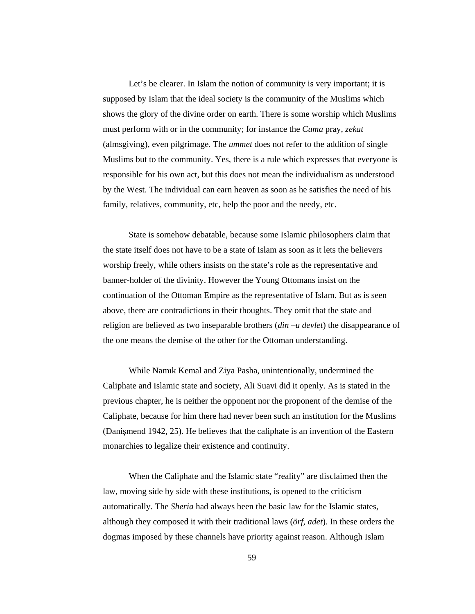Let's be clearer. In Islam the notion of community is very important; it is supposed by Islam that the ideal society is the community of the Muslims which shows the glory of the divine order on earth. There is some worship which Muslims must perform with or in the community; for instance the *Cuma* pray, *zekat* (almsgiving), even pilgrimage. The *ummet* does not refer to the addition of single Muslims but to the community. Yes, there is a rule which expresses that everyone is responsible for his own act, but this does not mean the individualism as understood by the West. The individual can earn heaven as soon as he satisfies the need of his family, relatives, community, etc, help the poor and the needy, etc.

 State is somehow debatable, because some Islamic philosophers claim that the state itself does not have to be a state of Islam as soon as it lets the believers worship freely, while others insists on the state's role as the representative and banner-holder of the divinity. However the Young Ottomans insist on the continuation of the Ottoman Empire as the representative of Islam. But as is seen above, there are contradictions in their thoughts. They omit that the state and religion are believed as two inseparable brothers (*din –u devlet*) the disappearance of the one means the demise of the other for the Ottoman understanding.

 While Namık Kemal and Ziya Pasha, unintentionally, undermined the Caliphate and Islamic state and society, Ali Suavi did it openly. As is stated in the previous chapter, he is neither the opponent nor the proponent of the demise of the Caliphate, because for him there had never been such an institution for the Muslims (Danişmend 1942, 25). He believes that the caliphate is an invention of the Eastern monarchies to legalize their existence and continuity.

 When the Caliphate and the Islamic state "reality" are disclaimed then the law, moving side by side with these institutions, is opened to the criticism automatically. The *Sheria* had always been the basic law for the Islamic states, although they composed it with their traditional laws (*örf, adet*). In these orders the dogmas imposed by these channels have priority against reason. Although Islam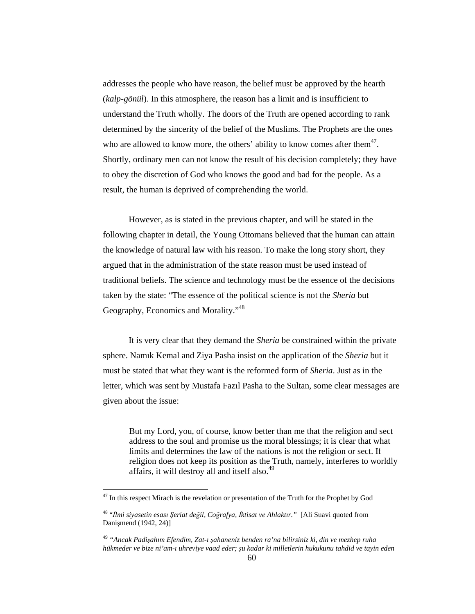addresses the people who have reason, the belief must be approved by the hearth (*kalp-gönül*). In this atmosphere, the reason has a limit and is insufficient to understand the Truth wholly. The doors of the Truth are opened according to rank determined by the sincerity of the belief of the Muslims. The Prophets are the ones who are allowed to know more, the others' ability to know comes after them $47$ . Shortly, ordinary men can not know the result of his decision completely; they have to obey the discretion of God who knows the good and bad for the people. As a result, the human is deprived of comprehending the world.

 However, as is stated in the previous chapter, and will be stated in the following chapter in detail, the Young Ottomans believed that the human can attain the knowledge of natural law with his reason. To make the long story short, they argued that in the administration of the state reason must be used instead of traditional beliefs. The science and technology must be the essence of the decisions taken by the state: "The essence of the political science is not the *Sheria* but Geography, Economics and Morality."<sup>48</sup>

 It is very clear that they demand the *Sheria* be constrained within the private sphere. Namık Kemal and Ziya Pasha insist on the application of the *Sheria* but it must be stated that what they want is the reformed form of *Sheria*. Just as in the letter, which was sent by Mustafa Fazıl Pasha to the Sultan, some clear messages are given about the issue:

 But my Lord, you, of course, know better than me that the religion and sect address to the soul and promise us the moral blessings; it is clear that what limits and determines the law of the nations is not the religion or sect. If religion does not keep its position as the Truth, namely, interferes to worldly affairs, it will destroy all and itself also.<sup>49</sup>

 $^{47}$  In this respect Mirach is the revelation or presentation of the Truth for the Prophet by God

<sup>48</sup> "İ*lmi siyasetin esası* Ş*eriat de*ğ*il, Co*ğ*rafya,* İ*ktisat ve Ahlaktır."* [Ali Suavi quoted from Danişmend (1942, 24)]

<sup>49</sup> *"Ancak Padi*ş*ahım Efendim, Zat-ı* ş*ahaneniz benden ra'na bilirsiniz ki, din ve mezhep ruha hükmeder ve bize ni'am-ı uhreviye vaad eder;* ş*u kadar ki milletlerin hukukunu tahdid ve tayin eden*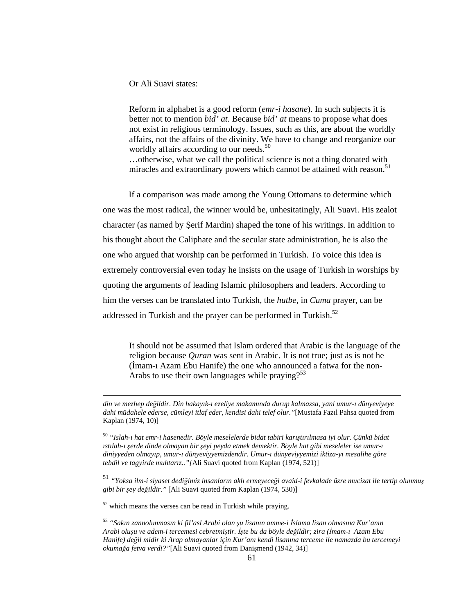Or Ali Suavi states:

Reform in alphabet is a good reform (*emr-i hasane*). In such subjects it is better not to mention *bid' at*. Because *bid' at* means to propose what does not exist in religious terminology. Issues, such as this, are about the worldly affairs, not the affairs of the divinity. We have to change and reorganize our worldly affairs according to our needs.<sup>50</sup>

…otherwise, what we call the political science is not a thing donated with miracles and extraordinary powers which cannot be attained with reason.<sup>51</sup>

 If a comparison was made among the Young Ottomans to determine which one was the most radical, the winner would be, unhesitatingly, Ali Suavi. His zealot character (as named by Şerif Mardin) shaped the tone of his writings. In addition to his thought about the Caliphate and the secular state administration, he is also the one who argued that worship can be performed in Turkish. To voice this idea is extremely controversial even today he insists on the usage of Turkish in worships by quoting the arguments of leading Islamic philosophers and leaders. According to him the verses can be translated into Turkish, the *hutbe*, in *Cuma* prayer, can be addressed in Turkish and the prayer can be performed in Turkish. $52$ 

 It should not be assumed that Islam ordered that Arabic is the language of the religion because *Quran* was sent in Arabic. It is not true; just as is not he (İmam-ı Azam Ebu Hanife) the one who announced a fatwa for the non-Arabs to use their own languages while praying? $53$ 

*din ve mezhep de*ğ*ildir. Din hakayık-ı ezeliye makamında durup kalmazsa, yani umur-ı dünyeviyeye dahi müdahele ederse, cümleyi itlaf eder, kendisi dahi telef olur."*[Mustafa Fazıl Pahsa quoted from Kaplan (1974, 10)]

<sup>50</sup> *"Islah-ı hat emr-i hasenedir. Böyle meselelerde bidat tabiri karı*ş*tırılmasa iyi olur. Çünkü bidat ıstılah-ı* ş*erde dinde olmayan bir* ş*eyi peyda etmek demektir. Böyle hat gibi meseleler ise umur-ı diniyyeden olmayıp, umur-ı dünyeviyyemizdendir. Umur-ı dünyeviyyemizi iktiza-yı mesalihe göre tebdil ve tagyirde muhtarız.."[*Ali Suavi quoted from Kaplan (1974, 521)]

<sup>51</sup> *"Yoksa ilm-i siyaset dedi*ğ*imiz insanların aklı ermeyece*ğ*i avaid-i fevkalade üzre mucizat ile tertip olunmu*<sup>ş</sup> *gibi bir* ş*ey de*ğ*ildir."* [Ali Suavi quoted from Kaplan (1974, 530)]

 $52$  which means the verses can be read in Turkish while praying.

<sup>53</sup> *"Sakın zannolunmasın ki fil'asl Arabi olan* ş*u lisanın amme-i* İ*slama lisan olmasına Kur'anın Arabi olu*ş*u ve adem-i tercemesi cebretmi*ş*tir.* İş*te bu da böyle de*ğ*ildir; zira (*İ*mam-ı Azam Ebu Hanife) de*ğ*il midir ki Arap olmayanlar için Kur'anı kendi lisanına terceme ile namazda bu tercemeyi okuma*ğ*a fetva verdi?"*[Ali Suavi quoted from Danişmend (1942, 34)]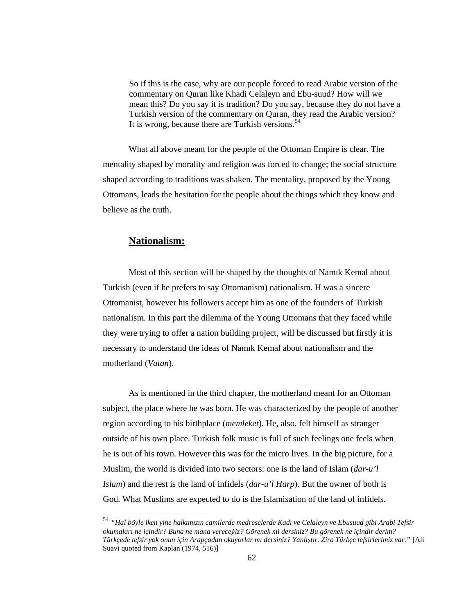So if this is the case, why are our people forced to read Arabic version of the commentary on Quran like Khadi Celaleyn and Ebu-suud? How will we mean this? Do you say it is tradition? Do you say, because they do not have a Turkish version of the commentary on Quran, they read the Arabic version? It is wrong, because there are Turkish versions. $54$ 

 What all above meant for the people of the Ottoman Empire is clear. The mentality shaped by morality and religion was forced to change; the social structure shaped according to traditions was shaken. The mentality, proposed by the Young Ottomans, leads the hesitation for the people about the things which they know and believe as the truth.

# **Nationalism:**

 $\overline{a}$ 

 Most of this section will be shaped by the thoughts of Namık Kemal about Turkish (even if he prefers to say Ottomanism) nationalism. H was a sincere Ottomanist, however his followers accept him as one of the founders of Turkish nationalism. In this part the dilemma of the Young Ottomans that they faced while they were trying to offer a nation building project, will be discussed but firstly it is necessary to understand the ideas of Namık Kemal about nationalism and the motherland (*Vatan*).

 As is mentioned in the third chapter, the motherland meant for an Ottoman subject, the place where he was born. He was characterized by the people of another region according to his birthplace (*memleket*). He, also, felt himself as stranger outside of his own place. Turkish folk music is full of such feelings one feels when he is out of his town. However this was for the micro lives. In the big picture, for a Muslim, the world is divided into two sectors: one is the land of Islam (*dar-u'l Islam*) and the rest is the land of infidels (*dar-u'l Harp*). But the owner of both is God. What Muslims are expected to do is the Islamisation of the land of infidels.

<sup>54</sup> *"Hal böyle iken yine halkımızın camilerde medreselerde Kadı ve Celaleyn ve Ebusuud gibi Arabi Tefsir okumaları ne içindir? Buna ne mana verece*ğ*iz? Görenek mi dersiniz? Bu görenek ne içindir derim? Türkçede tefsir yok onun için Arapçadan okuyorlar mı dersiniz? Yanlı*ş*tır. Zira Türkçe tefsirlerimiz var."* [Ali Suavi quoted from Kaplan (1974, 516)]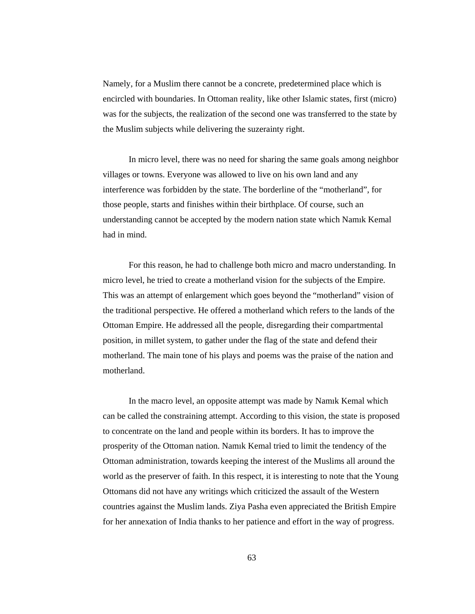Namely, for a Muslim there cannot be a concrete, predetermined place which is encircled with boundaries. In Ottoman reality, like other Islamic states, first (micro) was for the subjects, the realization of the second one was transferred to the state by the Muslim subjects while delivering the suzerainty right.

 In micro level, there was no need for sharing the same goals among neighbor villages or towns. Everyone was allowed to live on his own land and any interference was forbidden by the state. The borderline of the "motherland", for those people, starts and finishes within their birthplace. Of course, such an understanding cannot be accepted by the modern nation state which Namık Kemal had in mind.

 For this reason, he had to challenge both micro and macro understanding. In micro level, he tried to create a motherland vision for the subjects of the Empire. This was an attempt of enlargement which goes beyond the "motherland" vision of the traditional perspective. He offered a motherland which refers to the lands of the Ottoman Empire. He addressed all the people, disregarding their compartmental position, in millet system, to gather under the flag of the state and defend their motherland. The main tone of his plays and poems was the praise of the nation and motherland.

 In the macro level, an opposite attempt was made by Namık Kemal which can be called the constraining attempt. According to this vision, the state is proposed to concentrate on the land and people within its borders. It has to improve the prosperity of the Ottoman nation. Namık Kemal tried to limit the tendency of the Ottoman administration, towards keeping the interest of the Muslims all around the world as the preserver of faith. In this respect, it is interesting to note that the Young Ottomans did not have any writings which criticized the assault of the Western countries against the Muslim lands. Ziya Pasha even appreciated the British Empire for her annexation of India thanks to her patience and effort in the way of progress.

63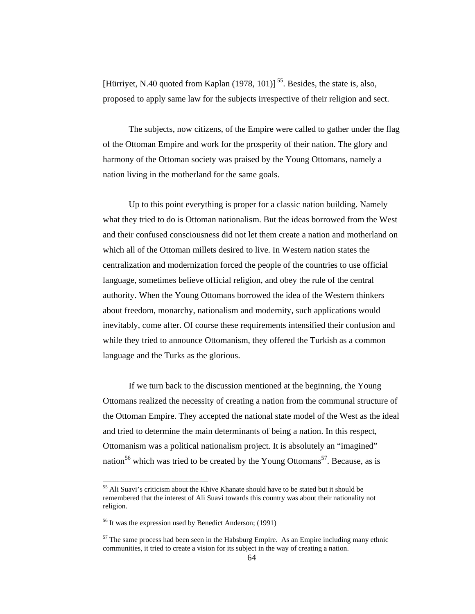[Hürriyet, N.40 quoted from Kaplan  $(1978, 101)$ ]<sup>55</sup>. Besides, the state is, also, proposed to apply same law for the subjects irrespective of their religion and sect.

 The subjects, now citizens, of the Empire were called to gather under the flag of the Ottoman Empire and work for the prosperity of their nation. The glory and harmony of the Ottoman society was praised by the Young Ottomans, namely a nation living in the motherland for the same goals.

 Up to this point everything is proper for a classic nation building. Namely what they tried to do is Ottoman nationalism. But the ideas borrowed from the West and their confused consciousness did not let them create a nation and motherland on which all of the Ottoman millets desired to live. In Western nation states the centralization and modernization forced the people of the countries to use official language, sometimes believe official religion, and obey the rule of the central authority. When the Young Ottomans borrowed the idea of the Western thinkers about freedom, monarchy, nationalism and modernity, such applications would inevitably, come after. Of course these requirements intensified their confusion and while they tried to announce Ottomanism, they offered the Turkish as a common language and the Turks as the glorious.

 If we turn back to the discussion mentioned at the beginning, the Young Ottomans realized the necessity of creating a nation from the communal structure of the Ottoman Empire. They accepted the national state model of the West as the ideal and tried to determine the main determinants of being a nation. In this respect, Ottomanism was a political nationalism project. It is absolutely an "imagined" nation<sup>56</sup> which was tried to be created by the Young Ottomans<sup>57</sup>. Because, as is

<sup>&</sup>lt;sup>55</sup> Ali Suavi's criticism about the Khive Khanate should have to be stated but it should be remembered that the interest of Ali Suavi towards this country was about their nationality not religion.

<sup>&</sup>lt;sup>56</sup> It was the expression used by Benedict Anderson; (1991)

 $57$  The same process had been seen in the Habsburg Empire. As an Empire including many ethnic communities, it tried to create a vision for its subject in the way of creating a nation.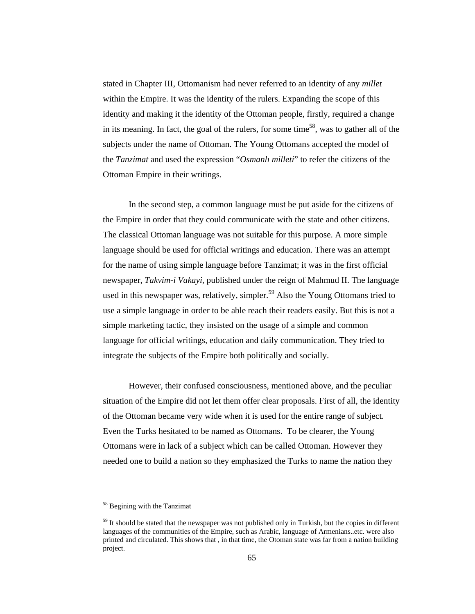stated in Chapter III, Ottomanism had never referred to an identity of any *millet*  within the Empire. It was the identity of the rulers. Expanding the scope of this identity and making it the identity of the Ottoman people, firstly, required a change in its meaning. In fact, the goal of the rulers, for some time<sup>58</sup>, was to gather all of the subjects under the name of Ottoman. The Young Ottomans accepted the model of the *Tanzimat* and used the expression "*Osmanlı milleti*" to refer the citizens of the Ottoman Empire in their writings.

 In the second step, a common language must be put aside for the citizens of the Empire in order that they could communicate with the state and other citizens. The classical Ottoman language was not suitable for this purpose. A more simple language should be used for official writings and education. There was an attempt for the name of using simple language before Tanzimat; it was in the first official newspaper, *Takvim-i Vakayi*, published under the reign of Mahmud II. The language used in this newspaper was, relatively, simpler.<sup>59</sup> Also the Young Ottomans tried to use a simple language in order to be able reach their readers easily. But this is not a simple marketing tactic, they insisted on the usage of a simple and common language for official writings, education and daily communication. They tried to integrate the subjects of the Empire both politically and socially.

 However, their confused consciousness, mentioned above, and the peculiar situation of the Empire did not let them offer clear proposals. First of all, the identity of the Ottoman became very wide when it is used for the entire range of subject. Even the Turks hesitated to be named as Ottomans. To be clearer, the Young Ottomans were in lack of a subject which can be called Ottoman. However they needed one to build a nation so they emphasized the Turks to name the nation they

<sup>58</sup> Begining with the Tanzimat

 $59$  It should be stated that the newspaper was not published only in Turkish, but the copies in different languages of the communities of the Empire, such as Arabic, language of Armenians..etc. were also printed and circulated. This shows that , in that time, the Otoman state was far from a nation building project.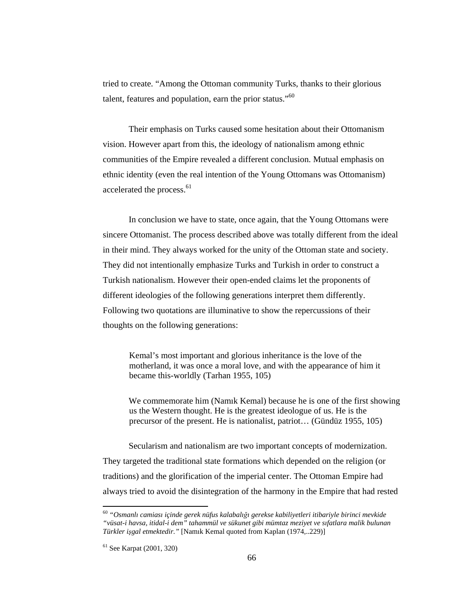tried to create. "Among the Ottoman community Turks, thanks to their glorious talent, features and population, earn the prior status."<sup>60</sup>

 Their emphasis on Turks caused some hesitation about their Ottomanism vision. However apart from this, the ideology of nationalism among ethnic communities of the Empire revealed a different conclusion. Mutual emphasis on ethnic identity (even the real intention of the Young Ottomans was Ottomanism) accelerated the process.<sup>61</sup>

 In conclusion we have to state, once again, that the Young Ottomans were sincere Ottomanist. The process described above was totally different from the ideal in their mind. They always worked for the unity of the Ottoman state and society. They did not intentionally emphasize Turks and Turkish in order to construct a Turkish nationalism. However their open-ended claims let the proponents of different ideologies of the following generations interpret them differently. Following two quotations are illuminative to show the repercussions of their thoughts on the following generations:

 Kemal's most important and glorious inheritance is the love of the motherland, it was once a moral love, and with the appearance of him it became this-worldly (Tarhan 1955, 105)

We commemorate him (Namık Kemal) because he is one of the first showing us the Western thought. He is the greatest ideologue of us. He is the precursor of the present. He is nationalist, patriot… (Gündüz 1955, 105)

Secularism and nationalism are two important concepts of modernization. They targeted the traditional state formations which depended on the religion (or traditions) and the glorification of the imperial center. The Ottoman Empire had always tried to avoid the disintegration of the harmony in the Empire that had rested

<sup>60</sup> *"Osmanlı camiası içinde gerek nüfus kalabalı*ğ*ı gerekse kabiliyetleri itibariyle birinci mevkide "vüsat-i havsa, itidal-i dem" tahammül ve sükunet gibi mümtaz meziyet ve sıfatlara malik bulunan Türkler i*ş*gal etmektedir."* [Namık Kemal quoted from Kaplan (1974,..229)]

<sup>61</sup> See Karpat (2001, 320)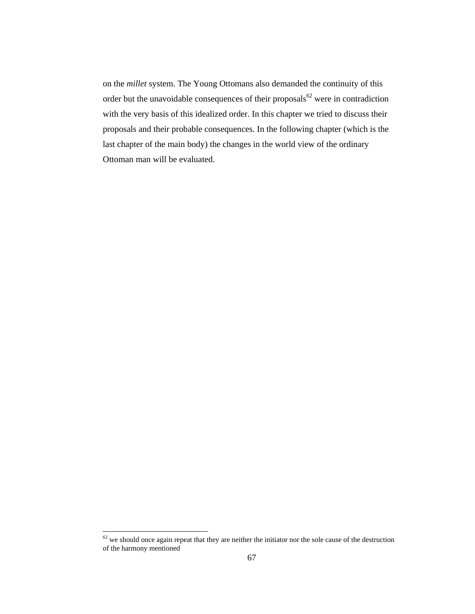on the *millet* system. The Young Ottomans also demanded the continuity of this order but the unavoidable consequences of their proposals<sup>62</sup> were in contradiction with the very basis of this idealized order. In this chapter we tried to discuss their proposals and their probable consequences. In the following chapter (which is the last chapter of the main body) the changes in the world view of the ordinary Ottoman man will be evaluated.

 $62$  we should once again repeat that they are neither the initiator nor the sole cause of the destruction of the harmony mentioned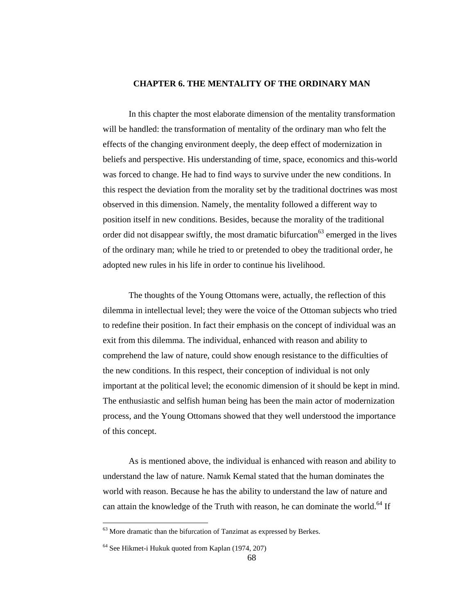## **CHAPTER 6. THE MENTALITY OF THE ORDINARY MAN**

 In this chapter the most elaborate dimension of the mentality transformation will be handled: the transformation of mentality of the ordinary man who felt the effects of the changing environment deeply, the deep effect of modernization in beliefs and perspective. His understanding of time, space, economics and this-world was forced to change. He had to find ways to survive under the new conditions. In this respect the deviation from the morality set by the traditional doctrines was most observed in this dimension. Namely, the mentality followed a different way to position itself in new conditions. Besides, because the morality of the traditional order did not disappear swiftly, the most dramatic bifurcation<sup>63</sup> emerged in the lives of the ordinary man; while he tried to or pretended to obey the traditional order, he adopted new rules in his life in order to continue his livelihood.

 The thoughts of the Young Ottomans were, actually, the reflection of this dilemma in intellectual level; they were the voice of the Ottoman subjects who tried to redefine their position. In fact their emphasis on the concept of individual was an exit from this dilemma. The individual, enhanced with reason and ability to comprehend the law of nature, could show enough resistance to the difficulties of the new conditions. In this respect, their conception of individual is not only important at the political level; the economic dimension of it should be kept in mind. The enthusiastic and selfish human being has been the main actor of modernization process, and the Young Ottomans showed that they well understood the importance of this concept.

 As is mentioned above, the individual is enhanced with reason and ability to understand the law of nature. Namık Kemal stated that the human dominates the world with reason. Because he has the ability to understand the law of nature and can attain the knowledge of the Truth with reason, he can dominate the world.<sup>64</sup> If

<sup>&</sup>lt;sup>63</sup> More dramatic than the bifurcation of Tanzimat as expressed by Berkes.

<sup>64</sup> See Hikmet-i Hukuk quoted from Kaplan (1974, 207)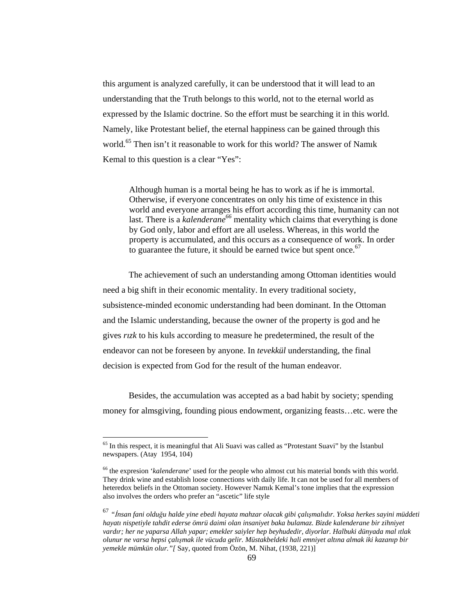this argument is analyzed carefully, it can be understood that it will lead to an understanding that the Truth belongs to this world, not to the eternal world as expressed by the Islamic doctrine. So the effort must be searching it in this world. Namely, like Protestant belief, the eternal happiness can be gained through this world.<sup>65</sup> Then isn't it reasonable to work for this world? The answer of Namik Kemal to this question is a clear "Yes":

 Although human is a mortal being he has to work as if he is immortal. Otherwise, if everyone concentrates on only his time of existence in this world and everyone arranges his effort according this time, humanity can not last. There is a *kalenderane*<sup>66</sup> mentality which claims that everything is done by God only, labor and effort are all useless. Whereas, in this world the property is accumulated, and this occurs as a consequence of work. In order to guarantee the future, it should be earned twice but spent once. $67$ 

 The achievement of such an understanding among Ottoman identities would need a big shift in their economic mentality. In every traditional society, subsistence-minded economic understanding had been dominant. In the Ottoman and the Islamic understanding, because the owner of the property is god and he gives *rızk* to his kuls according to measure he predetermined, the result of the endeavor can not be foreseen by anyone. In *tevekkül* understanding, the final decision is expected from God for the result of the human endeavor.

Besides, the accumulation was accepted as a bad habit by society; spending money for almsgiving, founding pious endowment, organizing feasts…etc. were the

<sup>&</sup>lt;sup>65</sup> In this respect, it is meaningful that Ali Suavi was called as "Protestant Suavi" by the Istanbul newspapers. (Atay 1954, 104)

<sup>66</sup> the expresion '*kalenderane*' used for the people who almost cut his material bonds with this world. They drink wine and establish loose connections with daily life. It can not be used for all members of heteredox beliefs in the Ottoman society. However Namık Kemal's tone implies that the expression also involves the orders who prefer an "ascetic" life style

<sup>67</sup> *"*İ*nsan fani oldu*ğ*u halde yine ebedi hayata mahzar olacak gibi çalı*ş*malıdır. Yoksa herkes sayini müddeti hayatı nispetiyle tahdit ederse ömrü daimi olan insaniyet baka bulamaz. Bizde kalenderane bir zihniyet vardır; her ne yaparsa Allah yapar; emekler saiyler hep beyhudedir, diyorlar. Halbuki dünyada mal ıtlak olunur ne varsa hepsi çalı*ş*mak ile vücuda gelir. Müstakbeldeki hali emniyet altına almak iki kazanıp bir yemekle mümkün olur."[* Say, quoted from Özön, M. Nihat, (1938, 221)]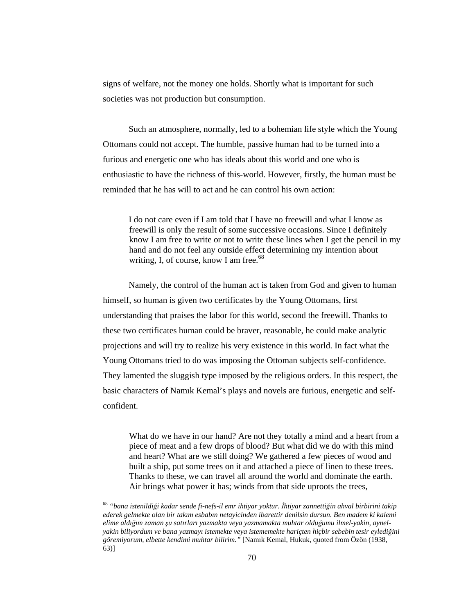signs of welfare, not the money one holds. Shortly what is important for such societies was not production but consumption.

Such an atmosphere, normally, led to a bohemian life style which the Young Ottomans could not accept. The humble, passive human had to be turned into a furious and energetic one who has ideals about this world and one who is enthusiastic to have the richness of this-world. However, firstly, the human must be reminded that he has will to act and he can control his own action:

I do not care even if I am told that I have no freewill and what I know as freewill is only the result of some successive occasions. Since I definitely know I am free to write or not to write these lines when I get the pencil in my hand and do not feel any outside effect determining my intention about writing, I, of course, know I am free. $68$ 

Namely, the control of the human act is taken from God and given to human himself, so human is given two certificates by the Young Ottomans, first understanding that praises the labor for this world, second the freewill. Thanks to these two certificates human could be braver, reasonable, he could make analytic projections and will try to realize his very existence in this world. In fact what the Young Ottomans tried to do was imposing the Ottoman subjects self-confidence. They lamented the sluggish type imposed by the religious orders. In this respect, the basic characters of Namık Kemal's plays and novels are furious, energetic and selfconfident.

What do we have in our hand? Are not they totally a mind and a heart from a piece of meat and a few drops of blood? But what did we do with this mind and heart? What are we still doing? We gathered a few pieces of wood and built a ship, put some trees on it and attached a piece of linen to these trees. Thanks to these, we can travel all around the world and dominate the earth. Air brings what power it has; winds from that side uproots the trees,

<sup>68</sup> *"bana istenildi*ğ*i kadar sende fi-nefs-il emr ihtiyar yoktur.* İ*htiyar zannetti*ğ*in ahval birbirini takip ederek gelmekte olan bir takım esbabın netayicinden ibarettir denilsin dursun. Ben madem ki kalemi elime aldı*ğ*ım zaman* ş*u satırları yazmakta veya yazmamakta muhtar oldu*ğ*umu ilmel-yakin, aynelyakin biliyordum ve bana yazmayı istemekte veya istememekte hariçten hiçbir sebebin tesir eyledi*ğ*ini göremiyorum, elbette kendimi muhtar bilirim."* [Namık Kemal, Hukuk, quoted from Özön (1938, 63)]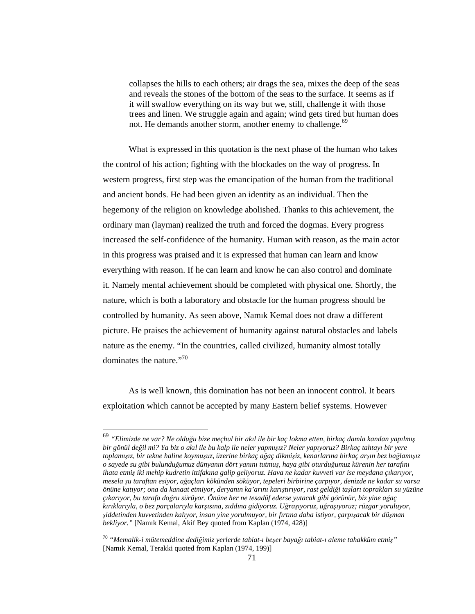collapses the hills to each others; air drags the sea, mixes the deep of the seas and reveals the stones of the bottom of the seas to the surface. It seems as if it will swallow everything on its way but we, still, challenge it with those trees and linen. We struggle again and again; wind gets tired but human does not. He demands another storm, another enemy to challenge.<sup>69</sup>

What is expressed in this quotation is the next phase of the human who takes the control of his action; fighting with the blockades on the way of progress. In western progress, first step was the emancipation of the human from the traditional and ancient bonds. He had been given an identity as an individual. Then the hegemony of the religion on knowledge abolished. Thanks to this achievement, the ordinary man (layman) realized the truth and forced the dogmas. Every progress increased the self-confidence of the humanity. Human with reason, as the main actor in this progress was praised and it is expressed that human can learn and know everything with reason. If he can learn and know he can also control and dominate it. Namely mental achievement should be completed with physical one. Shortly, the nature, which is both a laboratory and obstacle for the human progress should be controlled by humanity. As seen above, Namık Kemal does not draw a different picture. He praises the achievement of humanity against natural obstacles and labels nature as the enemy. "In the countries, called civilized, humanity almost totally dominates the nature."<sup>70</sup>

As is well known, this domination has not been an innocent control. It bears exploitation which cannot be accepted by many Eastern belief systems. However

<sup>69</sup> *"Elimizde ne var? Ne oldu*ğ*u bize meçhul bir akıl ile bir kaç lokma etten, birkaç damla kandan yapılmı*ş *bir gönül de*ğ*il mi? Ya biz o akıl ile bu kalp ile neler yapmı*ş*ız? Neler yapıyoruz? Birkaç tahtayı bir yere toplamı*ş*ız, bir tekne haline koymu*ş*uz, üzerine birkaç a*ğ*aç dikmi*ş*iz, kenarlarına birkaç ar*ş*ın bez ba*ğ*lamı*ş*ız o sayede su gibi bulundu*ğ*umuz dünyanın dört yanını tutmu*ş*, haya gibi oturdu*ğ*umuz kürenin her tarafını ihata etmi*ş *iki mehip kudretin ittifakına galip geliyoruz. Hava ne kadar kuvveti var ise meydana çıkarıyor, mesela* ş*u taraftan esiyor, a*ğ*açları kökünden söküyor, tepeleri birbirine çarpıyor, denizde ne kadar su varsa önüne katıyor; ona da kanaat etmiyor, deryanın ka'arını karı*ş*tırıyor, rast geldi*ğ*i ta*ş*ları toprakları su yüzüne çıkarıyor, bu tarafa do*ğ*ru sürüyor. Önüne her ne tesadüf ederse yutacak gibi görünür, biz yine a*ğ*aç kırıklarıyla, o bez parçalarıyla kar*ş*ısına, zıddına gidiyoruz. U*ğ*ra*ş*ıyoruz, u*ğ*ra*ş*ıyoruz; rüzgar yoruluyor,*  ş*iddetinden kuvvetinden kalıyor, insan yine yorulmuyor, bir fırtına daha istiyor, çarpı*ş*acak bir dü*ş*man bekliyor."* [Namık Kemal, Akif Bey quoted from Kaplan (1974, 428)]

<sup>70</sup> *"Memalik-i mütemeddine dedi*ğ*imiz yerlerde tabiat-ı be*ş*er baya*ğ*ı tabiat-ı aleme tahakküm etmi*ş*"* [Namık Kemal, Terakki quoted from Kaplan (1974, 199)]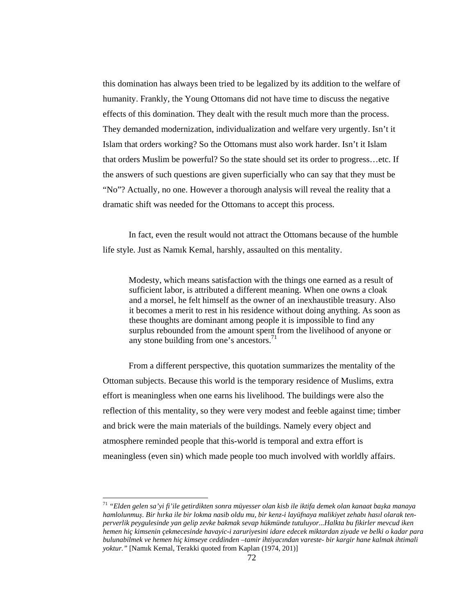this domination has always been tried to be legalized by its addition to the welfare of humanity. Frankly, the Young Ottomans did not have time to discuss the negative effects of this domination. They dealt with the result much more than the process. They demanded modernization, individualization and welfare very urgently. Isn't it Islam that orders working? So the Ottomans must also work harder. Isn't it Islam that orders Muslim be powerful? So the state should set its order to progress…etc. If the answers of such questions are given superficially who can say that they must be "No"? Actually, no one. However a thorough analysis will reveal the reality that a dramatic shift was needed for the Ottomans to accept this process.

In fact, even the result would not attract the Ottomans because of the humble life style. Just as Namık Kemal, harshly, assaulted on this mentality.

Modesty, which means satisfaction with the things one earned as a result of sufficient labor, is attributed a different meaning. When one owns a cloak and a morsel, he felt himself as the owner of an inexhaustible treasury. Also it becomes a merit to rest in his residence without doing anything. As soon as these thoughts are dominant among people it is impossible to find any surplus rebounded from the amount spent from the livelihood of anyone or any stone building from one's ancestors. $^{71}$ 

From a different perspective, this quotation summarizes the mentality of the Ottoman subjects. Because this world is the temporary residence of Muslims, extra effort is meaningless when one earns his livelihood. The buildings were also the reflection of this mentality, so they were very modest and feeble against time; timber and brick were the main materials of the buildings. Namely every object and atmosphere reminded people that this-world is temporal and extra effort is meaningless (even sin) which made people too much involved with worldly affairs.

<sup>71</sup> *"Elden gelen sa'yi fi'ile getirdikten sonra müyesser olan kisb ile iktifa demek olan kanaat ba*ş*ka manaya hamlolunmu*ş*. Bir hırka ile bir lokma nasib oldu mu, bir kenz-i layüfnaya malikiyet zehabı hasıl olarak tenperverlik peygulesinde yan gelip zevke bakmak sevap hükmünde tutuluyor...Halkta bu fikirler mevcud iken hemen hiç kimsenin çekmecesinde havayic-i zaruriyesini idare edecek miktardan ziyade ve belki o kadar para bulunabilmek ve hemen hiç kimseye ceddinden –tamir ihtiyacından vareste- bir kargir hane kalmak ihtimali yoktur."* [Namık Kemal, Terakki quoted from Kaplan (1974, 201)]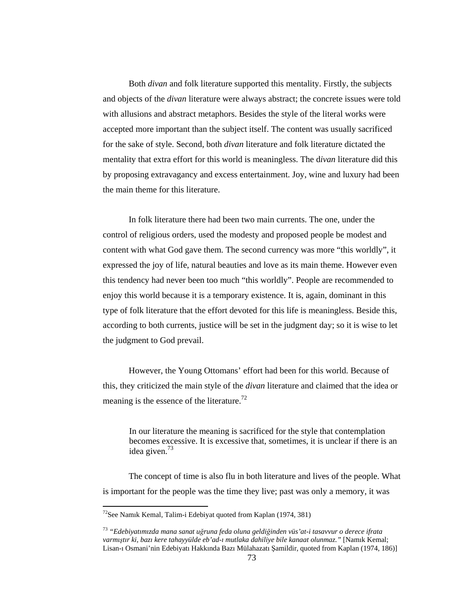Both *divan* and folk literature supported this mentality. Firstly, the subjects and objects of the *divan* literature were always abstract; the concrete issues were told with allusions and abstract metaphors. Besides the style of the literal works were accepted more important than the subject itself. The content was usually sacrificed for the sake of style. Second, both *divan* literature and folk literature dictated the mentality that extra effort for this world is meaningless. The d*ivan* literature did this by proposing extravagancy and excess entertainment. Joy, wine and luxury had been the main theme for this literature.

In folk literature there had been two main currents. The one, under the control of religious orders, used the modesty and proposed people be modest and content with what God gave them. The second currency was more "this worldly", it expressed the joy of life, natural beauties and love as its main theme. However even this tendency had never been too much "this worldly". People are recommended to enjoy this world because it is a temporary existence. It is, again, dominant in this type of folk literature that the effort devoted for this life is meaningless. Beside this, according to both currents, justice will be set in the judgment day; so it is wise to let the judgment to God prevail.

However, the Young Ottomans' effort had been for this world. Because of this, they criticized the main style of the *divan* literature and claimed that the idea or meaning is the essence of the literature.<sup>72</sup>

In our literature the meaning is sacrificed for the style that contemplation becomes excessive. It is excessive that, sometimes, it is unclear if there is an idea given.<sup>73</sup>

The concept of time is also flu in both literature and lives of the people. What is important for the people was the time they live; past was only a memory, it was

<sup>&</sup>lt;sup>72</sup>See Namik Kemal, Talim-i Edebiyat quoted from Kaplan (1974, 381)

<sup>73</sup> *"Edebiyatımızda mana sanat u*ğ*runa feda oluna geldi*ğ*inden vüs'at-i tasavvur o derece ifrata varmı*ş*tır ki, bazı kere tahayyülde eb'ad-ı mutlaka dahiliye bile kanaat olunmaz."* [Namık Kemal; Lisan-ı Osmani'nin Edebiyatı Hakkında Bazı Mülahazatı Şamildir, quoted from Kaplan (1974, 186)]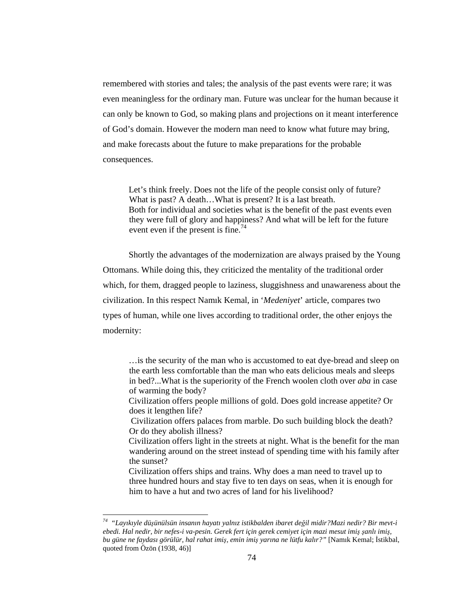remembered with stories and tales; the analysis of the past events were rare; it was even meaningless for the ordinary man. Future was unclear for the human because it can only be known to God, so making plans and projections on it meant interference of God's domain. However the modern man need to know what future may bring, and make forecasts about the future to make preparations for the probable consequences.

Let's think freely. Does not the life of the people consist only of future? What is past? A death...What is present? It is a last breath. Both for individual and societies what is the benefit of the past events even they were full of glory and happiness? And what will be left for the future event even if the present is fine.<sup>74</sup>

Shortly the advantages of the modernization are always praised by the Young Ottomans. While doing this, they criticized the mentality of the traditional order which, for them, dragged people to laziness, sluggishness and unawareness about the civilization. In this respect Namık Kemal, in '*Medeniyet*' article, compares two types of human, while one lives according to traditional order, the other enjoys the modernity:

…is the security of the man who is accustomed to eat dye-bread and sleep on the earth less comfortable than the man who eats delicious meals and sleeps in bed?...What is the superiority of the French woolen cloth over *aba* in case of warming the body?

Civilization offers people millions of gold. Does gold increase appetite? Or does it lengthen life?

 Civilization offers palaces from marble. Do such building block the death? Or do they abolish illness?

Civilization offers light in the streets at night. What is the benefit for the man wandering around on the street instead of spending time with his family after the sunset?

Civilization offers ships and trains. Why does a man need to travel up to three hundred hours and stay five to ten days on seas, when it is enough for him to have a hut and two acres of land for his livelihood?

 $\ddot{\phantom{a}}$ 

*<sup>74</sup> "Layıkıyle dü*ş*ünülsün insanın hayatı yalnız istikbalden ibaret de*ğ*il midir?Mazi nedir? Bir mevt-i ebedi. Hal nedir, bir nefes-i va-pesin. Gerek fert için gerek cemiyet için mazi mesut imi*ş ş*anlı imi*ş*, bu güne ne faydası görülür, hal rahat imi*ş*, emin imi*ş *yarına ne lütfu kalır?"* [Namık Kemal; İstikbal, quoted from Özön (1938, 46)]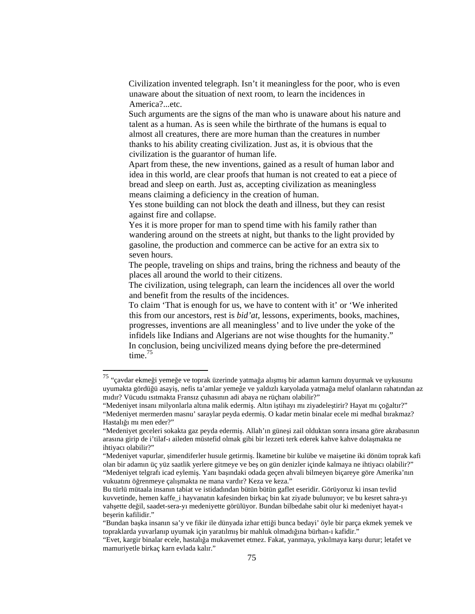Civilization invented telegraph. Isn't it meaningless for the poor, who is even unaware about the situation of next room, to learn the incidences in America?...etc.

Such arguments are the signs of the man who is unaware about his nature and talent as a human. As is seen while the birthrate of the humans is equal to almost all creatures, there are more human than the creatures in number thanks to his ability creating civilization. Just as, it is obvious that the civilization is the guarantor of human life.

Apart from these, the new inventions, gained as a result of human labor and idea in this world, are clear proofs that human is not created to eat a piece of bread and sleep on earth. Just as, accepting civilization as meaningless means claiming a deficiency in the creation of human.

Yes stone building can not block the death and illness, but they can resist against fire and collapse.

Yes it is more proper for man to spend time with his family rather than wandering around on the streets at night, but thanks to the light provided by gasoline, the production and commerce can be active for an extra six to seven hours.

The people, traveling on ships and trains, bring the richness and beauty of the places all around the world to their citizens.

The civilization, using telegraph, can learn the incidences all over the world and benefit from the results of the incidences.

To claim 'That is enough for us, we have to content with it' or 'We inherited this from our ancestors, rest is *bid'at*, lessons, experiments, books, machines, progresses, inventions are all meaningless' and to live under the yoke of the infidels like Indians and Algerians are not wise thoughts for the humanity." In conclusion, being uncivilized means dying before the pre-determined time. $75$ 

 $^{75}$  "çavdar ekmeği yemeğe ve toprak üzerinde yatmağa alışmış bir adamın karnını doyurmak ve uykusunu uyumakta gördüğü asayiş, nefis ta'amlar yemeğe ve yaldızlı karyolada yatmağa meluf olanların rahatından az mıdır? Vücudu ısıtmakta Fransız çuhasının adi abaya ne rüçhanı olabilir?"

<sup>&</sup>quot;Medeniyet insanı milyonlarla altına malik edermiş. Altın iştihayı mı ziyadeleştirir? Hayat mı çoğaltır?" "Medeniyet mermerden masnu' saraylar peyda edermiş. O kadar metin binalar ecele mi medhal bırakmaz? Hastalığı mı men eder?"

<sup>&</sup>quot;Medeniyet geceleri sokakta gaz peyda edermiş. Allah'ın güneşi zail olduktan sonra insana göre akrabasının arasına girip de i'tilaf-ı aileden müstefid olmak gibi bir lezzeti terk ederek kahve kahve dolaşmakta ne ihtiyacı olabilir?"

<sup>&</sup>quot;Medeniyet vapurlar, şimendiferler husule getirmiş. İkametine bir kulübe ve maişetine iki dönüm toprak kafi olan bir adamın üç yüz saatlik yerlere gitmeye ve beş on gün denizler içinde kalmaya ne ihtiyacı olabilir?" "Medeniyet telgrafı icad eylemiş. Yanı başındaki odada geçen ahvali bilmeyen biçareye göre Amerika'nın vukuatını öğrenmeye çalışmakta ne mana vardır? Keza ve keza."

Bu türlü mütaala insanın tabiat ve istidadından bütün bütün gaflet eseridir. Görüyoruz ki insan tevlid kuvvetinde, hemen kaffe\_i hayvanatın kafesinden birkaç bin kat ziyade bulunuyor; ve bu kesret sahra-yı vahşette değil, saadet-sera-yı medeniyette görülüyor. Bundan bilbedahe sabit olur ki medeniyet hayat-ı beşerin kafilidir."

<sup>&</sup>quot;Bundan başka insanın sa'y ve fikir ile dünyada izhar ettiği bunca bedayi' öyle bir parça ekmek yemek ve topraklarda yuvarlanıp uyumak için yaratılmış bir mahluk olmadığına bürhan-ı kafidir."

<sup>&</sup>quot;Evet, kargir binalar ecele, hastalığa mukavemet etmez. Fakat, yanmaya, yıkılmaya karşı durur; letafet ve mamuriyetle birkaç karn evlada kalır."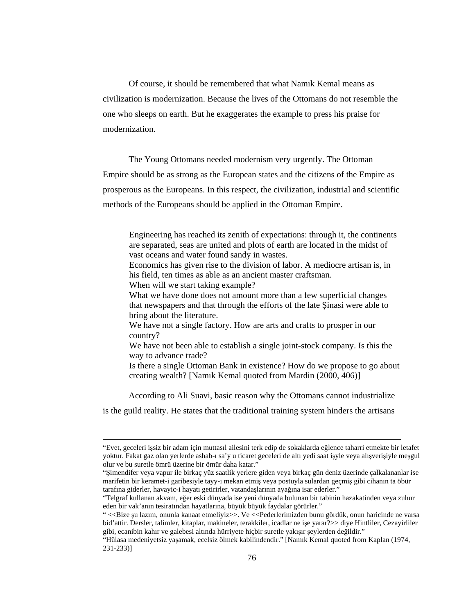Of course, it should be remembered that what Namık Kemal means as civilization is modernization. Because the lives of the Ottomans do not resemble the one who sleeps on earth. But he exaggerates the example to press his praise for modernization.

The Young Ottomans needed modernism very urgently. The Ottoman Empire should be as strong as the European states and the citizens of the Empire as prosperous as the Europeans. In this respect, the civilization, industrial and scientific methods of the Europeans should be applied in the Ottoman Empire.

Engineering has reached its zenith of expectations: through it, the continents are separated, seas are united and plots of earth are located in the midst of vast oceans and water found sandy in wastes.

Economics has given rise to the division of labor. A mediocre artisan is, in his field, ten times as able as an ancient master craftsman.

When will we start taking example?

 $\overline{a}$ 

What we have done does not amount more than a few superficial changes that newspapers and that through the efforts of the late Şinasi were able to bring about the literature.

We have not a single factory. How are arts and crafts to prosper in our country?

We have not been able to establish a single joint-stock company. Is this the way to advance trade?

Is there a single Ottoman Bank in existence? How do we propose to go about creating wealth? [Namık Kemal quoted from Mardin (2000, 406)]

According to Ali Suavi, basic reason why the Ottomans cannot industrialize

is the guild reality. He states that the traditional training system hinders the artisans

<sup>&</sup>quot;Evet, geceleri işsiz bir adam için muttasıl ailesini terk edip de sokaklarda eğlence taharri etmekte bir letafet yoktur. Fakat gaz olan yerlerde ashab-ı sa'y u ticaret geceleri de altı yedi saat işyle veya alışverişiyle meşgul olur ve bu suretle ömrü üzerine bir ömür daha katar."

<sup>&</sup>quot;Şimendifer veya vapur ile birkaç yüz saatlik yerlere giden veya birkaç gün deniz üzerinde çalkalananlar ise marifetin bir keramet-i garibesiyle tayy-ı mekan etmiş veya postuyla sulardan geçmiş gibi cihanın ta öbür tarafına giderler, havayic-i hayatı getirirler, vatandaşlarının ayağına isar ederler."

<sup>&</sup>quot;Telgraf kullanan akvam, eğer eski dünyada ise yeni dünyada bulunan bir tabinin hazakatinden veya zuhur eden bir vak'anın tesiratından hayatlarına, büyük büyük faydalar görürler."

<sup>&</sup>quot; <<Bize şu lazım, onunla kanaat etmeliyiz>>. Ve <<Pederlerimizden bunu gördük, onun haricinde ne varsa bid'attir. Dersler, talimler, kitaplar, makineler, terakkiler, icadlar ne işe yarar?>> diye Hintliler, Cezayirliler gibi, ecanibin kahır ve galebesi altında hürriyete hiçbir suretle yakışır şeylerden değildir."

<sup>&</sup>quot;Hülasa medeniyetsiz yaşamak, ecelsiz ölmek kabilindendir." [Namık Kemal quoted from Kaplan (1974, 231-233)]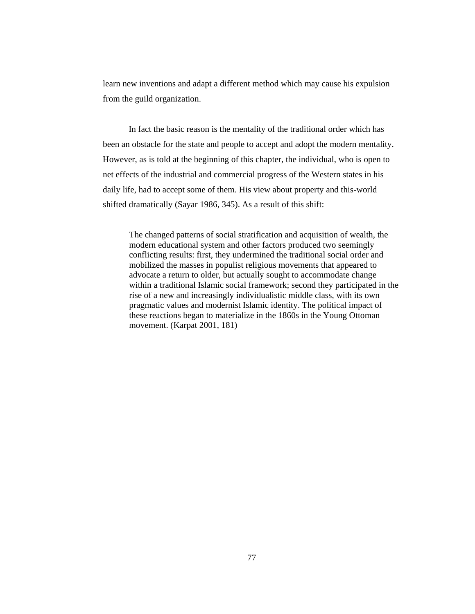learn new inventions and adapt a different method which may cause his expulsion from the guild organization.

In fact the basic reason is the mentality of the traditional order which has been an obstacle for the state and people to accept and adopt the modern mentality. However, as is told at the beginning of this chapter, the individual, who is open to net effects of the industrial and commercial progress of the Western states in his daily life, had to accept some of them. His view about property and this-world shifted dramatically (Sayar 1986, 345). As a result of this shift:

The changed patterns of social stratification and acquisition of wealth, the modern educational system and other factors produced two seemingly conflicting results: first, they undermined the traditional social order and mobilized the masses in populist religious movements that appeared to advocate a return to older, but actually sought to accommodate change within a traditional Islamic social framework; second they participated in the rise of a new and increasingly individualistic middle class, with its own pragmatic values and modernist Islamic identity. The political impact of these reactions began to materialize in the 1860s in the Young Ottoman movement. (Karpat 2001, 181)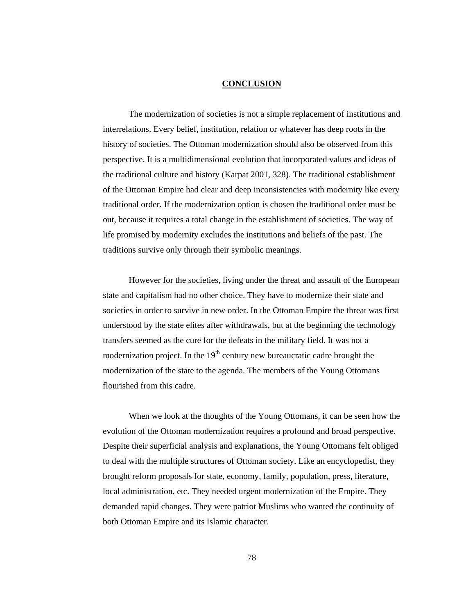## **CONCLUSION**

 The modernization of societies is not a simple replacement of institutions and interrelations. Every belief, institution, relation or whatever has deep roots in the history of societies. The Ottoman modernization should also be observed from this perspective. It is a multidimensional evolution that incorporated values and ideas of the traditional culture and history (Karpat 2001, 328). The traditional establishment of the Ottoman Empire had clear and deep inconsistencies with modernity like every traditional order. If the modernization option is chosen the traditional order must be out, because it requires a total change in the establishment of societies. The way of life promised by modernity excludes the institutions and beliefs of the past. The traditions survive only through their symbolic meanings.

 However for the societies, living under the threat and assault of the European state and capitalism had no other choice. They have to modernize their state and societies in order to survive in new order. In the Ottoman Empire the threat was first understood by the state elites after withdrawals, but at the beginning the technology transfers seemed as the cure for the defeats in the military field. It was not a modernization project. In the  $19<sup>th</sup>$  century new bureaucratic cadre brought the modernization of the state to the agenda. The members of the Young Ottomans flourished from this cadre.

 When we look at the thoughts of the Young Ottomans, it can be seen how the evolution of the Ottoman modernization requires a profound and broad perspective. Despite their superficial analysis and explanations, the Young Ottomans felt obliged to deal with the multiple structures of Ottoman society. Like an encyclopedist, they brought reform proposals for state, economy, family, population, press, literature, local administration, etc. They needed urgent modernization of the Empire. They demanded rapid changes. They were patriot Muslims who wanted the continuity of both Ottoman Empire and its Islamic character.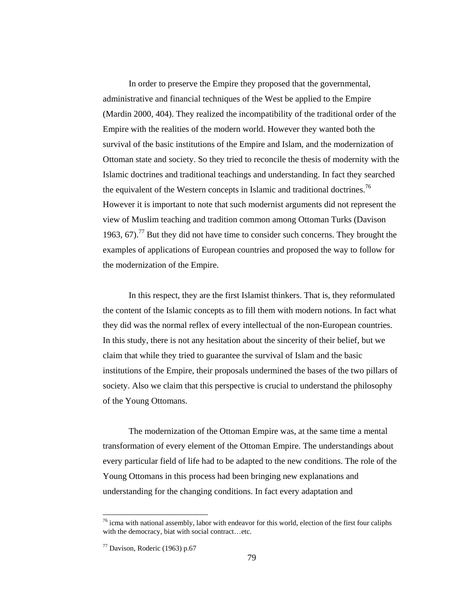In order to preserve the Empire they proposed that the governmental, administrative and financial techniques of the West be applied to the Empire (Mardin 2000, 404). They realized the incompatibility of the traditional order of the Empire with the realities of the modern world. However they wanted both the survival of the basic institutions of the Empire and Islam, and the modernization of Ottoman state and society. So they tried to reconcile the thesis of modernity with the Islamic doctrines and traditional teachings and understanding. In fact they searched the equivalent of the Western concepts in Islamic and traditional doctrines.<sup>76</sup> However it is important to note that such modernist arguments did not represent the view of Muslim teaching and tradition common among Ottoman Turks (Davison 1963, 67).<sup>77</sup> But they did not have time to consider such concerns. They brought the examples of applications of European countries and proposed the way to follow for the modernization of the Empire.

 In this respect, they are the first Islamist thinkers. That is, they reformulated the content of the Islamic concepts as to fill them with modern notions. In fact what they did was the normal reflex of every intellectual of the non-European countries. In this study, there is not any hesitation about the sincerity of their belief, but we claim that while they tried to guarantee the survival of Islam and the basic institutions of the Empire, their proposals undermined the bases of the two pillars of society. Also we claim that this perspective is crucial to understand the philosophy of the Young Ottomans.

 The modernization of the Ottoman Empire was, at the same time a mental transformation of every element of the Ottoman Empire. The understandings about every particular field of life had to be adapted to the new conditions. The role of the Young Ottomans in this process had been bringing new explanations and understanding for the changing conditions. In fact every adaptation and

 $\ddot{\phantom{a}}$ 

 $76$  icma with national assembly, labor with endeavor for this world, election of the first four caliphs with the democracy, biat with social contract…etc.

 $77$  Davison, Roderic (1963) p.67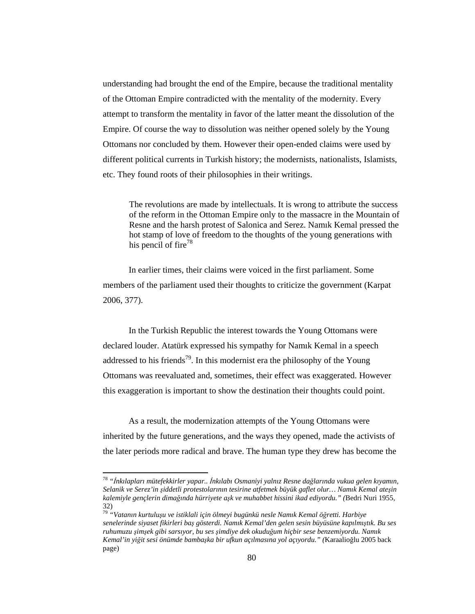understanding had brought the end of the Empire, because the traditional mentality of the Ottoman Empire contradicted with the mentality of the modernity. Every attempt to transform the mentality in favor of the latter meant the dissolution of the Empire. Of course the way to dissolution was neither opened solely by the Young Ottomans nor concluded by them. However their open-ended claims were used by different political currents in Turkish history; the modernists, nationalists, Islamists, etc. They found roots of their philosophies in their writings.

The revolutions are made by intellectuals. It is wrong to attribute the success of the reform in the Ottoman Empire only to the massacre in the Mountain of Resne and the harsh protest of Salonica and Serez. Namık Kemal pressed the hot stamp of love of freedom to the thoughts of the young generations with his pencil of fire<sup>78</sup>

 In earlier times, their claims were voiced in the first parliament. Some members of the parliament used their thoughts to criticize the government (Karpat 2006, 377).

 In the Turkish Republic the interest towards the Young Ottomans were declared louder. Atatürk expressed his sympathy for Namık Kemal in a speech addressed to his friends<sup>79</sup>. In this modernist era the philosophy of the Young Ottomans was reevaluated and, sometimes, their effect was exaggerated. However this exaggeration is important to show the destination their thoughts could point.

 As a result, the modernization attempts of the Young Ottomans were inherited by the future generations, and the ways they opened, made the activists of the later periods more radical and brave. The human type they drew has become the

<sup>78</sup> *"*İ*nkılapları mütefekkirler yapar..* İ*nkılabı Osmaniyi yalnız Resne da*ğ*larında vukua gelen kıyamın, Selanik ve Serez'in* ş*iddetli protestolarının tesirine atfetmek büyük gaflet olur… Namık Kemal ate*ş*in kalemiyle gençlerin dima*ğ*ında hürriyete a*ş*k ve muhabbet hissini ikad ediyordu." (*Bedri Nuri 1955, 32)

<sup>79</sup> *"Vatanın kurtulu*ş*u ve istiklali için ölmeyi bugünkü nesle Namık Kemal ö*ğ*retti. Harbiye senelerinde siyaset fikirleri ba*ş *gösterdi. Namık Kemal'den gelen sesin büyüsüne kapılmı*ş*tık. Bu ses ruhumuzu* ş*im*ş*ek gibi sarsıyor, bu ses* ş*imdiye dek okudu*ğ*um hiçbir sese benzemiyordu. Namık Kemal'in yi*ğ*it sesi önümde bamba*ş*ka bir ufkun açılmasına yol açıyordu." (*Karaalioğlu 2005 back page)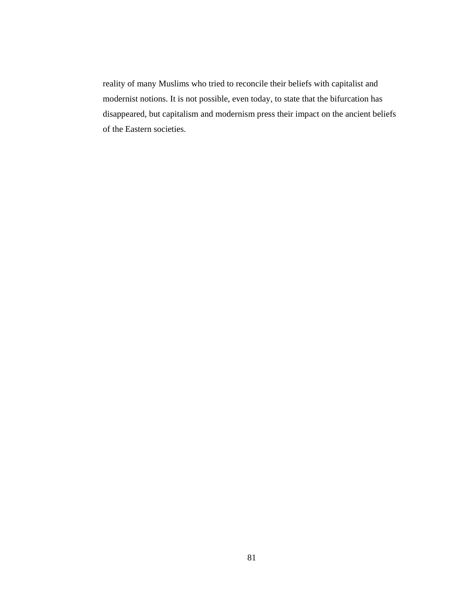reality of many Muslims who tried to reconcile their beliefs with capitalist and modernist notions. It is not possible, even today, to state that the bifurcation has disappeared, but capitalism and modernism press their impact on the ancient beliefs of the Eastern societies.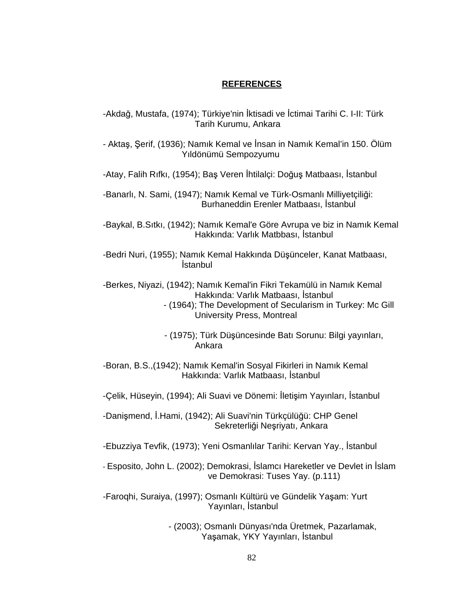## **REFERENCES**

- -Akdağ, Mustafa, (1974); Türkiye'nin İktisadi ve İctimai Tarihi C. I-II: Türk Tarih Kurumu, Ankara
- Aktaş, Şerif, (1936); Namık Kemal ve İnsan in Namık Kemal'in 150. Ölüm Yıldönümü Sempozyumu
- -Atay, Falih Rıfkı, (1954); Baş Veren İhtilalçi: Doğuş Matbaası, İstanbul
- -Banarlı, N. Sami, (1947); Namık Kemal ve Türk-Osmanlı Milliyetçiliği: Burhaneddin Erenler Matbaası, İstanbul
- -Baykal, B.Sıtkı, (1942); Namık Kemal'e Göre Avrupa ve biz in Namık Kemal Hakkında: Varlık Matbbası, İstanbul
- -Bedri Nuri, (1955); Namık Kemal Hakkında Düşünceler, Kanat Matbaası, İstanbul
- -Berkes, Niyazi, (1942); Namık Kemal'in Fikri Tekamülü in Namık Kemal Hakkında: Varlık Matbaası, İstanbul
	- (1964); The Development of Secularism in Turkey: Mc Gill University Press, Montreal
	- (1975); Türk Düşüncesinde Batı Sorunu: Bilgi yayınları, Ankara
- -Boran, B.S.,(1942); Namık Kemal'in Sosyal Fikirleri in Namık Kemal Hakkında: Varlık Matbaası, İstanbul
- -Çelik, Hüseyin, (1994); Ali Suavi ve Dönemi: İletişim Yayınları, İstanbul
- -Danişmend, İ.Hami, (1942); Ali Suavi'nin Türkçülüğü: CHP Genel Sekreterliği Neşriyatı, Ankara
- -Ebuzziya Tevfik, (1973); Yeni Osmanlılar Tarihi: Kervan Yay., İstanbul
- Esposito, John L. (2002); Demokrasi, İslamcı Hareketler ve Devlet in İslam ve Demokrasi: Tuses Yay. (p.111)
- -Faroqhi, Suraiya, (1997); Osmanlı Kültürü ve Gündelik Yaşam: Yurt Yayınları, İstanbul
	- (2003); Osmanlı Dünyası'nda Üretmek, Pazarlamak, Yaşamak, YKY Yayınları, İstanbul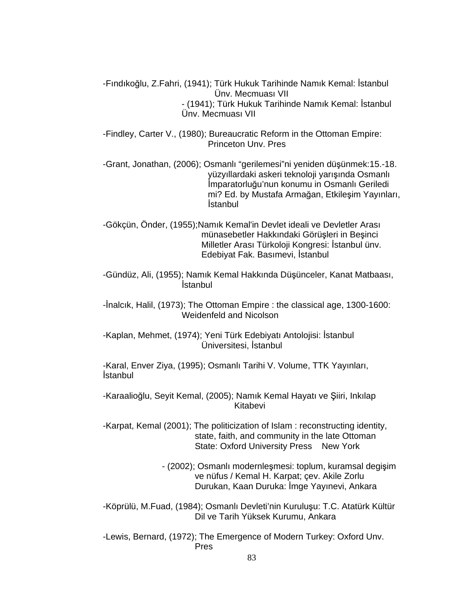-Fındıkoğlu, Z.Fahri, (1941); Türk Hukuk Tarihinde Namık Kemal: İstanbul Ünv. Mecmuası VII - (1941); Türk Hukuk Tarihinde Namık Kemal: İstanbul Ünv. Mecmuası VII

-Findley, Carter V., (1980); Bureaucratic Reform in the Ottoman Empire: Princeton Unv. Pres

-Grant, Jonathan, (2006); Osmanlı "gerilemesi"ni yeniden düşünmek:15.-18. yüzyıllardaki askeri teknoloji yarışında Osmanlı İmparatorluğu'nun konumu in Osmanlı Geriledi mi? Ed. by Mustafa Armağan, Etkileşim Yayınları, İstanbul

-Gökçün, Önder, (1955);Namık Kemal'in Devlet ideali ve Devletler Arası münasebetler Hakkındaki Görüşleri in Beşinci Milletler Arası Türkoloji Kongresi: İstanbul ünv. Edebiyat Fak. Basımevi, İstanbul

-Gündüz, Ali, (1955); Namık Kemal Hakkında Düşünceler, Kanat Matbaası, İstanbul

-İnalcık, Halil, (1973); The Ottoman Empire : the classical age, 1300-1600: Weidenfeld and Nicolson

-Kaplan, Mehmet, (1974); Yeni Türk Edebiyatı Antolojisi: İstanbul Üniversitesi, İstanbul

-Karal, Enver Ziya, (1995); Osmanlı Tarihi V. Volume, TTK Yayınları, İstanbul

-Karaalioğlu, Seyit Kemal, (2005); Namık Kemal Hayatı ve Şiiri, Inkılap Kitabevi

-Karpat, Kemal (2001); The politicization of Islam : reconstructing identity, state, faith, and community in the late Ottoman State: Oxford University Press New York

> - (2002); Osmanlı modernleşmesi: toplum, kuramsal degişim ve nüfus / Kemal H. Karpat; çev. Akile Zorlu Durukan, Kaan Duruka: İmge Yayınevi, Ankara

-Köprülü, M.Fuad, (1984); Osmanlı Devleti'nin Kuruluşu: T.C. Atatürk Kültür Dil ve Tarih Yüksek Kurumu, Ankara

-Lewis, Bernard, (1972); The Emergence of Modern Turkey: Oxford Unv. Pres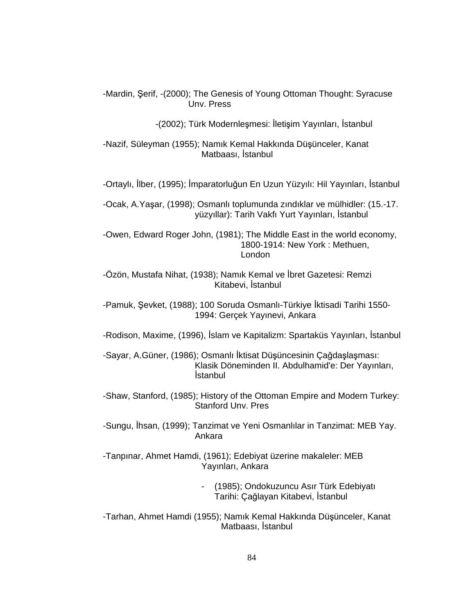-Mardin, Şerif, -(2000); The Genesis of Young Ottoman Thought: Syracuse Unv. Press

-(2002); Türk Modernleşmesi: İletişim Yayınları, İstanbul

-Nazif, Süleyman (1955); Namık Kemal Hakkında Düşünceler, Kanat Matbaası, İstanbul

-Ortaylı, İlber, (1995); İmparatorluğun En Uzun Yüzyılı: Hil Yayınları, İstanbul

-Ocak, A.Yaşar, (1998); Osmanlı toplumunda zındıklar ve mülhidler: (15.-17. yüzyıllar): Tarih Vakfı Yurt Yayınları, İstanbul

-Owen, Edward Roger John, (1981); The Middle East in the world economy, 1800-1914: New York : Methuen, London

-Özön, Mustafa Nihat, (1938); Namık Kemal ve İbret Gazetesi: Remzi Kitabevi, İstanbul

-Pamuk, Şevket, (1988); 100 Soruda Osmanlı-Türkiye İktisadi Tarihi 1550- 1994: Gerçek Yayınevi, Ankara

-Rodison, Maxime, (1996), İslam ve Kapitalizm: Spartaküs Yayınları, İstanbul

-Sayar, A.Güner, (1986); Osmanlı İktisat Düşüncesinin Çağdaşlaşması: Klasik Döneminden II. Abdulhamid'e: Der Yayınları, İstanbul

-Shaw, Stanford, (1985); History of the Ottoman Empire and Modern Turkey: Stanford Unv. Pres

-Sungu, İhsan, (1999); Tanzimat ve Yeni Osmanlılar in Tanzimat: MEB Yay. Ankara

-Tanpınar, Ahmet Hamdi, (1961); Edebiyat üzerine makaleler: MEB Yayınları, Ankara

> - (1985); Ondokuzuncu Asır Türk Edebiyatı Tarihi: Çağlayan Kitabevi, İstanbul

-Tarhan, Ahmet Hamdi (1955); Namık Kemal Hakkında Düşünceler, Kanat Matbaası, İstanbul